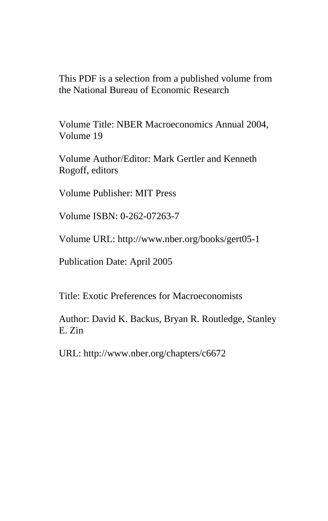This PDF is a selection from a published volume from the National Bureau of Economic Research

Volume Title: NBER Macroeconomics Annual 2004, Volume 19

Volume Author/Editor: Mark Gertler and Kenneth Rogoff, editors

Volume Publisher: MIT Press

Volume ISBN: 0-262-07263-7

Volume URL: http://www.nber.org/books/gert05-1

Publication Date: April 2005

Title: Exotic Preferences for Macroeconomists

Author: David K. Backus, Bryan R. Routledge, Stanley E. Zin

URL: http://www.nber.org/chapters/c6672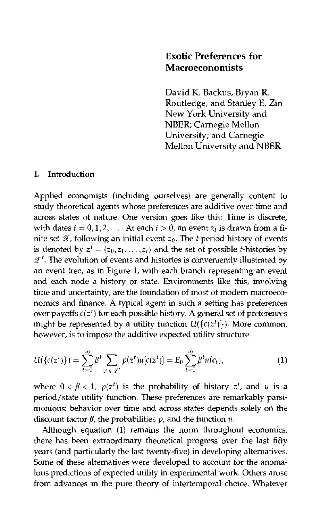# **Exotic Preferences for Macroeconomists**

David K. Backus, Bryan R. Routledge, and Stanley E. Zin New York University and NBER; Carnegie Mellon University; and Carnegie Mellon University and NBER

#### **1. Introduction**

Applied economists (including ourselves) are generally content to study theoretical agents whose preferences are additive over time and across states of nature. One version goes like this: Time is discrete, with dates  $t = 0, 1, 2, \ldots$ . At each  $t > 0$ , an event  $z_t$  is drawn from a finite set  $\mathscr{Z}$ , following an initial event  $z_0$ . The *t*-period history of events is denoted by  $z^t = (z_0, z_1, \ldots, z_t)$  and the set of possible *t*-histories by  $\mathscr{Z}^t$ . The evolution of events and histories is conveniently illustrated by an event tree, as in Figure 1, with each branch representing an event and each node a history or state. Environments like this, involving time and uncertainty, are the foundation of most of modern macroeconomics and finance. A typical agent in such a setting has preferences over payoffs  $c(z^t)$  for each possible history. A general set of preferences might be represented by a utility function  $U({c(z^t)})$ . More common, however, is to impose the additive expected utility structure

$$
U(\{c(z^t)\}) = \sum_{t=0}^{\infty} \beta^t \sum_{z^t \in \mathcal{Z}^t} p(z^t)u[c(z^t)] = E_0 \sum_{t=0}^{\infty} \beta^t u(c_t),
$$
 (1)

where  $0 < \beta < 1$ ,  $p(z^t)$  is the probability of history  $z^t$ , and *u* is a period/state utility function. These preferences are remarkably parsimonious: behavior over time and across states depends solely on the discount factor  $\beta$ , the probabilities  $p$ , and the function  $u$ .

Although equation (1) remains the norm throughout economics, there has been extraordinary theoretical progress over the last fifty years (and particularly the last twenty-five) in developing alternatives. Some of these alternatives were developed to account for the anomalous predictions of expected utility in experimental work. Others arose from advances in the pure theory of intertemporal choice. Whatever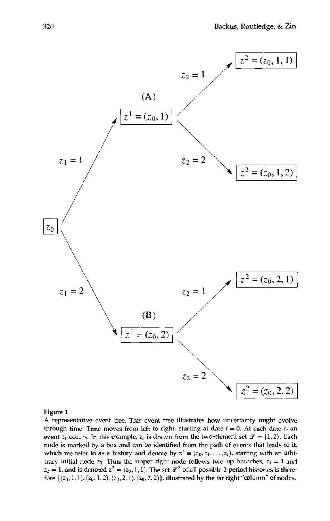

#### **Figure 1**

A representative event tree. This event tree illustrates how uncertainty might evolve through time. Time moves from left to right, starting at date  $t = 0$ . At each date  $t$ , an event  $z_t$  occurs. In this example,  $z_t$  is drawn from the two-element set  $\mathscr{Z} = \{1,2\}$ . Each node is marked by a box and can be identified from the path of events that leads to it, which we refer to as a history and denote by  $z^t \equiv (z_0, z_1, \ldots, z_t)$ , starting with an arbitrary initial node  $z_0$ . Thus the upper right node follows two up branches,  $z_1 = 1$  and  $z_2 = 1$ , and is denoted  $z^2 = (z_0, 1, 1)$ . The set  $\mathscr{Z}^2$  of all possible 2-period histories is therefore  $\{(z_0,1,1), (z_0,1,2), (z_0,2,1), (z_0,2,2)\}\$ , illustrated by the far right "column" of nodes.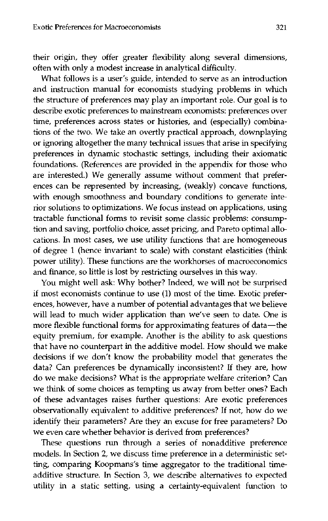their origin, they offer greater flexibility along several dimensions, often with only a modest increase in analytical difficulty.

What follows is a user's guide, intended to serve as an introduction and instruction manual for economists studying problems in which the structure of preferences may play an important role. Our goal is to describe exotic preferences to mainstream economists: preferences over time, preferences across states or histories, and (especially) combinations of the two. We take an overtly practical approach, downplaying or ignoring altogether the many technical issues that arise in specifying preferences in dynamic stochastic settings, including their axiomatic foundations. (References are provided in the appendix for those who are interested.) We generally assume without comment that preferences can be represented by increasing, (weakly) concave functions, with enough smoothness and boundary conditions to generate interior solutions to optimizations. We focus instead on applications, using tractable functional forms to revisit some classic problems: consumption and saving, portfolio choice, asset pricing, and Pareto optimal allocations. In most cases, we use utility functions that are homogeneous of degree 1 (hence invariant to scale) with constant elasticities (think power utility). These functions are the workhorses of macroeconomics and finance, so little is lost by restricting ourselves in this way.

You might well ask: Why bother? Indeed, we will not be surprised if most economists continue to use (1) most of the time. Exotic preferences, however, have a number of potential advantages that we believe will lead to much wider application than we've seen to date. One is more flexible functional forms for approximating features of data—the equity premium, for example. Another is the ability to ask questions that have no counterpart in the additive model. How should we make decisions if we don't know the probability model that generates the data? Can preferences be dynamically inconsistent? If they are, how do we make decisions? What is the appropriate welfare criterion? Can we think of some choices as tempting us away from better ones? Each of these advantages raises further questions: Are exotic preferences observationally equivalent to additive preferences? If not, how do we identify their parameters? Are they an excuse for free parameters? Do we even care whether behavior is derived from preferences?

These questions run through a series of nonadditive preference models. In Section 2, we discuss time preference in a deterministic setting, comparing Koopmans's time aggregator to the traditional timeadditive structure. In Section 3, we describe alternatives to expected utility in a static setting, using a certainty-equivalent function to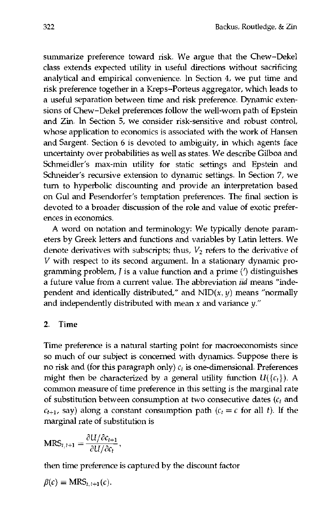summarize preference toward risk. We argue that the Chew-Dekel class extends expected utility in useful directions without sacrificing analytical and empirical convenience. In Section 4, we put time and risk preference together in a Kreps-Porteus aggregator, which leads to a useful separation between time and risk preference. Dynamic extensions of Chew-Dekel preferences follow the well-worn path of Epstein and Zin. In Section 5, we consider risk-sensitive and robust control, whose application to economics is associated with the work of Hansen and Sargent. Section 6 is devoted to ambiguity, in which agents face uncertainty over probabilities as well as states. We describe Gilboa and Schmeidler's max-min utility for static settings and Epstein and Schneider's recursive extension to dynamic settings. In Section 7, we turn to hyperbolic discounting and provide an interpretation based on Gul and Pesendorfer's temptation preferences. The final section is devoted to a broader discussion of the role and value of exotic preferences in economics.

A word on notation and terminology: We typically denote parameters by Greek letters and functions and variables by Latin letters. We denote derivatives with subscripts; thus, *V2* refers to the derivative of *V* with respect to its second argument. In a stationary dynamic programming problem,  $J$  is a value function and a prime  $(')$  distinguishes a future value from a current value. The abbreviation *iid* means "independent and identically distributed," and  $NID(x, y)$  means "normally and independently distributed with mean *x* and variance *y."*

#### **2. Time**

Time preference is a natural starting point for macroeconomists since so much of our subject is concerned with dynamics. Suppose there is no risk and (for this paragraph only) *c<sup>t</sup>* is one-dimensional. Preferences might then be characterized by a general utility function  $U({c<sub>t</sub>})$ . A common measure of time preference in this setting is the marginal rate of substitution between consumption at two consecutive dates  $(c_t$  and  $c_{t+1}$ , say) along a constant consumption path ( $c_t = c$  for all t). If the marginal rate of substitution is

$$
MRS_{t,t+1} = \frac{\partial U/\partial c_{t+1}}{\partial U/\partial c_t},
$$

then time preference is captured by the discount factor

$$
\beta(c) \equiv \text{MRS}_{t,t+1}(c).
$$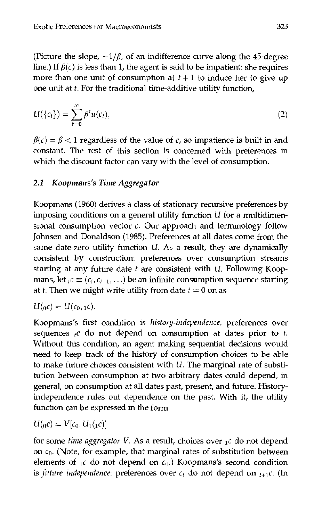(Picture the slope,  $-\frac{1}{\beta}$ , of an indifference curve along the 45-degree line.) If  $\beta(c)$  is less than 1, the agent is said to be impatient: she requires more than one unit of consumption at  $t + 1$  to induce her to give up one unit at *t.* For the traditional time-additive utility function,

$$
U({ct}) = \sum_{t=0}^{\infty} \beta^t u(c_t),
$$
\n(2)

 $\beta(c) = \beta < 1$  regardless of the value of *c*, so impatience is built in and constant. The rest of this section is concerned with preferences in which the discount factor can vary with the level of consumption.

## *2.1 Koopmans's Time Aggregator*

Koopmans (1960) derives a class of stationary recursive preferences by imposing conditions on a general utility function *U* for a multidimensional consumption vector *c.* Our approach and terminology follow Johnsen and Donaldson (1985). Preferences at all dates come from the same date-zero utility function *U.* As a result, they are dynamically consistent by construction: preferences over consumption streams starting at any future date *t* are consistent with *U.* Following Koopmans, let  $t_i c \equiv (c_t, c_{t+1}, \ldots)$  be an infinite consumption sequence starting at *t.* Then we might write utility from date *t —* 0 on as

 $U({}_{0}c) = U(c_{0}, {}_{1}c).$ 

Koopmans's first condition is *history-independence:* preferences over sequences  $t$ <sup>c</sup> do not depend on consumption at dates prior to *t*. Without this condition, an agent making sequential decisions would need to keep track of the history of consumption choices to be able to make future choices consistent with *U.* The marginal rate of substitution between consumption at two arbitrary dates could depend, in general, on consumption at all dates past, present, and future. Historyindependence rules out dependence on the past. With it, the utility function can be expressed in the form

$$
U({}_0c)=V[c_0,U_1({}_1c)]
$$

for some *time aggregator V.* As a result, choices over *\C* do not depend on  $c_0$ . (Note, for example, that marginal rates of substitution between elements of  $\overline{C}$  do not depend on  $C_0$ .) Koopmans's second condition is *future independence:* preferences over *c<sup>t</sup>* do not depend on *t+\C.* (In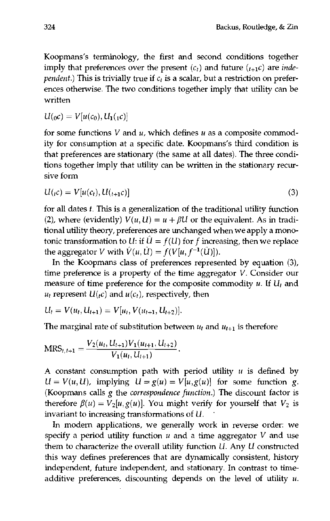Koopmans's terminology, the first and second conditions together imply that preferences over the present  $(c_t)$  and future  $(i_{t+1}c)$  are *independent.)* This is trivially true if *c<sup>t</sup>* is a scalar, but a restriction on preferences otherwise. The two conditions together imply that utility can be written

$$
U(0c) = V[u(c_0), U_1(1c)]
$$

for some functions *V* and u, which defines *u* as a composite commodity for consumption at a specific date. Koopmans's third condition is that preferences are stationary (the same at all dates). The three conditions together imply that utility can be written in the stationary recursive form

$$
U(\mathfrak{c}) = V[u(\mathfrak{c}_{t}), U(\mathfrak{c}_{t+1}\mathfrak{c})]
$$
\n
$$
(3)
$$

for all dates *t.* This is a generalization of the traditional utility function (2), where (evidently)  $V(u, U) = u + \beta U$  or the equivalent. As in traditional utility theory, preferences are unchanged when we apply a monotonic transformation to U: if  $\hat{U} = f(U)$  for f increasing, then we replace the aggregator *V* with  $\hat{V}(u, \hat{U}) = f(V[u, f^{-1}(\hat{U}))$ .

In the Koopmans class of preferences represented by equation (3), time preference is a property of the time aggregator *V.* Consider our measure of time preference for the composite commodity u. If  $U_t$  and  $u_t$  represent  $U(r)$  and  $u(c_t)$ , respectively, then

$$
U_t = V(u_t, U_{t+1}) = V[u_t, V(u_{t+1}, U_{t+2})].
$$

The marginal rate of substitution between  $u_t$  and  $u_{t+1}$  is therefore

$$
MRS_{t,t+1} = \frac{V_2(u_t, U_{t+1})V_1(u_{t+1}, U_{t+2})}{V_1(u_t, U_{t+1})}.
$$

*A* constant consumption path with period utility *u* is defined by  $U = V(u, U)$ , implying  $U = g(u) = V[u, g(u)]$  for some function g. (Koopmans calls *g* the *correspondence function.)* The discount factor is therefore  $\beta(u) = V_2[u, g(u)]$ . You might verify for yourself that  $V_2$  is invariant to increasing transformations of  $U$ .

In modern applications, we generally work in reverse order: we specify a period utility function *u* and a time aggregator *V* and use them to characterize the overall utility function  $U$ . Any  $U$  constructed this way defines preferences that are dynamically consistent, history independent, future independent, and stationary. In contrast to timeadditive preferences, discounting depends on the level of utility *u.*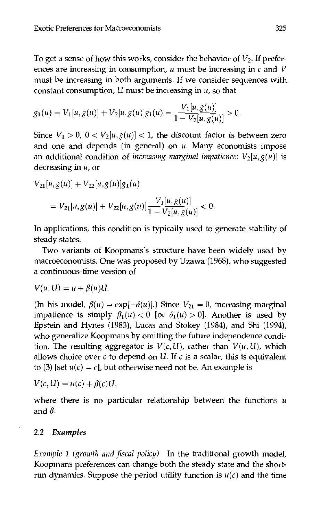To get a sense of how this works, consider the behavior of *V2.* If preferences are increasing in consumption, *u* must be increasing in *c* and *V* must be increasing in both arguments. If we consider sequences with constant consumption, *U* must be increasing in *u,* so that

$$
g_1(u) = V_1[u, g(u)] + V_2[u, g(u)]g_1(u) = \frac{V_1[u, g(u)]}{1 - V_2[u, g(u)]} > 0.
$$

Since  $V_1 > 0$ ,  $0 < V_2[u, g(u)] < 1$ , the discount factor is between zero and one and depends (in general) on *u.* Many economists impose an additional condition of *increasing marginal impatience*:  $V_2[u, g(u)]$  is decreasing in *u,* or

$$
V_{21}[u,g(u)] + V_{22}[u,g(u)]g_1(u)
$$
  
=  $V_{21}[u,g(u)] + V_{22}[u,g(u)] \frac{V_1[u,g(u)]}{1 - V_2[u,g(u)]} < 0.$ 

In applications, this condition is typically used to generate stability of steady states.

Two variants of Koopmans's structure have been widely used by macroeconomists. One was proposed by Uzawa (1968), who suggested a continuous-time version of

$$
V(u, U) = u + \beta(u)U.
$$

(In his model,  $\beta(u) = \exp[-\delta(u)]$ .) Since  $V_{21} = 0$ , increasing marginal impatience is simply  $\beta_1(u) < 0$  [or  $\delta_1(u) > 0$ ]. Another is used by Epstein and Hynes (1983), Lucas and Stokey (1984), and Shi (1994), who generalize Koopmans by omitting the future independence condition. The resulting aggregator is *V(c, U),* rather than *V(u, U),* which allows choice over *c* to depend on *U.* If *c* is a scalar, this is equivalent to (3) [set  $u(c) = c$ ], but otherwise need not be. An example is

$$
V(c, U) = u(c) + \beta(c)U,
$$

where there is no particular relationship between the functions *u* and  $\beta$ .

## *2.2 Examples*

*Example 1 (growth and fiscal policy)* In the traditional growth model, Koopmans preferences can change both the steady state and the shortrun dynamics. Suppose the period utility function is *u(c)* and the time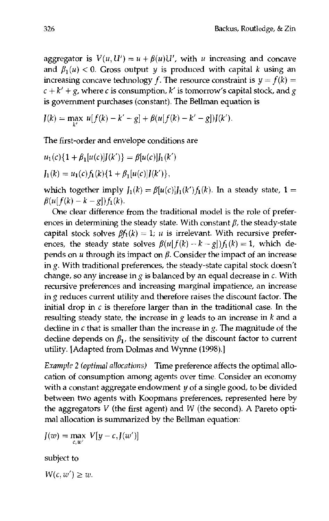aggregator is  $V(u, U') = u + \beta(u)U'$ , with *u* increasing and concave and  $\beta_1(u)$  < 0. Gross output *y* is produced with capital *k* using an increasing concave technology *f*. The resource constraint is  $y = f(k)$  =  $c + k' + g$ , where *c* is consumption, *k'* is tomorrow's capital stock, and *g* is government purchases (constant). The Bellman equation is

$$
J(k) = \max_{k'} u[f(k) - k' - g] + \beta(u[f(k) - k' - g])J(k').
$$

The first-order and envelope conditions are

$$
u_1(c)\{1+\beta_1[u(c)]J(k')\} = \beta[u(c)]J_1(k')
$$
  

$$
J_1(k) = u_1(c) f_1(k)\{1+\beta_1[u(c)]J(k')\},
$$

which together imply  $J_1(k) = \beta[u(c)]\{i(k')\}$ , In a steady state, 1 =  $\beta(u[f(k) - k - g]) f_1(k)$ .

One clear difference from the traditional model is the role of preferences in determining the steady state. With constant  $\beta$ , the steady-state capital stock solves  $\beta f_1(k) = 1$ ; *u* is irrelevant. With recursive preferences, the steady state solves  $\beta(u[f(k)-k-g])f_1(k) = 1$ , which depends on *u* through its impact on  $\beta$ . Consider the impact of an increase in *g.* With traditional preferences, the steady-state capital stock doesn't change, so any increase in *g* is balanced by an equal decrease in *c.* With recursive preferences and increasing marginal impatience, an increase in *g* reduces current utility and therefore raises the discount factor. The initial drop in *c* is therefore larger than in the traditional case. In the resulting steady state, the increase in *g* leads to an increase in *k* and a decline in *c* that is smaller than the increase in *g.* The magnitude of the decline depends on  $\beta_1$ , the sensitivity of the discount factor to current utility. [Adapted from Dolmas and Wynne (1998).]

*Example 2 (optimal allocations)* Time preference affects the optimal allocation of consumption among agents over time. Consider an economy with a constant aggregate endowment y of a single good, to be divided between two agents with Koopmans preferences, represented here by the aggregators *V* (the first agent) and *W* (the second). A Pareto optimal allocation is summarized by the Bellman equation:

 $J(w) = \max_{c,w'} V[y-c,J(w')]$ 

subject to

 $W(c, w') \geq w$ .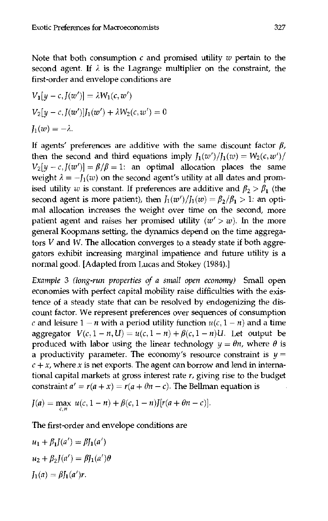Note that both consumption *c* and promised utility *w* pertain to the second agent. If  $\lambda$  is the Lagrange multiplier on the constraint, the first-order and envelope conditions are

$$
V_1[y - c, J(w')] = \lambda W_1(c, w')
$$
  
\n
$$
V_2[y - c, J(w')]J_1(w') + \lambda W_2(c, w') = 0
$$
  
\n
$$
J_1(w) = -\lambda.
$$

If agents' preferences are additive with the same discount factor  $\beta$ , then the second and third equations imply  $J_1(w')/J_1(w) = W_2(c,w')/J_2(w)$  $V_2[\psi - c, J(\psi')] = \frac{\beta}{\beta} = 1$ : an optimal allocation places the same weight  $\lambda = -I_1(w)$  on the second agent's utility at all dates and promised utility *w* is constant. If preferences are additive and  $\beta_2 > \beta_1$  (the second agent is more patient), then  $J_1(w')/J_1(w) = \beta_2/\beta_1 > 1$ ; an optimal allocation increases the weight over time on the second, more patient agent and raises her promised utility  $(w' > w)$ . In the more general Koopmans setting, the dynamics depend on the time aggregators *V* and W. The allocation converges to a steady state if both aggregators exhibit increasing marginal impatience and future utility is a normal good. [Adapted from Lucas and Stokey (1984).]

*Example 3 (long-run properties of a small open economy)* Small open economies with perfect capital mobility raise difficulties with the existence of a steady state that can be resolved by endogenizing the discount factor. We represent preferences over sequences of consumption *c* and leisure  $1 - n$  with a period utility function  $u(c, 1 - n)$  and a time aggregator  $V(c, 1-n, U) = u(c, 1-n) + \beta(c, 1-n)U$ . Let output be produced with labor using the linear technology  $y = \theta n$ , where  $\theta$  is a productivity parameter. The economy's resource constraint is  $y =$  $c + x$ , where x is net exports. The agent can borrow and lend in international capital markets at gross interest rate *r,* giving rise to the budget constraint  $a' = r(a + x) = r(a + \theta n - c)$ . The Bellman equation is

$$
J(a) = \max_{c,n} u(c, 1-n) + \beta(c, 1-n)J[r(a + \theta n - c)].
$$

The first-order and envelope conditions are

$$
u_1 + \beta_1 J(a') = \beta J_1(a')
$$
  
\n
$$
u_2 + \beta_2 J(a') = \beta J_1(a')\theta
$$
  
\n
$$
J_1(a) = \beta J_1(a')r.
$$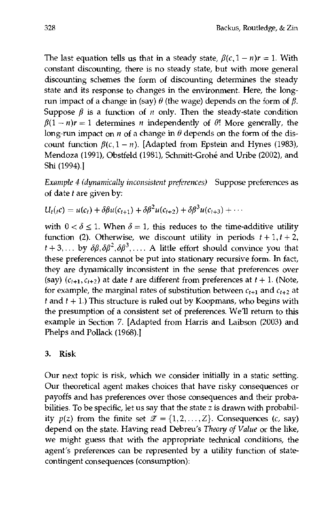The last equation tells us that in a steady state,  $\beta(c, 1 - n)r = 1$ . With constant discounting, there is no steady state, but with more general discounting schemes the form of discounting determines the steady state and its response to changes in the environment. Here, the longrun impact of a change in (say)  $\theta$  (the wage) depends on the form of  $\beta$ . Suppose  $\beta$  is a function of *n* only. Then the steady-state condition  $\beta(1 - n)r = 1$  determines *n* independently of  $\theta$ ! More generally, the long-run impact on *n* of a change in  $\theta$  depends on the form of the discount function  $\beta(c, 1 - n)$ . [Adapted from Epstein and Hynes (1983), Mendoza (1991), Obstfeld (1981), Schmitt-Grohe and Uribe (2002), and Shi (1994).]

*Example 4 (dynamically inconsistent preferences)* Suppose preferences as of date *t* are given by:

 $U_t(i) = u(c_t) + \delta \beta u(c_{t+1}) + \delta \beta^2 u(c_{t+2}) + \delta \beta^3 u(c_{t+3}) + \cdots$ 

with  $0 < \delta \leq 1$ . When  $\delta = 1$ , this reduces to the time-additive utility function (2). Otherwise, we discount utility in periods  $t+1, t+2$ ,  $f + 3, \ldots$  by  $\delta\beta, \delta\beta^2, \delta\beta^3, \ldots$ . A little effort should convince you that these preferences cannot be put into stationary recursive form. In fact, they are dynamically inconsistent in the sense that preferences over (say)  $(c_{t+1},c_{t+2})$  at date *t* are different from preferences at  $t + 1$ . (Note, for example, the marginal rates of substitution between  $c_{t+1}$  and  $c_{t+2}$  at *t* and *t* + 1.) This structure is ruled out by Koopmans, who begins with the presumption of a consistent set of preferences. We'll return to this example in Section 7. [Adapted from Harris and Laibson (2003) and Phelps and Pollack (1968).]

## **3. Risk**

Our next topic is risk, which we consider initially in a static setting. Our theoretical agent makes choices that have risky consequences or payoffs and has preferences over those consequences and their probabilities. To be specific, let us say that the state z is drawn with probability  $p(z)$  from the finite set  $\mathscr{Z} = \{1, 2, ..., Z\}$ . Consequences  $(c, say)$ depend on the state. Having read Debreu's *Theory of Value* or the like, we might guess that with the appropriate technical conditions, the agent's preferences can be represented by a utility function of statecontingent consequences (consumption):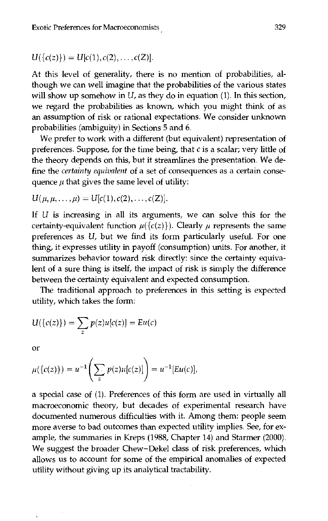$U({c(z)})) = U[c(1), c(2), \ldots, c(Z)].$ 

At this level of generality, there is no mention of probabilities, although we can well imagine that the probabilities of the various states will show up somehow in *U,* as they do in equation (1). In this section, we regard the probabilities as known, which you might think of as an assumption of risk or rational expectations. We consider unknown probabilities (ambiguity) in Sections 5 and 6.

We prefer to work with a different (but equivalent) representation of preferences. Suppose, for the time being, that *c* is a scalar; very little of the theory depends on this, but it streamlines the presentation. We define the *certainty equivalent* of a set of consequences as a certain consequence  $\mu$  that gives the same level of utility:

$$
U(\mu, \mu, \ldots, \mu) = U[c(1), c(2), \ldots, c(Z)].
$$

If  $U$  is increasing in all its arguments, we can solve this for the certainty-equivalent function  $\mu({c(z)})$ . Clearly  $\mu$  represents the same preferences as *U,* but we find its form particularly useful. For one thing, it expresses utility in payoff (consumption) units. For another, it summarizes behavior toward risk directly: since the certainty equivalent of a sure thing is itself, the impact of risk is simply the difference between the certainty equivalent and expected consumption.

The traditional approach to preferences in this setting is expected utility, which takes the form:

$$
U(\lbrace c(z)\rbrace) = \sum_{z} p(z)u[c(z)] = Eu(c)
$$

or

$$
\mu({c(z)}) = u^{-1}\left(\sum_{z} p(z)u[c(z)]\right) = u^{-1}[Eu(c)],
$$

a special case of (1). Preferences of this form are used in virtually all macroeconomic theory, but decades of experimental research have documented numerous difficulties with it. Among them: people seem more averse to bad outcomes than expected utility implies. See, for example, the summaries in Kreps (1988, Chapter 14) and Starmer (2000). We suggest the broader Chew-Dekel class of risk preferences, which allows us to account for some of the empirical anomalies of expected utility without giving up its analytical tractability.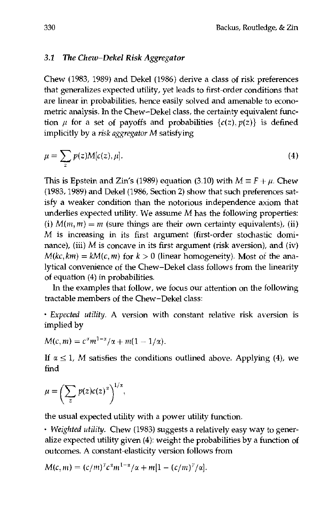#### *3.1 The Chew-Dekel Risk Aggregator*

Chew (1983, 1989) and Dekel (1986) derive a class of risk preferences that generalizes expected utility, yet leads to first-order conditions that are linear in probabilities, hence easily solved and amenable to econometric analysis. In the Chew-Dekel class, the certainty equivalent function  $\mu$  for a set of payoffs and probabilities  $\{c(z), p(z)\}\$ is defined implicitly by a *risk aggregator M* satisfying

$$
\mu = \sum_{z} p(z)M[c(z), \mu]. \tag{4}
$$

This is Epstein and Zin's (1989) equation (3.10) with  $M \equiv F + \mu$ . Chew (1983,1989) and Dekel (1986, Section 2) show that such preferences satisfy a weaker condition than the notorious independence axiom that underlies expected utility. We assume M has the following properties: (i)  $M(m, m) = m$  (sure things are their own certainty equivalents), (ii) M is increasing in its first argument (first-order stochastic dominance), (iii)  $M$  is concave in its first argument (risk aversion), and (iv)  $M(kc, km) = kM(c, m)$  for  $k > 0$  (linear homogeneity). Most of the analytical convenience of the Chew-Dekel class follows from the linearity of equation (4) in probabilities.

In the examples that follow, we focus our attention on the following tractable members of the Chew-Dekel class:

• *Expected utility. A* version with constant relative risk aversion is implied by

 $M(c, m) = c^{\alpha} m^{1-\alpha}/\alpha + m(1 - 1/\alpha).$ 

If  $\alpha \leq 1$ , M satisfies the conditions outlined above. Applying (4), we find

$$
\mu = \left(\sum_{z} p(z)c(z)^{\alpha}\right)^{1/\alpha},
$$

the usual expected utility with a power utility function.

• *Weighted utility.* Chew (1983) suggests a relatively easy way to generalize expected utility given (4): weight the probabilities by a function of outcomes. A constant-elasticity version follows from

$$
M(c,m)=(c/m)^{\gamma}c^{\alpha}m^{1-\alpha}/\alpha+m[1-(c/m)^{\gamma}/\alpha].
$$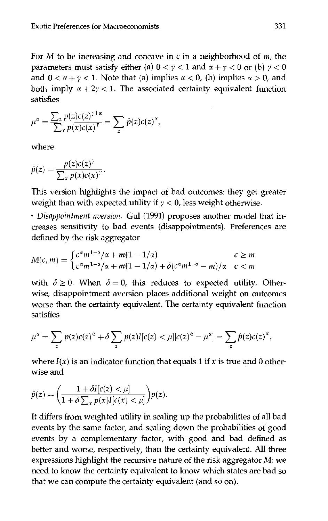For M to be increasing and concave in *c* in a neighborhood of *m,* the parameters must satisfy either (a)  $0 < y < 1$  and  $\alpha + y < 0$  or (b)  $y < 0$ and  $0 < \alpha + \gamma < 1$ . Note that (a) implies  $\alpha < 0$ , (b) implies  $\alpha > 0$ , and both imply  $\alpha + 2y < 1$ . The associated certainty equivalent function satisfies

$$
\mu^{\alpha} = \frac{\sum_{z} p(z)c(z)^{\gamma+\alpha}}{\sum_{x} p(x)c(x)^{\gamma}} = \sum_{z} \hat{p}(z)c(z)^{\alpha},
$$

where

$$
\hat{p}(z) = \frac{p(z)c(z)^{\gamma}}{\sum_{x} p(x)c(x)^{\gamma}}.
$$

This version highlights the impact of bad outcomes: they get greater weight than with expected utility if *y <* 0, less weight otherwise.

• *Disappointment aversion.* Gul (1991) proposes another model that increases sensitivity to bad events (disappointments). Preferences are defined by the risk aggregator

$$
M(c,m) = \begin{cases} c^{\alpha} m^{1-\alpha}/\alpha + m(1-1/\alpha) & c \ge m \\ c^{\alpha} m^{1-\alpha}/\alpha + m(1-1/\alpha) + \delta(c^{\alpha} m^{1-\alpha} - m)/\alpha & c < m \end{cases}
$$

with  $\delta \geq 0$ . When  $\delta = 0$ , this reduces to expected utility. Otherwise, disappointment aversion places additional weight on outcomes worse than the certainty equivalent. The certainty equivalent function satisfies

$$
\mu^{\alpha} = \sum_{z} p(z)c(z)^{\alpha} + \delta \sum_{z} p(z)I[c(z) < \mu][c(z)^{\alpha} - \mu^{\alpha}] = \sum_{z} \hat{p}(z)c(z)^{\alpha},
$$

where  $I(x)$  is an indicator function that equals 1 if x is true and 0 otherwise and

$$
\hat{p}(z) = \left(\frac{1 + \delta I[c(z) < \mu]}{1 + \delta \sum_{x} p(x)I[c(x) < \mu]}\right) p(z).
$$

It differs from weighted utility in scaling up the probabilities of all bad events by the same factor, and scaling down the probabilities of good events by a complementary factor, with good and bad defined as better and worse, respectively, than the certainty equivalent. All three expressions highlight the recursive nature of the risk aggregator M: we need to know the certainty equivalent to know which states are bad so that we can compute the certainty equivalent (and so on).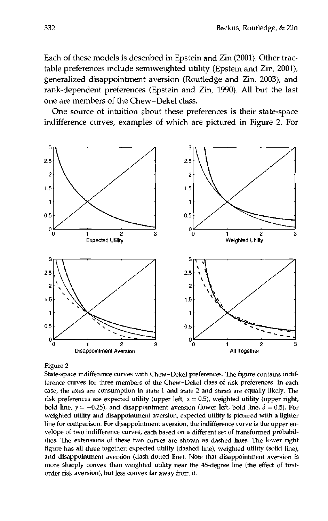Each of these models is described in Epstein and Zin (2001). Other tractable preferences include semiweighted utility (Epstein and Zin, 2001), generalized disappointment aversion (Routledge and Zin, 2003), and rank-dependent preferences (Epstein and Zin, 1990). All but the last one are members of the Chew-Dekel class.

One source of intuition about these preferences is their state-space indifference curves, examples of which are pictured in Figure 2. For



#### **Figure 2**

State-space indifference curves with Chew-Dekel preferences. The figure contains indifference curves for three members of the Chew-Dekel class of risk preferences. In each case, the axes are consumption in state 1 and state 2 and states are equally likely. The risk preferences are expected utility (upper left,  $\alpha = 0.5$ ), weighted utility (upper right, bold line,  $\gamma = -0.25$ ), and disappointment aversion (lower left, bold line,  $\delta = 0.5$ ). For weighted utility and disappointment aversion, expected utility is pictured with a lighter line for comparison. For disappointment aversion, the indifference curve is the upper envelope of two indifference curves, each based on a different set of transformed probabilities. The extensions of these two curves are shown as dashed lines. The lower right figure has all three together: expected utility (dashed line), weighted utility (solid line), and disappointment aversion (dash-dotted line). Note that disappointment aversion is more sharply convex than weighted utility near the 45-degree line (the effect of firstorder risk aversion), but less convex far away from it.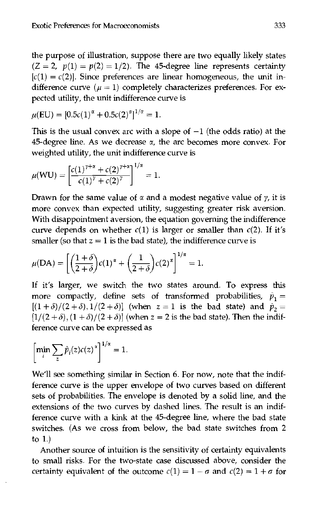the purpose of illustration, suppose there are two equally likely states  $(Z = 2, p(1) = p(2) = 1/2)$ . The 45-degree line represents certainty  $[c(1) = c(2)]$ . Since preferences are linear homogeneous, the unit indifference curve  $(\mu = 1)$  completely characterizes preferences. For expected utility, the unit indifference curve is

$$
\mu(\text{EU}) = [0.5c(1)^{\alpha} + 0.5c(2)^{\alpha}]^{1/\alpha} = 1.
$$

This is the usual convex arc with a slope of  $-1$  (the odds ratio) at the 45-degree line. As we decrease  $\alpha$ , the arc becomes more convex. For weighted utility, the unit indifference curve is

$$
\mu(WU) = \left[\frac{c(1)^{\gamma+\alpha} + c(2)^{\gamma+\alpha}}{c(1)^{\gamma} + c(2)^{\gamma}}\right]^{1/\alpha} = 1
$$

Drawn for the same value of  $\alpha$  and a modest negative value of  $\gamma$ , it is more convex than expected utility, suggesting greater risk aversion. With disappointment aversion, the equation governing the indifference curve depends on whether  $c(1)$  is larger or smaller than  $c(2)$ . If it's smaller (so that  $z = 1$  is the bad state), the indifference curve is

$$
\mu(\text{DA}) = \left[ \left( \frac{1+\delta}{2+\delta} \right) c(1)^{\alpha} + \left( \frac{1}{2+\delta} \right) c(2)^{\alpha} \right]^{1/\alpha} = 1.
$$

If it's larger, we switch the two states around. To express this more compactly, define sets of transformed probabilities,  $\hat{p}_1 =$  $[(1 + \delta)/(2 + \delta), 1/(2 + \delta)]$  (when  $z = 1$  is the bad state) and  $\hat{p}_2 =$  $[1/(2+\delta), (1+\delta)/(2+\delta)]$  (when  $z = 2$  is the bad state). Then the indifference curve can be expressed as

$$
\left[\min_i \sum_z \hat{p}_i(z)c(z)^\alpha\right]^{1/\alpha} = 1.
$$

We'll see something similar in Section 6. For now, note that the indifference curve is the upper envelope of two curves based on different sets of probabilities. The envelope is denoted by a solid line, and the extensions of the two curves by dashed lines. The result is an indifference curve with a kink at the 45-degree line, where the bad state switches. (As we cross from below, the bad state switches from 2 to 1.)

Another source of intuition is the sensitivity of certainty equivalents to small risks. For the two-state case discussed above, consider the certainty equivalent of the outcome  $c(1) = 1 - \sigma$  and  $c(2) = 1 + \sigma$  for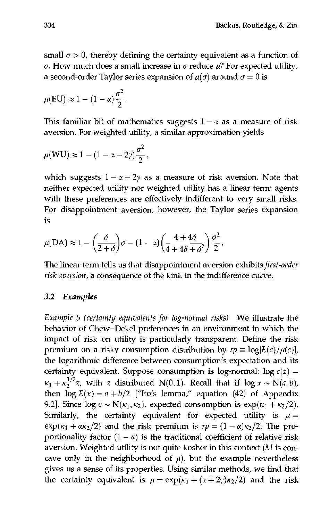small  $\sigma > 0$ , thereby defining the certainty equivalent as a function of  $\sigma$ . How much does a small increase in  $\sigma$  reduce  $\mu$ ? For expected utility, a second-order Taylor series expansion of  $\mu(\sigma)$  around  $\sigma = 0$  is

$$
\mu(\text{EU}) \approx 1 - (1 - \alpha) \frac{\sigma^2}{2}.
$$

This familiar bit of mathematics suggests  $1 - \alpha$  as a measure of risk aversion. For weighted utility, a similar approximation yields

$$
\mu(WU) \approx 1 - (1 - \alpha - 2\gamma) \frac{\sigma^2}{2},
$$

which suggests  $1 - \alpha - 2\gamma$  as a measure of risk aversion. Note that neither expected utility nor weighted utility has a linear term: agents with these preferences are effectively indifferent to very small risks. For disappointment aversion, however, the Taylor series expansion is

$$
\mu(\text{DA}) \approx 1 - \left(\frac{\delta}{2+\delta}\right)\sigma - (1-\alpha)\left(\frac{4+4\delta}{4+4\delta+\delta^2}\right)\frac{\sigma^2}{2}.
$$

The linear term tells us that disappointment aversion exhibits *first-order risk aversion,* a consequence of the kink in the indifference curve.

#### *3.2 Examples*

*Example 5 (certainty equivalents for log-normal risks)* We illustrate **the** behavior of Chew-Dekel preferences in an environment in which the impact of risk on utility is particularly transparent. Define the risk premium on a risky consumption distribution by  $rp \equiv \log(E(c)/\mu(c))$ , the logarithmic difference between consumption's expectation and its certainty equivalent. Suppose consumption is log-normal: log *c(z) =*  $K_1 + K_2^{1/2}z$ , with z distributed N(0,1). Recall that if  $\log x \sim N(a, b)$ , then  $\log E(x) = a + b/2$  ["Ito's lemma," equation (42) of Appendix 9.2]. Since  $\log c \sim N(\kappa_1, \kappa_2)$ , expected consumption is  $\exp(\kappa_1 + \kappa_2/2)$ . Similarly, the certainty equivalent for expected utility is  $\mu =$  $\exp(\kappa_1 + \alpha \kappa_2/2)$  and the risk premium is  $rp = (1 - \alpha)\kappa_2/2$ . The proportionality factor  $(1 - \alpha)$  is the traditional coefficient of relative risk aversion. Weighted utility is not quite kosher in this context (M is concave only in the neighborhood of  $\mu$ ), but the example nevertheless gives us a sense of its properties. Using similar methods, we find that the certainty equivalent is  $\mu = \exp(\kappa_1 + (\alpha + 2\gamma)\kappa_2/2)$  and the risk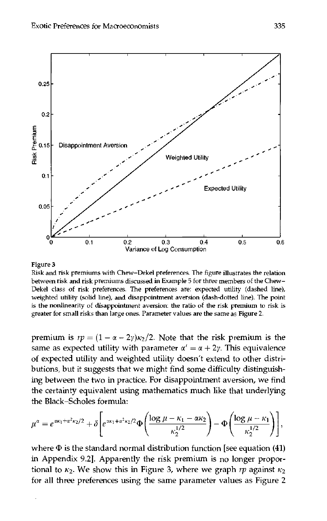

#### **Figure 3**

Risk and risk premiums with Chew-Dekel preferences. The figure illustrates the relation between risk and risk premiums discussed in Example 5 for three members of the Chew-Dekel class of risk preferences. The preferences are: expected utility (dashed line), weighted utility (solid line), and disappointment aversion (dash-dotted line). The point is the nonlinearity of disappointment aversion: the ratio of the risk premium to risk is greater for small risks than large ones. Parameter values are the same as Figure 2.

premium is  $rp = (1 - \alpha - 2\gamma)\kappa_2/2$ . Note that the risk premium is the same as expected utility with parameter  $\alpha' = \alpha + 2\gamma$ . This equivalence of expected utility and weighted utility doesn't extend to other distributions, but it suggests that we might find some difficulty distinguishing between the two in practice. For disappointment aversion, we find the certainty equivalent using mathematics much like that underlying the Black-Scholes formula:

$$
\mu^{\alpha} = e^{\alpha \kappa_1 + \alpha^2 \kappa_2/2} + \delta \left[ e^{\alpha \kappa_1 + \alpha^2 \kappa_2/2} \Phi \left( \frac{\log \mu - \kappa_1 - \alpha \kappa_2}{\kappa_2^{1/2}} \right) - \Phi \left( \frac{\log \mu - \kappa_1}{\kappa_2^{1/2}} \right) \right],
$$

where  $\Phi$  is the standard normal distribution function [see equation (41) in Appendix 9.2]. Apparently the risk premium is no longer proportional to  $\kappa_2$ . We show this in Figure 3, where we graph  $rp$  against  $\kappa_2$ for all three preferences using the same parameter values as Figure 2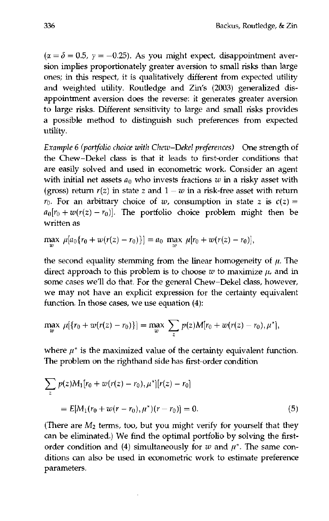$(\alpha = \delta = 0.5, \gamma = -0.25)$ . As you might expect, disappointment aversion implies proportionately greater aversion to small risks than large ones; in this respect, it is qualitatively different from expected utility and weighted utility. Routledge and Zin's (2003) generalized disappointment aversion does the reverse: it generates greater aversion to large risks. Different sensitivity to large and small risks provides a possible method to distinguish such preferences from expected utility.

*Example 6 (portfolio choice with Chew-Dekel preferences)* One strength of the Chew-Dekel class is that it leads to first-order conditions that are easily solved and used in econometric work. Consider an agent with initial net assets  $a_0$  who invests fractions w in a risky asset with (gross) return  $r(z)$  in state z and  $1 - w$  in a risk-free asset with return  $r_0$ *.* For an arbitrary choice of *w*, consumption in state *z* is  $c(z) =$  $a_0[r_0+w(r(z)-r_0)]$ . The portfolio choice problem might then be written as

$$
\max_{w} \mu[a_0\{r_0+w(r(z)-r_0)\}] = a_0 \max_{w} \mu[r_0+w(r(z)-r_0)],
$$

the second equality stemming from the linear homogeneity of  $\mu$ . The direct approach to this problem is to choose  $w$  to maximize  $\mu$ , and in some cases we'll do that. For the general Chew-Dekel class, however, we may not have an explicit expression for the certainty equivalent function. In those cases, we use equation (4):

$$
\max_{w} \mu[\{r_0 + w(r(z) - r_0)\}] = \max_{w} \sum_{z} p(z)M[r_0 + w(r(z) - r_0), \mu^*],
$$

where  $\mu^*$  is the maximized value of the certainty equivalent function. The problem on the righthand side has first-order condition

$$
\sum_{z} p(z)M_1[r_0 + w(r(z) - r_0), \mu^*][r(z) - r_0]
$$
  
=  $E[M_1(r_0 + w(r - r_0), \mu^*)(r - r_0)] = 0.$  (5)

(There are  $M_2$  terms, too, but you might verify for yourself that they can be eliminated.) We find the optimal portfolio by solving the firstorder condition and (4) simultaneously for  $w$  and  $\mu^*$ . The same conditions can also be used in econometric work to estimate preference parameters.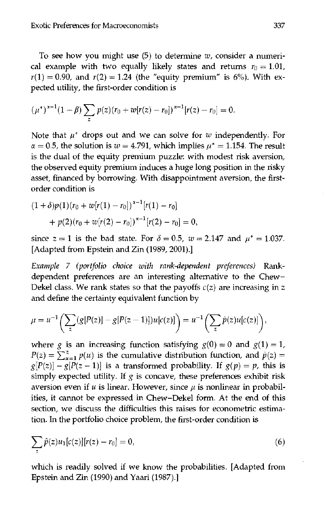To see how you might use (5) to determine *w,* consider a numerical example with two equally likely states and returns  $r_0 = 1.01$ ,  $r(1) = 0.90$ , and  $r(2) = 1.24$  (the "equity premium" is 6%). With expected utility, the first-order condition is

$$
(\mu^*)^{\alpha-1}(1-\beta)\sum_{z}p(z)(r_0+w[r(z)-r_0])^{\alpha-1}[r(z)-r_0]=0.
$$

Note that  $\mu^*$  drops out and we can solve for  $w$  independently. For  $\alpha = 0.5$ , the solution is  $w = 4.791$ , which implies  $\mu^* = 1.154$ . The result is the dual of the equity premium puzzle: with modest risk aversion, the observed equity premium induces a huge long position in the risky asset, financed by borrowing. With disappointment aversion, the firstorder condition is

$$
(1+\delta)p(1)(r_0+w[r(1)-r_0])^{x-1}[r(1)-r_0]
$$
  
+  $p(2)(r_0+w[r(2)-r_0])^{x-1}[r(2)-r_0]=0,$ 

since  $z = 1$  is the bad state. For  $\delta = 0.5$ ,  $w = 2.147$  and  $\mu^* = 1.037$ . [Adapted from Epstein and Zin (1989, 2001).]

*Example* 7 *(portfolio choice with rank-dependent preferences)* Rankdependent preferences are an interesting alternative to the Chew-Dekel class. We rank states so that the payoffs  $c(z)$  are increasing in z and define the certainty equivalent function by

$$
\mu = u^{-1} \left( \sum_{z} (g[P(z)] - g[P(z-1)]) u[c(z)] \right) = u^{-1} \left( \sum_{z} \hat{p}(z) u[c(z)] \right),
$$

where *g* is an increasing function satisfying  $g(0) = 0$  and  $g(1) = 1$ ,  $P(z) = \sum_{\mu=1}^{z} p(\mu)$  is the cumulative distribution function, and  $\hat{p}(z) =$  $g[P(z)] - g[P(z - 1)]$  is a transformed probability. If  $g(p) = p$ , this is simply expected utility. If *g* is concave, these preferences exhibit risk aversion even if  $u$  is linear. However, since  $\mu$  is nonlinear in probabilities, it cannot be expressed in Chew-Dekel form. At the end of this section, we discuss the difficulties this raises for econometric estimation. In the portfolio choice problem, the first-order condition is

$$
\sum_{z} \hat{p}(z)u_1[c(z)][r(z) - r_0] = 0, \tag{6}
$$

which is readily solved if we know the probabilities. [Adapted from Epstein and Zin (1990) and Yaari (1987).]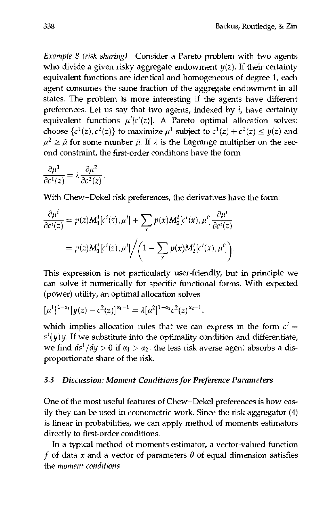*Example 8 (risk sharing)* Consider a Pareto problem with two agents who divide a given risky aggregate endowment *y(z).* If their certainty equivalent functions are identical and homogeneous of degree 1, each agent consumes the same fraction of the aggregate endowment in all states. The problem is more interesting if the agents have different preferences. Let us say that two agents, indexed by *i,* have certainty equivalent functions  $\mu^i[c^i(z)]$ . A Pareto optimal allocation solves: choose  $\{c^1(z), c^2(z)\}$  to maximize  $\mu^1$  subject to  $c^1(z) + c^2(z) \le y(z)$  and  $\mu^2 \geq \bar{\mu}$  for some number  $\bar{\mu}$ . If  $\lambda$  is the Lagrange multiplier on the second constraint, the first-order conditions have the form

$$
\frac{\partial \mu^1}{\partial c^1(z)} = \lambda \frac{\partial \mu^2}{\partial c^2(z)}.
$$

With Chew-Dekel risk preferences, the derivatives have the form:

$$
\frac{\partial \mu^i}{\partial c^i(z)} = p(z)M_1^i[c^i(z), \mu^i] + \sum_x p(x)M_2^i[c^i(x), \mu^i] \frac{\partial \mu^i}{\partial c^i(z)}
$$

$$
= p(z)M_1^i[c^i(z), \mu^i] / \left(1 - \sum_x p(x)M_2^i[c^i(x), \mu^i]\right).
$$

This expression is not particularly user-friendly, but in principle we can solve it numerically for specific functional forms. With expected (power) utility, an optimal allocation solves

$$
[\mu^1]^{1-\alpha_1}[y(z)-c^2(z)]^{\alpha_1-1}=\lambda[\mu^2]^{1-\alpha_2}c^2(z)^{\alpha_2-1},
$$

which implies allocation rules that we can express in the form  $c^i =$  $s^i(y)y$ . If we substitute into the optimality condition and differentiate, we find  $ds^1/dy > 0$  if  $\alpha_1 > \alpha_2$ : the less risk averse agent absorbs a disproportionate share of the risk.

#### *3.3 Discussion: Moment Conditions for Preference Parameters*

One of the most useful features of Chew-Dekel preferences is how easily they can be used in econometric work. Since the risk aggregator (4) is linear in probabilities, we can apply method of moments estimators directly to first-order conditions.

In a typical method of moments estimator, a vector-valued function *f* of data *x* and a vector of parameters  $\theta$  of equal dimension satisfies **the** *moment conditions*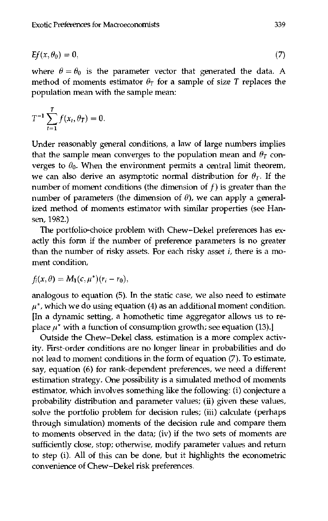$$
Ef(x, \theta_0) = 0,\t\t(7)
$$

where  $\theta = \theta_0$  is the parameter vector that generated the data. A method of moments estimator  $\theta_T$  for a sample of size T replaces the population mean with the sample mean:

$$
T^{-1} \sum_{t=1}^{T} f(x_t, \theta_T) = 0.
$$

Under reasonably general conditions, a law of large numbers implies that the sample mean converges to the population mean and  $\theta_T$  converges to  $\theta_0$ . When the environment permits a central limit theorem, we can also derive an asymptotic normal distribution for  $\theta_T$ . If the number of moment conditions (the dimension of  $f$ ) is greater than the number of parameters (the dimension of  $\theta$ ), we can apply a generalized method of moments estimator with similar properties (see Hansen, 1982.)

The portfolio-choice problem with Chew-Dekel preferences has exactly this form if the number of preference parameters is no greater than the number of risky assets. For each risky asset *i,* there is a moment condition,

$$
f_i(x,\theta)=M_1(c,\mu^*)(r_i-r_0),
$$

analogous to equation (5). In the static case, we also need to estimate  $\mu^*$ , which we do using equation (4) as an additional moment condition. [In a dynamic setting, a homothetic time aggregator allows us to replace  $\mu^*$  with a function of consumption growth; see equation (13).]

Outside the Chew-Dekel class, estimation is a more complex activity. First-order conditions are no longer linear in probabilities and do not lead to moment conditions in the form of equation (7). To estimate, say, equation (6) for rank-dependent preferences, we need a different estimation strategy. One possibility is a simulated method of moments estimator, which involves something like the following: (i) conjecture a probability distribution and parameter values; (ii) given these values, solve the portfolio problem for decision rules; (iii) calculate (perhaps through simulation) moments of the decision rule and compare them to moments observed in the data; (iv) if the two sets of moments are sufficiently close, stop; otherwise, modify parameter values and return to step (i). All of this can be done, but it highlights the econometric convenience of Chew-Dekel risk preferences.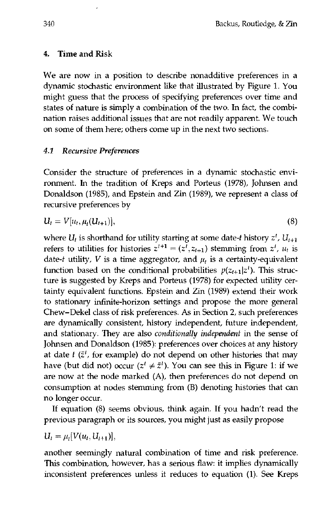#### **4. Time and Risk**

We are now in a position to describe nonadditive preferences in a dynamic stochastic environment like that illustrated by Figure 1. You might guess that the process of specifying preferences over time and states of nature is simply a combination of the two. In fact, the combination raises additional issues that are not readily apparent. We touch on some of them here; others come up in the next two sections.

## 4.2 *Recursive Preferences*

Consider the structure of preferences in a dynamic stochastic environment. In the tradition of Kreps and Porteus (1978), Johnsen and Donaldson (1985), and Epstein and Zin (1989), we represent a class of recursive preferences by

$$
U_t = V[u_t, \mu_t(U_{t+1})],
$$
\n(8)

where  $U_t$  is shorthand for utility starting at some date-t history  $z^t$ ,  $U_{t+1}$ refers to utilities for histories  $z^{t+1} = (z^{\tilde{t}}, z_{t+1})$  stemming from  $z^{t}$ ,  $u_{t}$  is date-t utility,  $V$  is a time aggregator, and  $\mu_t$  is a certainty-equivalent function based on the conditional probabilities  $p(z_{t+1}|z^t)$ . This structure is suggested by Kreps and Porteus (1978) for expected utility certainty equivalent functions. Epstein and Zin (1989) extend their work to stationary infinite-horizon settings and propose the more general Chew-Dekel class of risk preferences. As in Section 2, such preferences are dynamically consistent, history independent, future independent, and stationary. They are also *conditionally independent* in the sense of Johnsen and Donaldson (1985): preferences over choices at any history at date  $t \, (\bar{z}^t)$ , for example) do not depend on other histories that may have (but did not) occur ( $z^t \neq \bar{z}^t$ ). You can see this in Figure 1: if we are now at the node marked (A), then preferences do not depend on consumption at nodes stemming from (B) denoting histories that can no longer occur.

If equation (8) seems obvious, think again. If you hadn't read the previous paragraph or its sources, you might just as easily propose

$$
U_t = \mu_t[V(u_t, U_{t+1})],
$$

another seemingly natural combination of time and risk preference. This combination, however, has a serious flaw: it implies dynamically inconsistent preferences unless it reduces to equation (1). See Kreps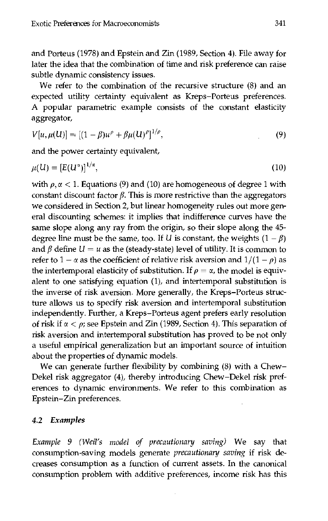and Porteus (1978) and Epstein and Zin (1989, Section 4). File away for later the idea that the combination of time and risk preference can raise subtle dynamic consistency issues.

We refer to the combination of the recursive structure (8) and an expected utility certainty equivalent as Kreps-Porteus preferences. A popular parametric example consists of the constant elasticity aggregator,

$$
V[u, \mu(U)] = [(1 - \beta)u^{\rho} + \beta \mu(U)^{\rho}]^{1/\rho}, \tag{9}
$$

and the power certainty equivalent,

$$
\mu(U) = [E(U^{\alpha})]^{1/\alpha},\tag{10}
$$

with  $\rho, \alpha < 1$ . Equations (9) and (10) are homogeneous of degree 1 with constant discount factor  $\beta$ . This is more restrictive than the aggregators we considered in Section 2, but linear homogeneity rules out more general discounting schemes: it implies that indifference curves have the same slope along any ray from the origin, so their slope along the 45 degree line must be the same, too. If U is constant, the weights  $(1 - \beta)$ and  $\beta$  define  $U = u$  as the (steady-state) level of utility. It is common to refer to  $1 - \alpha$  as the coefficient of relative risk aversion and  $1/(1 - \rho)$  as the intertemporal elasticity of substitution. If  $\rho = \alpha$ , the model is equivalent to one satisfying equation (1), and intertemporal substitution is the inverse of risk aversion. More generally, the Kreps-Porteus structure allows us to specify risk aversion and intertemporal substitution independently. Further, a Kreps-Porteus agent prefers early resolution of risk if  $\alpha < \rho$ ; see Epstein and Zin (1989, Section 4). This separation of risk aversion and intertemporal substitution has proved to be not only a useful empirical generalization but an important source of intuition about the properties of dynamic models.

We can generate further flexibility by combining (8) with a Chew-Dekel risk aggregator (4), thereby introducing Chew-Dekel risk preferences to dynamic environments. We refer to this combination as Epstein-Zin preferences.

#### *4.2 Examples*

*Example 9 (Weil's model of precautionary saving)* We say that consumption-saving models generate *precautionary saving* if risk decreases consumption as a function of current assets. In the canonical consumption problem with additive preferences, income risk has this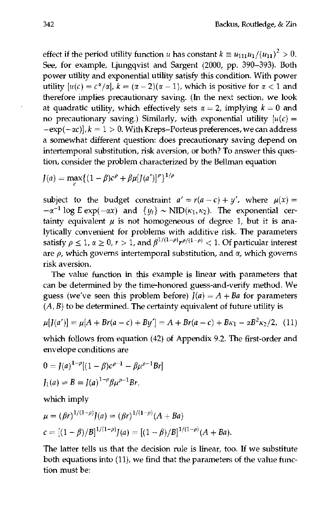effect if the period utility function *u* has constant  $k \equiv u_{111}u_1/(u_{11})^2 > 0$ . See, for example, Ljungqvist and Sargent (2000, pp. 390-393). Both power utility and exponential utility satisfy this condition. With power utility  $[u(c) = c^{\alpha}/\alpha]$ ,  $k = (\alpha - 2)(\alpha - 1)$ , which is positive for  $\alpha < 1$  and therefore implies precautionary saving. (In the next section, we look at quadratic utility, which effectively sets  $\alpha = 2$ , implying  $k = 0$  and no precautionary saving.) Similarly, with exponential utility  $u(c) =$  $-\exp(-\alpha c)$ ,  $k = 1 > 0$ . With Kreps-Porteus preferences, we can address a somewhat different question: does precautionary saving depend on intertemporal substitution, risk aversion, or both? To answer this question, consider the problem characterized by the Bellman equation

$$
J(a) = \max\{(1-\beta)c^{\rho} + \beta\mu[J(a')]^{\rho}\}^{1/\rho}
$$

subject to the budget constraint  $a' = r(a - c) + y'$ , where  $\mu(x) =$  $-\alpha^{-1}$  log E exp( $-\alpha x$ ) and  $\{y_t\} \sim \text{NID}(\kappa_1, \kappa_2)$ . The exponential certainty equivalent  $\mu$  is not homogeneous of degree 1, but it is analytically convenient for problems with additive risk. The parameters satisfy  $\rho \leq 1$ ,  $\alpha \geq 0$ ,  $r > 1$ , and  $\beta^{1/(1-\rho)}r^{\rho/(1-\rho)} < 1$ . Of particular interest are *p,* which governs intertemporal substitution, and *a,* which governs risk aversion.

The value function in this example is linear with parameters that can be determined by the time-honored guess-and-verify method. We guess (we've seen this problem before)  $J(a) = A + Ba$  for parameters  $(A, B)$  to be determined. The certainty equivalent of future utility is

$$
\mu[J(a')] = \mu[A + Br(a - c) + By'] = A + Br(a - c) + B\kappa_1 - \alpha B^2 \kappa_2 / 2, \quad (11)
$$

which follows from equation (42) of Appendix 9.2. The first-order and envelope conditions are

$$
0 = J(a)^{1-\rho}[(1-\beta)c^{\rho-1} - \beta\mu^{\rho-1}Br]
$$
  

$$
J_1(a) = B = J(a)^{1-\rho}\beta\mu^{\rho-1}Br,
$$

which imply

$$
\mu = (\beta r)^{1/(1-\rho)}J(a) = (\beta r)^{1/(1-\rho)}(A + Ba)
$$
  

$$
c = [(1-\beta)/B]^{1/(1-\rho)}J(a) = [(1-\beta)/B]^{1/(1-\rho)}(A + Ba).
$$

The latter tells us that the decision rule is linear, too. If we substitute both equations into (11), we find that the parameters of the value function must be: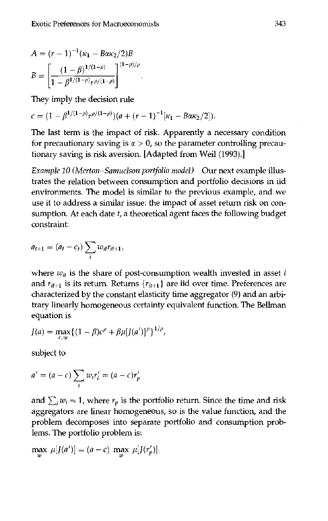$$
A = (r - 1)^{-1} (\kappa_1 - B \alpha \kappa_2 / 2) B
$$
  

$$
B = \left[ \frac{(1 - \beta)^{1/(1 - \rho)}}{1 - \beta^{1/(1 - \rho)} r^{\rho/(1 - \rho)}} \right]^{(1 - \rho)/\rho}.
$$

They imply the decision rule

$$
c = (1 - \beta^{1/(1-\rho)} r^{\rho/(1-\rho)}) (a + (r-1)^{-1} [K_1 - B\alpha K_2/2]).
$$

The last term is the impact of risk. Apparently a necessary condition for precautionary saving is  $\alpha > 0$ , so the parameter controlling precautionary saving is risk aversion. [Adapted from Weil (1993).]

*Example 10 (Merton-Samuelson portfolio model)* Our next example illustrates the relation between consumption and portfolio decisions in iid environments. The model is similar to the previous example, and we use it to address a similar issue: the impact of asset return risk on consumption. At each date *t,* a theoretical agent faces the following budget constraint:

$$
a_{t+1}=(a_t-c_t)\sum_i w_{it}r_{it+1},
$$

where  $w_{it}$  is the share of post-consumption wealth invested in asset  $i$ and  $r_{i+1}$  is its return. Returns  $\{r_{i+1}\}\$  are iid over time. Preferences are characterized by the constant elasticity time aggregator (9) and an arbitrary linearly homogeneous certainty equivalent function. The Bellman equation is

$$
J(a) = \max_{c,w} \{ (1-\beta)c^{\rho} + \beta \mu [J(a')]^{\rho} \}^{1/\rho},
$$

subject to

$$
a' = (a - c) \sum_i w_i r'_i = (a - c) r'_p
$$

and  $\sum_i w_i = 1$ , where  $r_p$  is the portfolio return. Since the time and risk aggregators are linear homogeneous, so is the value function, and the problem decomposes into separate portfolio and consumption problems. The portfolio problem is:

$$
\max_{w} \mu[J(a')] = (a-c) \max_{w} \mu[J(r_p')].
$$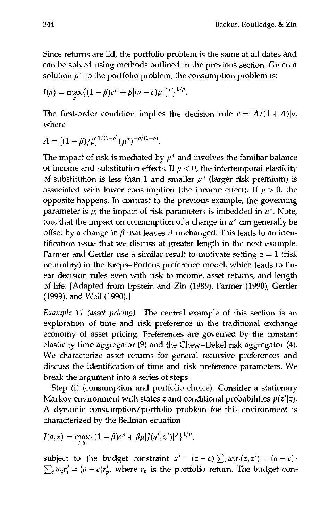Since returns are iid, the portfolio problem is the same at all dates and can be solved using methods outlined in the previous section. Given a solution  $\mu^*$  to the portfolio problem, the consumption problem is:

$$
J(a) = \max\{(1-\beta)c^{\rho} + \beta[(a-c)\mu^*]^{\rho}\}^{1/\rho}.
$$

The first-order condition implies the decision rule  $c = [A/(1+A)]a$ , where

$$
A = [(1 - \beta)/\beta]^{1/(1 - \rho)} (\mu^*)^{-\rho/(1 - \rho)}.
$$

The impact of risk is mediated by  $\mu^*$  and involves the familiar balance of income and substitution effects. If  $\rho < 0$ , the intertemporal elasticity of substitution is less than 1 and smaller  $\mu^*$  (larger risk premium) is associated with lower consumption (the income effect). If  $\rho > 0$ , the opposite happens. In contrast to the previous example, the governing parameter is  $\rho$ ; the impact of risk parameters is imbedded in  $\mu^*$ . Note, too, that the impact on consumption of a change in  $\mu^*$  can generally be offset by a change in  $\beta$  that leaves  $A$  unchanged. This leads to an identification issue that we discuss at greater length in the next example. Farmer and Gertler use a similar result to motivate setting  $\alpha = 1$  (risk neutrality) in the Kreps-Porteus preference model, which leads to linear decision rules even with risk to income, asset returns, and length of life. [Adapted from Epstein and Zin (1989), Farmer (1990), Gertler (1999), and Weil (1990).]

*Example 11 (asset pricing)* The central example of this section is an exploration of time and risk preference in the traditional exchange economy of asset pricing. Preferences are governed by the constant elasticity time aggregator (9) and the Chew-Dekel risk aggregator (4). We characterize asset returns for general recursive preferences and discuss the identification of time and risk preference parameters. We break the argument into a series of steps.

Step (i) (consumption and portfolio choice). Consider a stationary Markov environment with states *z* and conditional probabilities  $p(z'|z)$ . *A* dynamic consumption/portfolio problem for this environment is characterized by the Bellman equation

$$
J(a,z) = \max_{\rho \in \mathbb{R}^n} \{ (1-\beta)c^{\rho} + \beta \mu [J(a',z')]^{\rho} \}^{1/\rho},
$$

subject to the budget constraint  $a' = (a - c) \sum_{i} w_i r_i(z, z') = (a - c) \cdot$  $\sum_i w_i r'_i = (a - c)r'_i$ , where  $r_p$  is the portfolio return. The budget con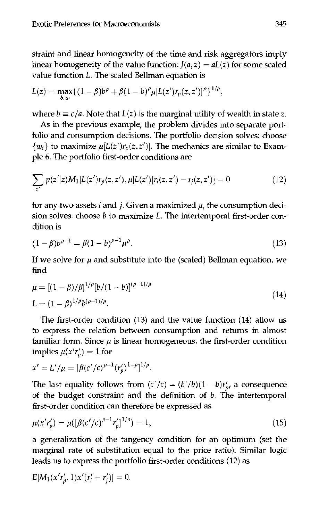straint and linear homogeneity of the time and risk aggregators imply linear homogeneity of the value function:  $J(a, z) = aL(z)$  for some scaled value function L. The scaled Bellman equation is

$$
L(z) = \max_{b,w} \{ (1-\beta)b^{\rho} + \beta(1-b)^{\rho} \mu [L(z')r_{p}(z,z')]^{\rho} \}^{1/\rho},
$$

where  $b \equiv c/a$ . Note that  $L(z)$  is the marginal utility of wealth in state z.

As in the previous example, the problem divides into separate portfolio and consumption decisions. The portfolio decision solves: choose  $\{w_i\}$  to maximize  $\mu[L(z')r_p(z,z')]$ . The mechanics are similar to Example 6. The portfolio first-order conditions are

$$
\sum_{z'} p(z'|z)M_1[L(z')r_p(z,z'),\mu]L(z')[r_i(z,z')-r_j(z,z')] = 0
$$
\n(12)

for any two assets  $i$  and  $j$ . Given a maximized  $\mu$ , the consumption decision solves: choose *b* to maximize L. The intertemporal first-order condition is

$$
(1 - \beta)b^{\rho - 1} = \beta(1 - b)^{\rho - 1}\mu^{\rho}.
$$
\n(13)

If we solve for  $\mu$  and substitute into the (scaled) Bellman equation, we find

$$
\mu = [(1 - \beta)/\beta]^{1/\rho} [b/(1 - b)]^{(\rho - 1)/\rho}
$$
  
\n
$$
L = (1 - \beta)^{1/\rho} b^{(\rho - 1)/\rho}.
$$
\n(14)

The first-order condition (13) and the value function (14) allow us to express the relation between consumption and returns in almost familiar form. Since  $\mu$  is linear homogeneous, the first-order condition implies  $\mu(x'r'_v) = 1$  for

$$
x' = L'/\mu = [\beta(c'/c)^{\rho-1}(r'_p)^{1-\rho}]^{1/\rho}.
$$

The last equality follows from  $(c'/c) = (b'/b)(1-b)r'_n$ , a consequence of the budget constraint and the definition of *b.* The intertemporal first-order condition can therefore be expressed as

$$
\mu(x'r_p') = \mu([\beta(c'/c)^{\rho-1}r_p']^{1/\rho}) = 1,
$$
\n(15)

a generalization of the tangency condition for an optimum (set the marginal rate of substitution equal to the price ratio). Similar logic leads us to express the portfolio first-order conditions (12) as

$$
E[M_1(x'r'_p,1)x'(r'_i-r'_j)]=0.
$$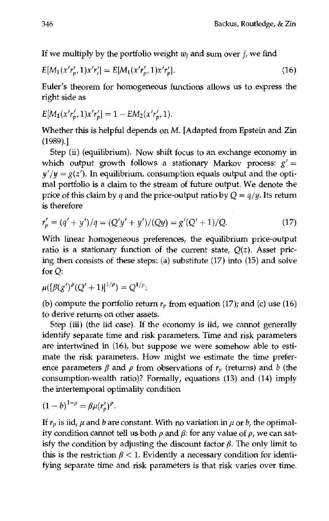If we multiply by the portfolio weight  $w_i$  and sum over  $j_i$ , we find

$$
E[M_1(x' r'_p, 1)x' r'_i] = E[M_1(x' r'_p, 1)x' r'_p].
$$
\n(16)

Euler's theorem for homogeneous functions allows us to express the right side as

$$
E[M_1(x'r'_p,1)x'r'_p] = 1 - EM_2(x'r'_p,1).
$$

Whether this is helpful depends on M. [Adapted from Epstein and Zin (1989).]

Step (ii) (equilibrium). Now shift focus to an exchange economy in which output growth follows a stationary Markov process: *g' =*  $y'/y = g(z')$ . In equilibrium, consumption equals output and the optimal portfolio is a claim to the stream of future output. We denote the price of this claim by *q* and the price-output ratio by  $Q = q/y$ . Its return is therefore

$$
r'_{p} = (q' + y')/q = (Q'y' + y')/(Qy) = g'(Q' + 1)/Q.
$$
 (17)

With linear homogeneous preferences, the equilibrium price-output ratio is a stationary function of the current state,  $Q(z)$ . Asset pricing then consists of these steps: (a) substitute (17) into (15) and solve for  $O$ :

$$
\mu([\beta(g')^{\rho}(Q'+1)]^{1/\rho})=Q^{1/\rho};
$$

(b) compute the portfolio return  $r_p$  from equation (17); and (c) use (16) to derive returns on other assets.

Step (iii) (the iid case). If the economy is iid, we cannot generally identify separate time and risk parameters. Time and risk parameters are intertwined in (16), but suppose we were somehow able to estimate the risk parameters. How might we estimate the time preference parameters  $\beta$  and  $\rho$  from observations of  $r_p$  (returns) and  $b$  (the consumption-wealth ratio)? Formally, equations (13) and (14) imply the intertemporal optimality condition

$$
(1-b)^{1-\rho} = \beta \mu(r'_p)^{\rho}.
$$

If  $r_p$  is iid,  $\mu$  and  $b$  are constant. With no variation in  $\mu$  or  $b$ , the optimality condition cannot tell us both  $\rho$  and  $\beta$ : for any value of  $\rho$ , we can satisfy the condition by adjusting the discount factor  $\beta$ . The only limit to this is the restriction  $\beta$  < 1. Evidently a necessary condition for identifying separate time and risk parameters is that risk varies over time.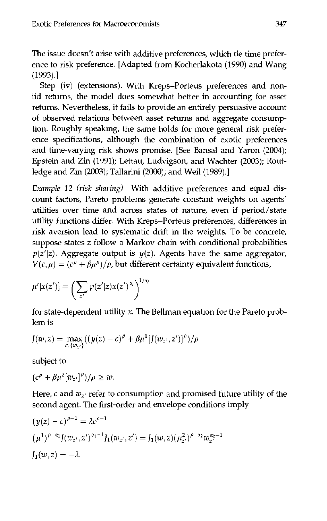The issue doesn't arise with additive preferences, which tie time preference to risk preference. [Adapted from Kocherlakota (1990) and Wang (1993).]

Step (iv) (extensions). With Kreps-Porteus preferences and noniid returns, the model does somewhat better in accounting for asset returns. Nevertheless, it fails to provide an entirely persuasive account of observed relations between asset returns and aggregate consumption. Roughly speaking, the same holds for more general risk preference specifications, although the combination of exotic preferences and time-varying risk shows promise. [See Bansal and Yaron (2004); Epstein and Zin (1991); Lettau, Ludvigson, and Wachter (2003); Routledge and Zin (2003); Tallarini (2000); and Weil (1989).]

*Example 12 (risk sharing)* With additive preferences and equal discount factors, Pareto problems generate constant weights on agents' utilities over time and across states of nature, even if period/state utility functions differ. With Kreps-Porteus preferences, differences in risk aversion lead to systematic drift in the weights. To be concrete, suppose states z follow a Markov chain with conditional probabilities  $p(z'|z)$ . Aggregate output is  $y(z)$ . Agents have the same aggregator,  $V(c,\mu) = (c^{\rho} + \beta \mu^{\rho})/\rho$ , but different certainty equivalent functions,

$$
\mu^{i}[x(z')] = \left(\sum_{z'} p(z'|z)x(z')^{\alpha_{i}}\right)^{1/\alpha}
$$

for state-dependent utility *x.* The Bellman equation for the Pareto problem is

$$
J(w,z) = \max_{c, \{w_{z'}\}} ((y(z) - c)^{\rho} + \beta \mu^{1} [J(w_{z'}, z')]^{\rho})/\rho
$$

subject to

 $(c^{\rho} + \beta \mu^2 |w_{z'}|^{\rho})/\rho \geq w.$ 

Here,  $c$  and  $w_{z}$  refer to consumption and promised future utility of the second agent. The first-order and envelope conditions imply

$$
(y(z) - c)^{\rho - 1} = \lambda c^{\rho - 1}
$$
  
\n
$$
(\mu^1)^{\rho - \alpha_1} J(w_{z'}, z')^{\alpha_1 - 1} J_1(w_{z'}, z') = J_1(w, z) (\mu_{z'}^2)^{\rho - \alpha_2} w_{z'}^{\alpha_2 - 1}
$$
  
\n
$$
J_1(w, z) = -\lambda.
$$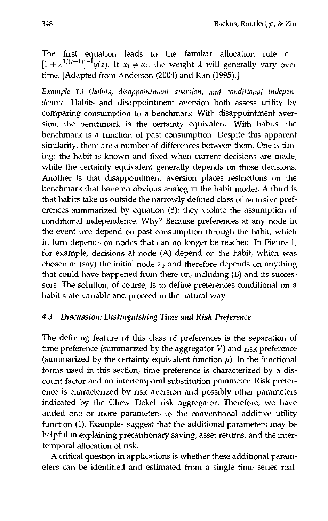The first equation leads to the familiar allocation rule  $c =$  $[1 + \lambda^{1/(\rho-1)}]^{-1}$ *y*(*z*). If  $\alpha_1 \neq \alpha_2$ , the weight  $\lambda$  will generally vary over time. [Adapted from Anderson (2004) and Kan (1995).]

*Example 13 (habits, disappointment aversion, and conditional independence)* Habits and disappointment aversion both assess utility by comparing consumption to a benchmark. With disappointment aversion, the benchmark is the certainty equivalent. With habits, the benchmark is a function of past consumption. Despite this apparent similarity, there are a number of differences between them. One is timing: the habit is known and fixed when current decisions are made, while the certainty equivalent generally depends on those decisions. Another is that disappointment aversion places restrictions on the benchmark that have no obvious analog in the habit model. A third is that habits take us outside the narrowly defined class of recursive preferences summarized by equation (8): they violate the assumption of conditional independence. Why? Because preferences at any node in the event tree depend on past consumption through the habit, which in turn depends on nodes that can no longer be reached. In Figure 1, for example, decisions at node (A) depend on the habit, which was chosen at (say) the initial node  $z_0$  and therefore depends on anything that could have happened from there on, including (B) and its successors. The solution, of course, is to define preferences conditional on a habit state variable and proceed in the natural way.

#### *4.3 Discussion: Distinguishing Time and Risk Preference*

The defining feature of this class of preferences is the separation of time preference (summarized by the aggregator *V)* and risk preference (summarized by the certainty equivalent function  $\mu$ ). In the functional forms used in this section, time preference is characterized by a discount factor and an intertemporal substitution parameter. Risk preference is characterized by risk aversion and possibly other parameters indicated by the Chew-Dekel risk aggregator. Therefore, we have added one or more parameters to the conventional additive utility function (1). Examples suggest that the additional parameters may be helpful in explaining precautionary saving, asset returns, and the intertemporal allocation of risk.

A critical question in applications is whether these additional parameters can be identified and estimated from a single time series real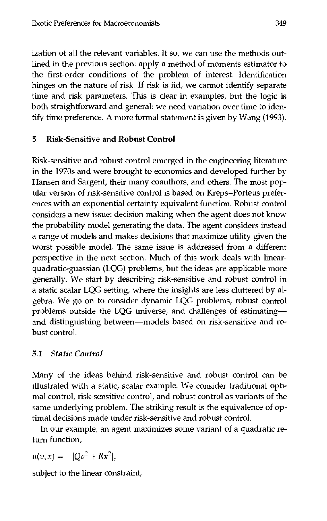ization of all the relevant variables. If so, we can use the methods outlined in the previous section: apply a method of moments estimator to the first-order conditions of the problem of interest. Identification hinges on the nature of risk. If risk is iid, we cannot identify separate time and risk parameters. This is clear in examples, but the logic is both straightforward and general: we need variation over time to identify time preference. A more formal statement is given by Wang (1993).

## **5. Risk-Sensitive and Robust Control**

Risk-sensitive and robust control emerged in the engineering literature in the 1970s and were brought to economics and developed further by Hansen and Sargent, their many coauthors, and others. The most popular version of risk-sensitive control is based on Kreps-Porteus preferences with an exponential certainty equivalent function. Robust control considers a new issue: decision making when the agent does not know the probability model generating the data. The agent considers instead a range of models and makes decisions that maximize utility given the worst possible model. The same issue is addressed from a different perspective in the next section. Much of this work deals with linearquadratic-guassian (LQG) problems, but the ideas are applicable more generally. We start by describing risk-sensitive and robust control in a static scalar LQG setting, where the insights are less cluttered by algebra. We go on to consider dynamic LQG problems, robust control problems outside the LQG universe, and challenges of estimating and distinguishing between—models based on risk-sensitive and robust control.

#### *5.1 Static Control*

Many of the ideas behind risk-sensitive and robust control can be illustrated with a static, scalar example. We consider traditional optimal control, risk-sensitive control, and robust control as variants of the same underlying problem. The striking result is the equivalence of optimal decisions made under risk-sensitive and robust control.

In our example, an agent maximizes some variant of a quadratic return function,

 $u(v, x) = -[Qv^2 + Rx^2],$ 

subject to the linear constraint,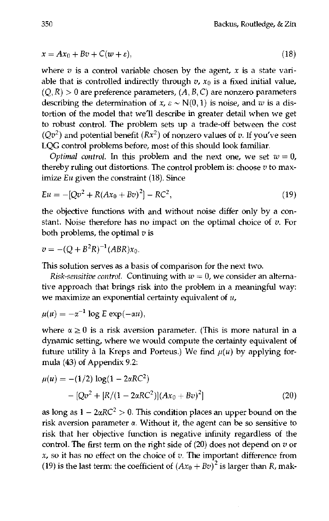$$
x = Ax_0 + Bv + C(w + \varepsilon), \tag{18}
$$

where  $v$  is a control variable chosen by the agent,  $x$  is a state variable that is controlled indirectly through  $v$ ,  $x_0$  is a fixed initial value, (Q,R) > 0 are preference parameters, *(A,B,C)* are nonzero parameters describing the determination of  $x, \varepsilon \sim N(0,1)$  is noise, and w is a distortion of the model that we'll describe in greater detail when we get to robust control. The problem sets up a trade-off between the cost  $(Qv<sup>2</sup>)$  and potential benefit  $(Rx<sup>2</sup>)$  of nonzero values of  $v$ . If you've seen LQG control problems before, most of this should look familiar.

*Optimal control.* In this problem and the next one, we set  $w = 0$ . thereby ruling out distortions. The control problem is: choose *v* to maximize *Eu* given the constraint (18). Since

$$
Eu = -[Qv^2 + R(Ax_0 + Bv)^2] - RC^2,
$$
\n(19)

the objective functions with and without noise differ only by a constant. Noise therefore has no impact on the optimal choice of *v.* For both problems, the optimal *v* is

$$
v = -(Q + B^2 R)^{-1} (ABR) x_0.
$$

This solution serves as a basis of comparison for the next two.

*Risk-sensitive control.* Continuing with  $w = 0$ , we consider an alternative approach that brings risk into the problem in a meaningful way: we maximize an exponential certainty equivalent of *u,*

$$
\mu(u) = -\alpha^{-1} \log E \exp(-\alpha u),
$$

where  $\alpha \geq 0$  is a risk aversion parameter. (This is more natural in a dynamic setting, where we would compute the certainty equivalent of future utility à la Kreps and Porteus.) We find  $\mu(u)$  by applying formula (43) of Appendix 9.2:

$$
\mu(u) = -(1/2) \log(1 - 2\alpha RC^2)
$$
  
-  $[Qv^2 + [R/(1 - 2\alpha RC^2)](Ax_0 + Bv)^2]$  (20)

as long as  $1-2\alpha RC^2>0.$  This condition places an upper bound on the risk aversion parameter  $\alpha$ . Without it, the agent can be so sensitive to risk that her objective function is negative infinity regardless of the control. The first term on the right side of (20) does not depend on *v* or *x,* so it has no effect on the choice of *v.* The important difference from (19) is the last term: the coefficient of  $(Ax_0 + Bv)^2$  is larger than *R*, mak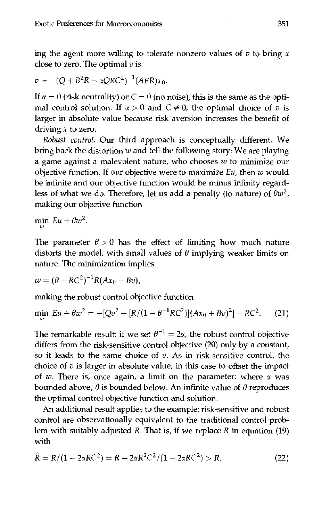ing the agent more willing to tolerate nonzero values of *v* to bring *x* close to zero. The optimal *v* is

$$
v = -(Q + B^2 R - \alpha Q R C^2)^{-1} (ABR)x_0.
$$

If  $\alpha = 0$  (risk neutrality) or  $C = 0$  (no noise), this is the same as the optimal control solution. If  $\alpha > 0$  and  $C \neq 0$ , the optimal choice of *v* is larger in absolute value because risk aversion increases the benefit of driving *x* to zero.

*Robust control.* Our third approach is conceptually different. We bring back the distortion *w* and tell the following story: We are playing a game against a malevolent nature, who chooses *w* to minimize our objective function. If our objective were to maximize *Eu,* then *w* would be infinite and our objective function would be minus infinity regardless of what we do. Therefore, let us add a penalty (to nature) of  $\theta w^2$ , making our objective function

min  $Eu + \theta w^2$ . *w*

The parameter  $\theta > 0$  has the effect of limiting how much nature distorts the model, with small values of  $\theta$  implying weaker limits on nature. The minimization implies

$$
w=(\theta - RC^2)^{-1}R(Ax_0+Bv),
$$

making the robust control objective function

$$
\min_{w} Eu + \theta w^2 = -[Qv^2 + [R/(1 - \theta^{-1}RC^2)](Ax_0 + Bv)^2] - RC^2.
$$
 (21)

The remarkable result: if we set  $\theta^{-1} = 2\alpha$ , the robust control objective differs from the risk-sensitive control objective (20) only by a constant, so it leads to the same choice of *v.* As in risk-sensitive control, the choice of *v* is larger in absolute value, in this case to offset the impact of  $w$ . There is, once again, a limit on the parameter: where  $\alpha$  was bounded above, *9* is bounded below. An infinite value of *6* reproduces the optimal control objective function and solution.

An additional result applies to the example: risk-sensitive and robust control are observationally equivalent to the traditional control problem with suitably adjusted *R.* That is, if we replace *R* in equation (19) with

$$
\hat{R} = R/(1 - 2\alpha RC^2) = R + 2\alpha R^2 C^2/(1 - 2\alpha RC^2) > R,
$$
\n(22)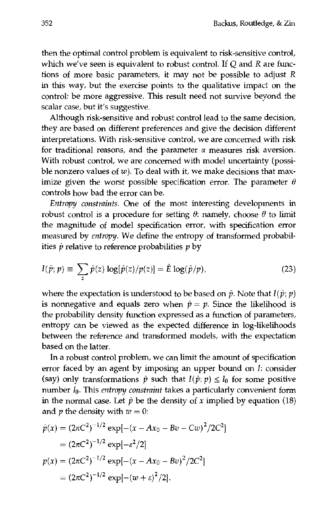then the optimal control problem is equivalent to risk-sensitive control, which we've seen is equivalent to robust control. If *Q* and *R* are functions of more basic parameters, it may not be possible to adjust *R* in this way, but the exercise points to the qualitative impact on the control: be more aggressive. This result need not survive beyond the scalar case, but it's suggestive.

Although risk-sensitive and robust control lead to the same decision, they are based on different preferences and give the decision different interpretations. With risk-sensitive control, we are concerned with risk for traditional reasons, and the parameter  $\alpha$  measures risk aversion. With robust control, we are concerned with model uncertainty (possible nonzero values of  $w$ ). To deal with it, we make decisions that maximize given the worst possible specification error. The parameter  $\theta$ controls how bad the error can be.

*Entropy constraints.* One of the most interesting developments in robust control is a procedure for setting  $\theta$ : namely, choose  $\theta$  to limit the magnitude of model specification error, with specification error measured by *entropy.* We define the entropy of transformed probabilities *p* relative to reference probabilities *p* by

$$
I(\hat{p}; p) \equiv \sum_{z} \hat{p}(z) \log[\hat{p}(z)/p(z)] = \hat{E} \log(\hat{p}/p), \qquad (23)
$$

where the expectation is understood to be based on  $\hat{p}$ . Note that  $I(\hat{p}; p)$ is nonnegative and equals zero when  $\hat{p} = p$ . Since the likelihood is the probability density function expressed as a function of parameters, entropy can be viewed as the expected difference in log-likelihoods between the reference and transformed models, with the expectation based on the latter.

In a robust control problem, we can limit the amount of specification error faced by an agent by imposing an upper bound on *I*: consider (say) only transformations  $\hat{p}$  such that  $I(\hat{p}; p) \leq I_0$  for some positive number  $I_0$ . This *entropy constraint* takes a particularly convenient form in the normal case. Let  $\hat{p}$  be the density of *x* implied by equation (18) and *p* the density with *w =* 0:

$$
\hat{p}(x) = (2\pi C^2)^{-1/2} \exp[-(x - Ax_0 - Bv - Cw)^2 / 2C^2]
$$
  
=  $(2\pi C^2)^{-1/2} \exp[-\varepsilon^2 / 2]$   

$$
p(x) = (2\pi C^2)^{-1/2} \exp[-(x - Ax_0 - Bv)^2 / 2C^2]
$$
  
=  $(2\pi C^2)^{-1/2} \exp[-(w + \varepsilon)^2 / 2].$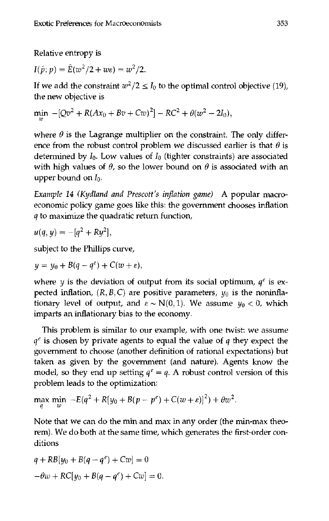Relative entropy is

 $I(\hat{p}; p) = \hat{E}(w^2/2 + w\epsilon) = w^2/2.$ 

If we add the constraint  $w^2/2 \leq I_0$  to the optimal control objective (19), the new objective is

$$
\min_{w} -[Qv^2 + R(Ax_0 + Bv + Cw)^2] - RC^2 + \theta(w^2 - 2I_0),
$$

where  $\theta$  is the Lagrange multiplier on the constraint. The only difference from the robust control problem we discussed earlier is that  $\theta$  is determined by  $I_0$ . Low values of  $I_0$  (tighter constraints) are associated with high values of  $\theta$ , so the lower bound on  $\theta$  is associated with an upper bound on  $I_0$ .

*Example 14 (Kydland and Prescott's inflation game) A* popular macroeconomic policy game goes like this: the government chooses inflation *q* to maximize the quadratic return function,

$$
u(q, y) = -[q^2 + Ry^2],
$$

subject to the Phillips curve,

$$
y = y_0 + B(q - q^e) + C(w + \varepsilon),
$$

where  $y$  is the deviation of output from its social optimum,  $q^e$  is expected inflation,  $(R, B, C)$  are positive parameters,  $y_0$  is the noninflationary level of output, and  $\varepsilon \sim N(0,1)$ . We assume  $y_0 < 0$ , which imparts an inflationary bias to the economy.

This problem is similar to our example, with one twist: we assume *q e* is chosen by private agents to equal the value of *q* they expect the government to choose (another definition of rational expectations) but taken as given by the government (and nature). Agents know the model, so they end up setting  $q^e = q$ . A robust control version of this problem leads to the optimization:

$$
\max_{q} \min_{w} -E(q^{2}+R[y_{0}+B(p-p^{e})+C(w+\varepsilon)]^{2})+\theta w^{2}.
$$

Note that we can do the min and max in any order (the min-max theorem). We do both at the same time, which generates the first-order conditions

$$
q + RB[y0 + B(q - qe) + Cw] = 0
$$

$$
-\theta w + RC[y0 + B(q - qe) + Cw] = 0.
$$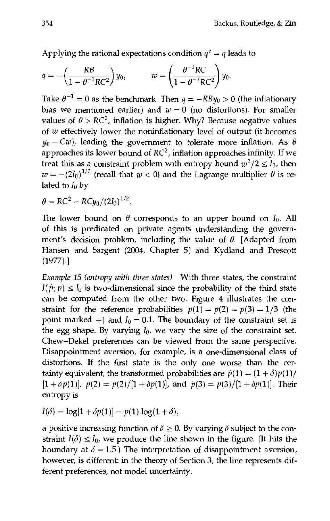Applying the rational expectations condition  $q^e = q$  leads to

$$
q = -\left(\frac{RB}{1 - \theta^{-1}RC^2}\right)y_0, \qquad w = \left(\frac{\theta^{-1}RC}{1 - \theta^{-1}RC^2}\right)y_0.
$$

Take  $\theta^{-1}=0$  as the benchmark. Then  $q=-RBy_{0}>0$  (the inflationary bias we mentioned earlier) and  $w = 0$  (no distortions). For smaller values of  $\theta > RC^2$ , inflation is higher. Why? Because negative values of *w* effectively lower the noninflationary level of output (it becomes  $y_0 + Cw$ ), leading the government to tolerate more inflation. As  $\theta$ approaches its lower bound of  $RC^2$ , inflation approaches infinity. If we treat this as a constraint problem with entropy bound  $w^2/2 \leq I_0$ , then  $w = -(2I_0)^{1/2}$  (recall that  $w < 0$ ) and the Lagrange multiplier  $\theta$  is related to  $I_0$  by

 $\theta = RC^2 - RCy_0/(2I_0)^{1/2}.$ 

The lower bound on  $\theta$  corresponds to an upper bound on  $I_0$ . All of this is predicated on private agents understanding the government's decision problem, including the value of *9.* [Adapted from Hansen and Sargent (2004, Chapter 5) and Kydland and Prescott (1977).]

*Example 15 (entropy with three states)* With three states, the constraint  $l(\hat{p}; p) \leq l_0$  is two-dimensional since the probability of the third state can be computed from the other two. Figure 4 illustrates the constraint for the reference probabilities  $p(1) = p(2) = p(3) = 1/3$  (the point marked +) and  $I_0 = 0.1$ . The boundary of the constraint set is the egg shape. By varying  $I_0$ , we vary the size of the constraint set. Chew-Dekel preferences can be viewed from the same perspective. Disappointment aversion, for example, is a one-dimensional class of distortions. If the first state is the only one worse than the certainty equivalent, the transformed probabilities are  $\hat{p}(1) = (1 + \delta)p(1)/\delta$  $[1 + \delta p(1)]$ ,  $\hat{p}(2) = p(2)/[1 + \delta p(1)]$ , and  $\hat{p}(3) = p(3)/[1 + \delta p(1)]$ . Their entropy is

$$
I(\delta) = \log[1 + \delta p(1)] - p(1) \log(1 + \delta),
$$

a positive increasing function of  $\delta \ge 0$ . By varying  $\delta$  subject to the constraint  $I(\delta) \leq I_0$ , we produce the line shown in the figure. (It hits the boundary at  $\delta = 1.5$ .) The interpretation of disappointment aversion, however, is different: in the theory of Section 3, the line represents different preferences, not model uncertainty.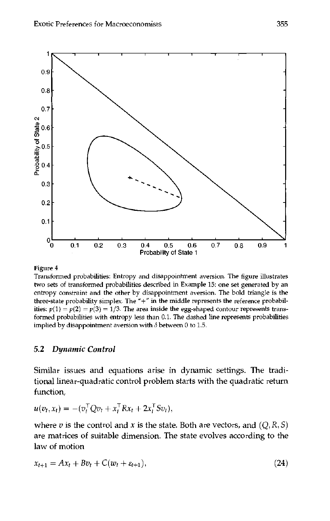

#### **Figure 4**

Transformed probabilities: Entropy and disappointment aversion. The figure illustrates two sets of transformed probabilities described in Example 15: one set generated by an entropy constraint and the other by disappointment aversion. The bold triangle is the three-state probability simplex. The "+" in the middle represents the reference probabilities:  $p(1) = p(2) = p(3) = 1/3$ . The area inside the egg-shaped contour represents transformed probabilities with entropy less than 0.1. The dashed line represents probabilities implied by disappointment aversion with  $\delta$  between 0 to 1.5.

#### *5.2 Dynamic Control*

Similar issues and equations arise in dynamic settings. The traditional linear-quadratic control problem starts with the quadratic return function,

$$
u(v_t, x_t) = -(v_t^{\mathsf{T}} Q v_t + x_t^{\mathsf{T}} R x_t + 2x_t^{\mathsf{T}} S v_t),
$$

where *v* is the control and *x* is the state. Both are vectors, and  $(Q, R, S)$ are matrices of suitable dimension. The state evolves according to the law of motion

$$
x_{t+1} = Ax_t + Bv_t + C(w_t + \varepsilon_{t+1}),
$$
\n
$$
(24)
$$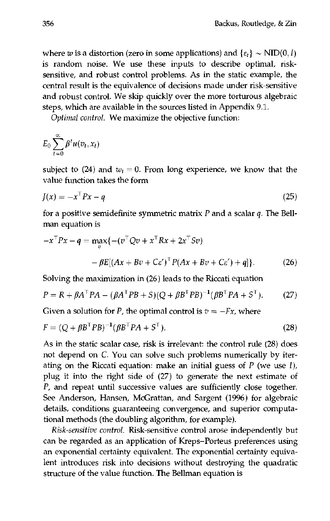where *w* is a distortion (zero in some applications) and  $\{\varepsilon_t\} \sim \text{NID}(0, I)$ is random noise. We use these inputs to describe optimal, risksensitive, and robust control problems. As in the static example, the central result is the equivalence of decisions made under risk-sensitive and robust control. We skip quickly over the more torturous algebraic steps, which are available in the sources listed in Appendix 9.1.

*Optimal control.* We maximize the objective function:

$$
E_0\sum_{t=0}^{\infty}\beta^t u(v_t,x_t)
$$

subject to  $(24)$  and  $w_t = 0$ . From long experience, we know that the value function takes the form

$$
J(x) = -x^{\top}Px - q \tag{25}
$$

for a positive semidefinite symmetric matrix P and a scalar *q.* The Bellman equation is

$$
-x^{\top}Px - q = \max_{v} \{ -(v^{\top}Qv + x^{\top}Rx + 2x^{\top}Sv) - \beta E[(Ax + Bv + Ce')^{\top}P(Ax + Bv + Ce') + q] \}.
$$
 (26)

Solving the maximization in (26) leads to the Riccati equation

$$
P = R + \beta A^{\top} P A - (\beta A^{\top} P B + S) (Q + \beta B^{\top} P B)^{-1} (\beta B^{\top} P A + S^{\top}).
$$
 (27)

Given a solution for P, the optimal control is  $v = -Fx$ , where

$$
F = (Q + \beta B^{\top} P B)^{-1} (\beta B^{\top} P A + S^{\top}).
$$
\n(28)

As in the static scalar case, risk is irrelevant: the control rule (28) does not depend on C. You can solve such problems numerically by iterating on the Riccati equation: make an initial guess of P (we use *I),* plug it into the right side of (27) to generate the next estimate of P, and repeat until successive values are sufficiently close together. See Anderson, Hansen, McGrattan, and Sargent (1996) for algebraic details, conditions guaranteeing convergence, and superior computational methods (the doubling algorithm, for example).

*Risk-sensitive control.* Risk-sensitive control arose independently but can be regarded as an application of Kreps-Porteus preferences using an exponential certainty equivalent. The exponential certainty equivalent introduces risk into decisions without destroying the quadratic structure of the value function. The Bellman equation is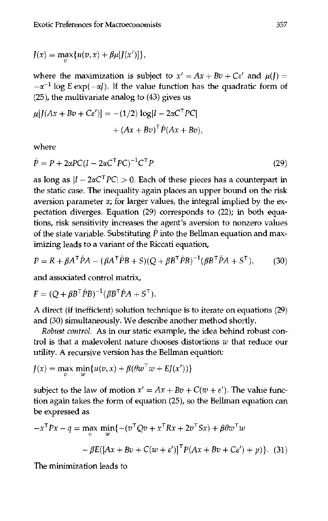$$
J(x) = \max_{x} \{ u(v, x) + \beta \mu [J(x')] \},
$$

where the maximization is subject to  $x' = Ax + Bv + Ce'$  and  $\mu(I) =$  $-\alpha^{-1}$  log *E* exp( $-\alpha$ *J*). If the value function has the quadratic form of (25), the multivariate analog to (43) gives us

$$
\mu[J(Ax + Bv + C\varepsilon')] = -(1/2) \log|I - 2\alpha C^{\mathsf{T}}PC| + (Ax + Bv)^{\mathsf{T}} \hat{P}(Ax + Bv),
$$

where

$$
\hat{P} = P + 2\alpha PC(I - 2\alpha C^{\mathsf{T}}PC)^{-1}C^{\mathsf{T}}P
$$
\n(29)

as long as  $\vert I-2\alpha C^\top P C\vert>0.$  Each of these pieces has a counterpart in the static case. The inequality again places an upper bound on the risk aversion parameter  $\alpha$ ; for larger values, the integral implied by the expectation diverges. Equation (29) corresponds to (22); in both equations, risk sensitivity increases the agent's aversion to nonzero values of the state variable. Substituting  $\hat{P}$  into the Bellman equation and maximizing leads to a variant of the Riccati equation,

$$
P = R + \beta A^{\mathsf{T}} \hat{P} A - (\beta A^{\mathsf{T}} \hat{P} B + S)(Q + \beta B^{\mathsf{T}} \hat{P} B)^{-1} (\beta B^{\mathsf{T}} \hat{P} A + S^{\mathsf{T}}),\tag{30}
$$

and associated control matrix,

$$
F = (Q + \beta B^{\top} \hat{P} B)^{-1} (\beta B^{\top} \hat{P} A + S^{\top}).
$$

*A* direct (if inefficient) solution technique is to iterate on equations (29) and (30) simultaneously. We describe another method shortly.

*Robust control.* As in our static example, the idea behind robust control is that a malevolent nature chooses distortions *w* that reduce our utility. A recursive version has the Bellman equation:

$$
J(x) = \max_{v} \min_{w} \{u(v, x) + \beta(\theta w^{\top} w + EJ(x'))\}
$$

subject to the law of motion  $x' = Ax + Bv + C(w + \varepsilon')$ . The value function again takes the form of equation (25), so the Bellman equation can be expressed as

$$
-x^{\top}Px - q = \max_{v} \min_{w} \{ -(v^{\top}Qv + x^{\top}Rx + 2v^{\top}Sx) + \beta \theta w^{\top}w
$$

$$
- \beta E([Ax + Bv + C(w + \varepsilon')]^{\top}P(Ax + Bv + C\varepsilon') + p) \}. (31)
$$

The minimization leads to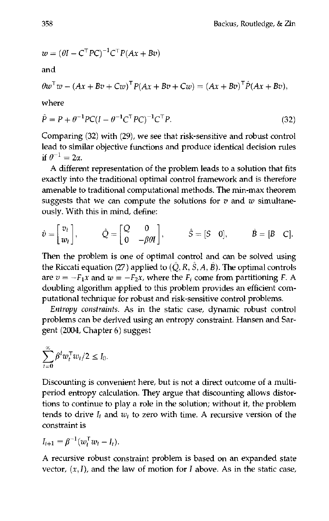$$
w = (\theta I - C^{\mathsf{T}} P C)^{-1} C^{\mathsf{T}} P(Ax + Bv)
$$

and

$$
\theta w^{\mathsf{T}} w - (Ax + Bv + Cw)^{\mathsf{T}} P(Ax + Bv + Cw) = (Ax + Bv)^{\mathsf{T}} \hat{P}(Ax + Bv),
$$

where

$$
\hat{P} = P + \theta^{-1} PC(I - \theta^{-1} C^{\top} PC)^{-1} C^{\top} P.
$$
\n(32)

Comparing (32) with (29), we see that risk-sensitive and robust control lead to similar objective functions and produce identical decision rules if  $\theta^{-1} = 2\alpha$ .

A different representation of the problem leads to a solution that fits exactly into the traditional optimal control framework and is therefore amenable to traditional computational methods. The min-max theorem suggests that we can compute the solutions for  $v$  and  $w$  simultaneously. With this in mind, define:

$$
\hat{v} = \begin{bmatrix} v_t \\ w_t \end{bmatrix}, \qquad \hat{Q} = \begin{bmatrix} Q & 0 \\ 0 & -\beta \theta I \end{bmatrix}, \qquad \hat{S} = \begin{bmatrix} S & 0 \end{bmatrix}, \qquad \hat{B} = \begin{bmatrix} B & C \end{bmatrix}.
$$

Then the problem is one of optimal control and can be solved using the Riccati equation (27) applied to  $(\hat{Q}, R, \hat{S}, A, \hat{B})$ . The optimal controls are  $v = -F_1x$  and  $w = -F_2x$ , where the  $F_i$  come from partitioning F. A doubling algorithm applied to this problem provides an efficient computational technique for robust and risk-sensitive control problems.

*Entropy constraints.* As in the static case, dynamic robust control problems can be derived using an entropy constraint. Hansen and Sargent (2004, Chapter 6) suggest

$$
\sum_{t=0}^{\infty} \beta^t w_t^\top w_t/2 \leq I_0.
$$

Discounting is convenient here, but is not a direct outcome of a multiperiod entropy calculation. They argue that discounting allows distortions to continue to play a role in the solution; without it, the problem tends to drive  $I_t$  and  $w_t$  to zero with time. A recursive version of the constraint is

$$
I_{t+1} = \beta^{-1}(w_t^\top w_t - I_t).
$$

A recursive robust constraint problem is based on an expanded state vector,  $(x, I)$ , and the law of motion for  $I$  above. As in the static case,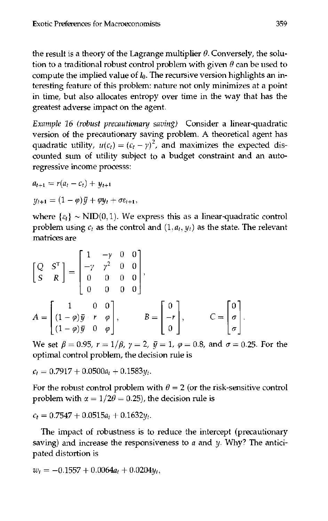the result is a theory of the Lagrange multiplier  $\theta$ . Conversely, the solution to a traditional robust control problem with given  $\theta$  can be used to compute the implied value of  $I_0$ . The recursive version highlights an interesting feature of this problem: nature not only minimizes at a point in time, but also allocates entropy over time in the way that has the greatest adverse impact on the agent.

*Example 16 (robust precautionary saving)* Consider a linear-quadratic version of the precautionary saving problem. A theoretical agent has quadratic utility,  $u(c_t) = (c_t - \gamma)^2$ , and maximizes the expected discounted sum of utility subject to a budget constraint and an autoregressive income processs:

$$
a_{t+1} = r(a_t - c_t) + y_{t+1}
$$
  

$$
y_{t+1} = (1 - \varphi)\overline{y} + \varphi y_t + \sigma \varepsilon_{t+1},
$$

where  $\{\varepsilon_t\} \sim \text{NID}(0,1)$ . We express this as a linear-quadratic control problem using  $c_t$  as the control and  $(1,a_t,y_t)$  as the state. The relevant matrices are

$$
\begin{bmatrix} Q & S^T \ S & R \end{bmatrix} = \begin{bmatrix} 1 & -\gamma & 0 & 0 \\ -\gamma & \gamma^2 & 0 & 0 \\ 0 & 0 & 0 & 0 \\ 0 & 0 & 0 & 0 \end{bmatrix},
$$
  

$$
A = \begin{bmatrix} 1 & 0 & 0 \\ (1 - \varphi)\bar{y} & r & \varphi \\ (1 - \varphi)\bar{y} & 0 & \varphi \end{bmatrix}, \qquad B = \begin{bmatrix} 0 \\ -r \\ 0 \end{bmatrix}, \qquad C = \begin{bmatrix} 0 \\ \sigma \\ \sigma \end{bmatrix}
$$

We set  $\beta = 0.95$ ,  $r = 1/\beta$ ,  $\gamma = 2$ ,  $\bar{\gamma} = 1$ ,  $\varphi = 0.8$ , and  $\sigma = 0.25$ . For the optimal control problem, the decision rule is

 $c_t = 0.7917 + 0.0500a_t + 0.1583y_t.$ 

For the robust control problem with  $\theta = 2$  (or the risk-sensitive control problem with  $\alpha = 1/2\theta = 0.25$ , the decision rule is

 $c_t = 0.7547 + 0.0515a_t + 0.1632y_t.$ 

The impact of robustness is to reduce the intercept (precautionary saving) and increase the responsiveness to *a* and y. Why? The anticipated distortion is

$$
w_t = -0.1557 + 0.0064a_t + 0.0204y_t,
$$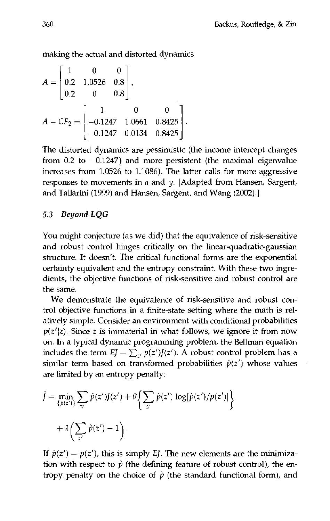making the actual and distorted dynamics

$$
A = \begin{bmatrix} 1 & 0 & 0 \\ 0.2 & 1.0526 & 0.8 \\ 0.2 & 0 & 0.8 \end{bmatrix},
$$
  

$$
A - CF_2 = \begin{bmatrix} 1 & 0 & 0 \\ -0.1247 & 1.0661 & 0.8425 \\ -0.1247 & 0.0134 & 0.8425 \end{bmatrix}.
$$

The distorted dynamics are pessimistic (the income intercept changes from  $0.2$  to  $-0.1247$ ) and more persistent (the maximal eigenvalue increases from 1.0526 to 1.1086). The latter calls for more aggressive responses to movements in *a* and y. [Adapted from Hansen, Sargent, and Tallarini (1999) and Hansen, Sargent, and Wang (2002).]

### *5.3 Beyond LQG*

You might conjecture (as we did) that the equivalence of risk-sensitive and robust control hinges critically on the linear-quadratic-gaussian structure. It doesn't. The critical functional forms are the exponential certainty equivalent and the entropy constraint. With these two ingredients, the objective functions of risk-sensitive and robust control are the same.

We demonstrate the equivalence of risk-sensitive and robust control objective functions in a finite-state setting where the math is relatively simple. Consider an environment with conditional probabilities  $p(z'|z)$ . Since z is immaterial in what follows, we ignore it from now on. In a typical dynamic programming problem, the Bellman equation includes the term  $EJ = \sum_{z'} p(z')J(z')$ . A robust control problem has a similar term based on transformed probabilities  $\hat{p}(z')$  whose values are limited by an entropy penalty:

$$
\hat{J} = \min_{\{\hat{p}(z')\}} \sum_{z'} \hat{p}(z') J(z') + \theta \left\{ \sum_{z'} \hat{p}(z') \log[\hat{p}(z')/p(z')] \right\} \n+ \lambda \left( \sum_{z'} \hat{p}(z') - 1 \right).
$$

If  $\hat{p}(z') = p(z')$ , this is simply *EJ*. The new elements are the minimization with respect to  $\hat{p}$  (the defining feature of robust control), the entropy penalty on the choice of  $\hat{p}$  (the standard functional form), and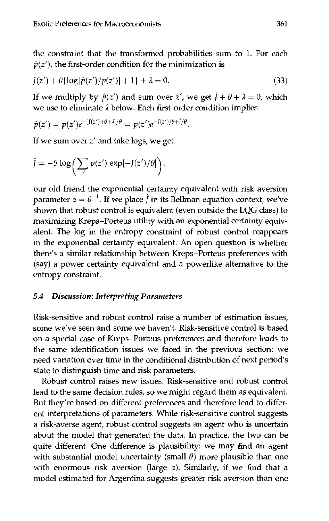the constraint that the transformed probabilities sum to 1. For each  $\hat{p}(z')$ , the first-order condition for the minimization is

$$
J(z') + \theta \{ \log[\hat{p}(z')/p(z')] + 1 \} + \lambda = 0.
$$
 (33)

If we multiply by  $\hat{p}(z')$  and sum over z', we get  $\hat{j} + \theta + \lambda = 0$ , which we use to eliminate *X* below. Each first-order condition implies

$$
\hat{p}(z') = p(z')e^{-[J(z')+\theta+\lambda]/\theta} = p(z')e^{-J(z')/\theta+\hat{J}/\theta}.
$$

If we sum over *z'* and take logs, we get

$$
\hat{J} = -\theta \log \bigg( \sum_{z'} p(z') \exp[-J(z')/\theta] \bigg),
$$

our old friend the exponential certainty equivalent with risk aversion parameter  $\alpha = \theta^{-1}.$  If we place  $\hat{J}$  in its Bellman equation context, we've shown that robust control is equivalent (even outside the LQG class) to maximizing Kreps-Porteus utility with an exponential certainty equivalent. The log in the entropy constraint of robust control reappears in the exponential certainty equivalent. An open question is whether there's a similar relationship between Kreps-Porteus preferences with (say) a power certainty equivalent and a powerlike alternative to the entropy constraint.

#### *5.4 Discussion: Interpreting Parameters*

Risk-sensitive and robust control raise a number of estimation issues, some we've seen and some we haven't. Risk-sensitive control is based on a special case of Kreps-Porteus preferences and therefore leads to the same identification issues we faced in the previous section: we need variation over time in the conditional distribution of next period's state to distinguish time and risk parameters.

Robust control raises new issues. Risk-sensitive and robust control lead to the same decision rules, so we might regard them as equivalent. But they're based on different preferences and therefore lead to different interpretations of parameters. While risk-sensitive control suggests a risk-averse agent, robust control suggests an agent who is uncertain about the model that generated the data. In practice, the two can be quite different. One difference is plausibility: we may find an agent with substantial model uncertainty (small *0)* more plausible than one with enormous risk aversion (large  $\alpha$ ). Similarly, if we find that a model estimated for Argentina suggests greater risk aversion than one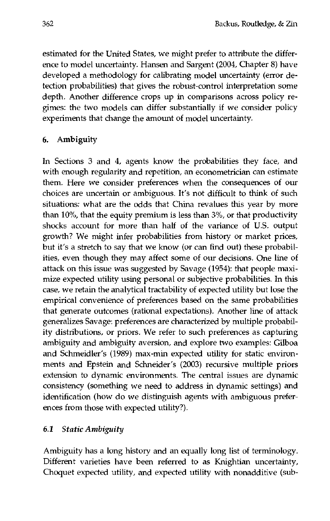estimated for the United States, we might prefer to attribute the difference to model uncertainty. Hansen and Sargent (2004, Chapter 8) have developed a methodology for calibrating model uncertainty (error detection probabilities) that gives the robust-control interpretation some depth. Another difference crops up in comparisons across policy regimes: the two models can differ substantially if we consider policy experiments that change the amount of model uncertainty.

## **6. Ambiguity**

In Sections 3 and 4, agents know the probabilities they face, and with enough regularity and repetition, an econometrician can estimate them. Here we consider preferences when the consequences of our choices are uncertain or ambiguous. It's not difficult to think of such situations: what are the odds that China revalues this year by more than 10%, that the equity premium is less than 3%, or that productivity shocks account for more than half of the variance of U.S. output growth? We might infer probabilities from history or market prices, but it's a stretch to say that we know (or can find out) these probabilities, even though they may affect some of our decisions. One line of attack on this issue was suggested by Savage (1954): that people maximize expected utility using personal or subjective probabilities. In this case, we retain the analytical tractability of expected utility but lose the empirical convenience of preferences based on the same probabilities that generate outcomes (rational expectations). Another line of attack generalizes Savage: preferences are characterized by multiple probability distributions, or priors. We refer to such preferences as capturing ambiguity and ambiguity aversion, and explore two examples: Gilboa and Schmeidler's (1989) max-min expected utility for static environments and Epstein and Schneider's (2003) recursive multiple priors extension to dynamic environments. The central issues are dynamic consistency (something we need to address in dynamic settings) and identification (how do we distinguish agents with ambiguous preferences from those with expected utility?).

## *6.1 Static Ambiguity*

Ambiguity has a long history and an equally long list of terminology. Different varieties have been referred to as Knightian uncertainty, Choquet expected utility, and expected utility with nonadditive (sub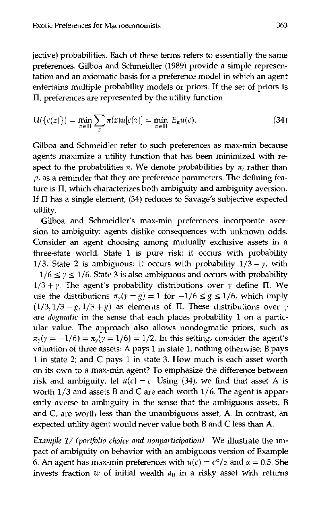jective) probabilities. Each of these terms refers to essentially the same preferences. Gilboa and Schmeidler (1989) provide a simple representation and an axiomatic basis for a preference model in which an agent entertains multiple probability models or priors. If the set of priors is  $\Pi$ , preferences are represented by the utility function

$$
U(\{c(z)\}) = \min_{\pi \in \Pi} \sum_{z} \pi(z)u[c(z)] = \min_{\pi \in \Pi} E_{\pi}u(c).
$$
 (34)

Gilboa and Schmeidler refer to such preferences as max-min because agents maximize a utility function that has been minimized with respect to the probabilities  $\pi$ . We denote probabilities by  $\pi$ , rather than *p,* as a reminder that they are preference parameters. The defining feature is  $\Pi$ , which characterizes both ambiguity and ambiguity aversion. If  $\Pi$  has a single element, (34) reduces to Savage's subjective expected utility.

Gilboa and Schmeidler's max-min preferences incorporate aversion to ambiguity: agents dislike consequences with unknown odds. Consider an agent choosing among mutually exclusive assets in a three-state world. State 1 is pure risk: it occurs with probability 1/3. State 2 is ambiguous: it occurs with probability  $1/3 - \gamma$ , with  $-1/6 \leq \gamma \leq 1/6$ . State 3 is also ambiguous and occurs with probability  $1/3 + \gamma$ . The agent's probability distributions over  $\gamma$  define  $\Pi$ . We use the distributions  $\pi_y(y = g) = 1$  for  $-1/6 \le g \le 1/6$ , which imply  $(1/3, 1/3 - g, 1/3 + g)$  as elements of  $\Pi$ . These distributions over *y* are *dogmatic* in the sense that each places probability 1 on a particular value. The approach also allows nondogmatic priors, such as  $\pi_y(y = -1/6) = \pi_y(y = 1/6) = 1/2$ . In this setting, consider the agent's valuation of three assets: A pays 1 in state 1, nothing otherwise; B pays 1 in state 2; and C pays 1 in state 3. How much is each asset worth on its own to a max-min agent? To emphasize the difference between risk and ambiguity, let  $u(c) = c$ . Using (34), we find that asset A is worth 1/3 and assets B and C are each worth 1/6. The agent is apparently averse to ambiguity in the sense that the ambiguous assets, B and C, are worth less than the unambiguous asset, A. In contrast, an expected utility agent would never value both B and C less than A.

*Example 17 (portfolio choice and nonparticipation)* We illustrate the impact of ambiguity on behavior with an ambiguous version of Example  $\epsilon$ . An agent has max-min preferences with  $u(\overset{.}{c})=c^\alpha/\alpha$  and  $\alpha=0.5.$  She invests fraction  $w$  of initial wealth  $a_0$  in a risky asset with returns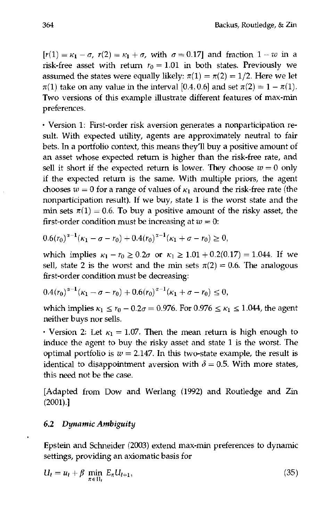$[r(1) = \kappa_1 - \sigma, r(2) = \kappa_1 + \sigma,$  with  $\sigma = 0.17$ ] and fraction  $1 - w$  in a risk-free asset with return  $r_0 = 1.01$  in both states. Previously we assumed the states were equally likely:  $\pi(1) = \pi(2) = 1/2$ . Here we let  $\pi(1)$  take on any value in the interval [0.4, 0.6] and set  $\pi(2) = 1 - \pi(1)$ . Two versions of this example illustrate different features of max-min preferences.

• Version 1: First-order risk aversion generates a nonparticipation result. With expected utility, agents are approximately neutral to fair bets. In a portfolio context, this means they'll buy a positive amount of an asset whose expected return is higher than the risk-free rate, and sell it short if the expected return is lower. They choose  $w = 0$  only if the expected return is the same. With multiple priors, the agent chooses  $w = 0$  for a range of values of  $\kappa_1$  around the risk-free rate (the nonparticipation result). If we buy, state 1 is the worst state and the min sets  $\pi(1) = 0.6$ . To buy a positive amount of the risky asset, the first-order condition must be increasing at  $w = 0$ :

$$
0.6(r_0)^{\alpha-1}(\kappa_1-\sigma-r_0)+0.4(r_0)^{\alpha-1}(\kappa_1+\sigma-r_0)\geq 0,
$$

which implies  $\kappa_1 - r_0 \ge 0.2\sigma$  or  $\kappa_1 \ge 1.01 + 0.2(0.17) = 1.044$ . If we sell, state 2 is the worst and the min sets  $\pi(2) = 0.6$ . The analogous first-order condition must be decreasing:

$$
0.4(r_0)^{\alpha-1}(\kappa_1-\sigma-r_0)+0.6(r_0)^{\alpha-1}(\kappa_1+\sigma-r_0)\leq 0,
$$

which implies  $\kappa_1 \le r_0 - 0.2\sigma = 0.976$ . For  $0.976 \le \kappa_1 \le 1.044$ , the agent neither buys nor sells.

• Version 2: Let  $\kappa_1 = 1.07$ . Then the mean return is high enough to induce the agent to buy the risky asset and state 1 is the worst. The optimal portfolio is  $w = 2.147$ . In this two-state example, the result is identical to disappointment aversion with  $\delta = 0.5$ . With more states, this need not be the case.

[Adapted from Dow and Werlang (1992) and Routledge and Zin (2001).]

### *6.2 Dynamic Ambiguity*

Epstein and Schneider (2003) extend max-min preferences to dynamic settings, providing an axiomatic basis for

$$
U_t = u_t + \beta \min_{\pi \in \Pi_t} E_{\pi} U_{t+1}, \qquad (35)
$$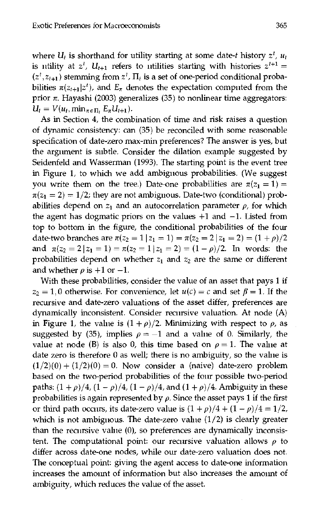where  $U_t$  is shorthand for utility starting at some date-t history  $z^t$ ,  $u_t$ is utility at  $z^t$ *,*  $U_{t+1}$  *refers to utilities starting with histories*  $z^{t+1} =$  $(z^t, z_{t+1})$  stemming from  $z^t$ ,  $\Pi_t$  is a set of one-period conditional probabilities  $\pi(z_{t+1} | z^t)$ , and  $E_{\pi}$  denotes the expectation computed from the prior  $\pi$ . Hayashi (2003) generalizes (35) to nonlinear time aggregators:  $U_t = V(u_t, \min_{\pi \in \Pi_t} E_{\pi} U_{t+1}).$ 

As in Section 4, the combination of time and risk raises a question of dynamic consistency: can (35) be reconciled with some reasonable specification of date-zero max-min preferences? The answer is yes, but the argument is subtle. Consider the dilation example suggested by Seidenfeld and Wasserman (1993). The starting point is the event tree in Figure 1, to which we add ambiguous probabilities. (We suggest you write them on the tree.) Date-one probabilities are  $\pi(z_1 = 1) =$  $\pi(z_1 = 2) = 1/2$ ; they are not ambiguous. Date-two (conditional) probabilities depend on  $z_1$  and an autocorrelation parameter  $\rho$ , for which the agent has dogmatic priors on the values  $+1$  and  $-1$ . Listed from top to bottom in the figure, the conditional probabilities of the four date-two branches are  $\pi(z_2 = 1 | z_1 = 1) = \pi(z_2 = 2 | z_1 = 2) = (1 + \rho)/2$ and  $\pi(z_2 = 2 | z_1 = 1) = \pi(z_2 = 1 | z_1 = 2) = (1 - \rho)/2$ . In words: the probabilities depend on whether  $z_1$  and  $z_2$  are the same or different and whether  $\rho$  is  $+1$  or  $-1$ .

With these probabilities, consider the value of an asset that pays 1 if  $z_2 = 1,0$  otherwise. For convenience, let  $u(c) = c$  and set  $\beta = 1$ . If the recursive and date-zero valuations of the asset differ, preferences are dynamically inconsistent. Consider recursive valuation. At node (A) in Figure 1, the value is  $(1 + \rho)/2$ . Minimizing with respect to  $\rho$ , as suggested by (35), implies  $\rho = -1$  and a value of 0. Similarly, the value at node (B) is also 0, this time based on  $\rho = 1$ . The value at date zero is therefore 0 as well; there is no ambiguity, so the value is  $(1/2)(0) + (1/2)(0) = 0$ . Now consider a (naive) date-zero problem based on the two-period probabilities of the four possible two-period paths:  $(1 + \rho)/4$ ,  $(1 - \rho)/4$ ,  $(1 - \rho)/4$ , and  $(1 + \rho)/4$ . Ambiguity in these probabilities is again represented by  $\rho$ . Since the asset pays 1 if the first or third path occurs, its date-zero value is  $(1 + \rho)/4 + (1 - \rho)/4 = 1/2$ , which is not ambiguous. The date-zero value (1/2) is clearly greater than the recursive value (0), so preferences are dynamically inconsistent. The computational point: our recursive valuation allows  $\rho$  to differ across date-one nodes, while our date-zero valuation does not. The conceptual point: giving the agent access to date-one information increases the amount of information but also increases the amount of ambiguity, which reduces the value of the asset.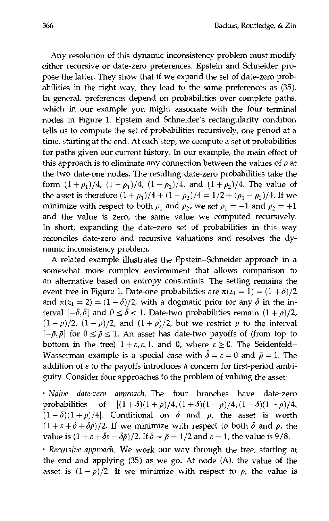Any resolution of this dynamic inconsistency problem must modify either recursive or date-zero preferences. Epstein and Schneider propose the latter. They show that if we expand the set of date-zero probabilities in the right way, they lead to the same preferences as (35). In general, preferences depend on probabilities over complete paths, which in our example you might associate with the four terminal nodes in Figure 1. Epstein and Schneider's rectangularity condition tells us to compute the set of probabilities recursively, one period at a time, starting at the end. At each step, we compute a set of probabilities for paths given our current history. In our example, the main effect of this approach is to eliminate any connection between the values of  $\rho$  at the two date-one nodes. The resulting date-zero probabilities take the form  $(1+\rho_1)/4$ ,  $(1-\rho_1)/4$ ,  $(1-\rho_2)/4$ , and  $(1+\rho_2)/4$ . The value of the asset is therefore  $(1 + p_1)/4 + (1 - p_2)/4 = 1/2 + (p_1 - p_2)/4$ . If we minimize with respect to both  $\rho_1$  and  $\rho_2$ , we set  $\rho_1 = -1$  and  $\rho_2 = +1$ and the value is zero, the same value we computed recursively. In short, expanding the date-zero set of probabilities in this way reconciles date-zero and recursive valuations and resolves the dynamic inconsistency problem.

A related example illustrates the Epstein-Schneider approach in a somewhat more complex environment that allows comparison to an alternative based on entropy constraints. The setting remains the event tree in Figure 1. Date-one probabilities are  $\pi(z_1 = 1) = (1 + \delta)/2$ and  $\pi(z_1 = 2) = (1 - \delta)/2$ , with a dogmatic prior for any  $\delta$  in the interval  $[-\bar{\delta}, \bar{\delta}]$  and  $0 \leq \bar{\delta} < 1$ . Date-two probabilities remain  $(1+\rho)/2$ ,  $(1 - \rho)/2$ ,  $(1 - \rho)/2$ , and  $(1 + \rho)/2$ , but we restrict  $\rho$  to the interval  $[-\bar{\rho}, \bar{\rho}]$  for  $0 \le \bar{\rho} \le 1$ . An asset has date-two payoffs of (from top to bottom in the tree)  $1 + \varepsilon, \varepsilon, 1$ , and 0, where  $\varepsilon \ge 0$ . The Seidenfeld-Wasserman example is a special case with  $\bar{\delta} = \varepsilon = 0$  and  $\bar{\rho} = 1$ . The addition of *s* to the payoffs introduces a concern for first-period ambiguity. Consider four approaches to the problem of valuing the asset:

• *Naive date-zero approach.* The four branches have date-zero probabilities of  $[(1+\delta)(1+\rho)/4, (1+\delta)(1-\rho)/4, (1-\delta)(1-\rho)/4,$  $(1 - \delta)(1 + \rho)/4$ . Conditional on  $\delta$  and  $\rho$ , the asset is worth  $(1 + \varepsilon + \delta + \delta \rho)/2$ . If we minimize with respect to both  $\delta$  and  $\rho$ , the value is  $(1 + \varepsilon + \bar{\delta}\varepsilon - \bar{\delta}\bar{p})/2$ . If  $\bar{\delta} = \bar{p} = 1/2$  and  $\varepsilon = 1$ , the value is 9/8.

• *Recursive approach.* We work our way through the tree, starting at the end and applying (35) as we go. At node (A), the value of the asset is  $(1 - \rho)/2$ . If we minimize with respect to  $\rho$ , the value is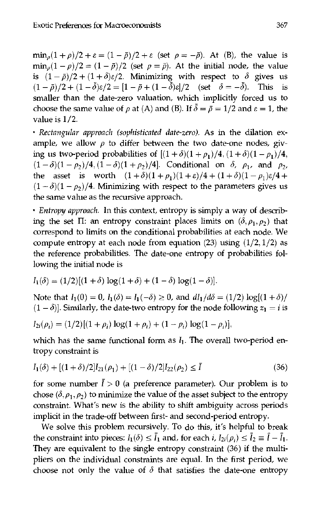$\min_{\rho}(1+\rho)/2+\varepsilon=(1-\bar{\rho})/2+\varepsilon$  (set  $\rho=-\bar{\rho}$ ). At (B), the value is  $\min_{\rho}(1-p)/2 = (1-\bar{p})/2$  (set  $\rho = \bar{p}$ ). At the initial node, the value is  $(1 - \bar{\rho})/2 + (1 + \delta)\varepsilon/2$ . Minimizing with respect to  $\delta$  gives us  $(1-\bar{p})/2 + (1-\bar{\delta})\epsilon/2 = [1-\bar{p} + (1-\bar{\delta})\epsilon]/2$  (set  $\delta = -\bar{\delta}$ ). This is smaller than the date-zero valuation, which implicitly forced us to choose the same value of  $\rho$  at (A) and (B). If  $\bar{\delta} = \bar{\rho} = 1/2$  and  $\varepsilon = 1$ , the value is 1/2.

• *Rectangular approach (sophisticated date-zero).* As in the dilation example, we allow  $\rho$  to differ between the two date-one nodes, giving us two-period probabilities of  $[(1 + \delta)(1 + \rho_1)/4, (1 + \delta)(1 - \rho_1)/4,$  $(1-\delta)(1-\rho_2)/4$ ,  $(1-\delta)(1+\rho_2)/4$ . Conditional on  $\delta$ ,  $\rho_1$ , and  $\rho_2$ , the asset is worth  $(1 + \delta)(1 + \rho_1)(1 + \varepsilon)/4 + (1 + \delta)(1 - \rho_1)\varepsilon/4 +$  $(1 - \delta)(1 - \rho_2)/4$ . Minimizing with respect to the parameters gives us the same value as the recursive approach.

• *Entropy approach.* In this context, entropy is simply a way of describing the set  $\Pi$ : an entropy constraint places limits on  $(\delta, \rho_1, \rho_2)$  that correspond to limits on the conditional probabilities at each node. We compute entropy at each node from equation  $(23)$  using  $(1/2,1/2)$  as the reference probabilities. The date-one entropy of probabilities following the initial node is

$$
I_1(\delta) = (1/2)[(1+\delta)\log(1+\delta) + (1-\delta)\log(1-\delta)].
$$

Note that  $I_1(0) = 0$ ,  $I_1(\delta) = I_1(-\delta) \ge 0$ , and  $dI_1/d\delta = (1/2) \log[(1+\delta)/\delta]$  $(1 - \delta)$ ]. Similarly, the date-two entropy for the node following  $z_1 = i$  is

$$
I_{2i}(\rho_i) = (1/2)[(1+\rho_i)\log(1+\rho_i) + (1-\rho_i)\log(1-\rho_i)],
$$

which has the same functional form as  $I_1$ . The overall two-period entropy constraint is

$$
I_1(\delta) + [(1+\delta)/2]I_{21}(\rho_1) + [(1-\delta)/2]I_{22}(\rho_2) \le \bar{I}
$$
\n(36)

for some number  $\bar{l} > 0$  (a preference parameter). Our problem is to chose  $(\delta, \rho_1, \rho_2)$  to minimize the value of the asset subject to the entropy constraint. What's new is the ability to shift ambiguity across periods implicit in the trade-off between first- and second-period entropy.

We solve this problem recursively. To do this, it's helpful to break the constraint into pieces:  $I_1(\delta) \leq \bar{I}_1$  and, for each  $i, I_{2i}(\rho_i) \leq \bar{I}_2 \equiv \bar{I} - \bar{I}_1$ . They are equivalent to the single entropy constraint (36) if the multipliers on the individual constraints are equal. In the first period, we choose not only the value of  $\delta$  that satisfies the date-one entropy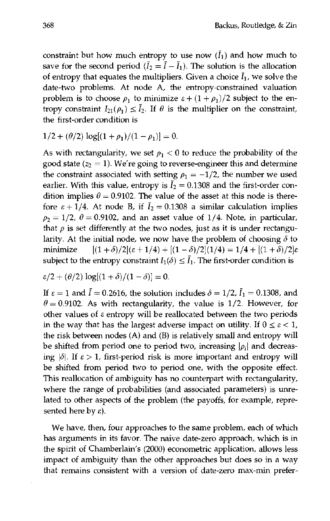constraint but how much entropy to use now  $(\bar{I}_1)$  and how much to save for the second period  $(\bar{I}_2 = \bar{I} - \bar{I}_1)$ . The solution is the allocation of entropy that equates the multipliers. Given a choice  $\bar{I}_1$ , we solve the date-two problems. At node A, the entropy-constrained valuation problem is to choose  $\rho_1$  to minimize  $\varepsilon + (1 + \rho_1)/2$  subject to the entropy constraint  $I_{21}(\rho_1) \leq \overline{I}_2$ . If  $\theta$  is the multiplier on the constraint, the first-order condition is

$$
1/2 + (\theta/2) \log[(1+\rho_1)/(1-\rho_1)] = 0.
$$

As with rectangularity, we set  $p<sub>1</sub> < 0$  to reduce the probability of the good state  $(z_2 = 1)$ . We're going to reverse-engineer this and determine the constraint associated with setting  $p_1 = -1/2$ , the number we used earlier. With this value, entropy is  $\bar{I}_2 = 0.1308$  and the first-order condition implies  $\theta = 0.9102$ . The value of the asset at this node is therefore  $\epsilon + 1/4$ . At node B, if  $\bar{I}_2 = 0.1308$  a similar calculation implies  $\rho_2 = 1/2$ ,  $\theta = 0.9102$ , and an asset value of 1/4. Note, in particular, that  $\rho$  is set differently at the two nodes, just as it is under rectangularity. At the initial node, we now have the problem of choosing  $\delta$  to minimize  $[(1 + \delta)/2](\varepsilon + 1/4) + [(1 - \delta)/2](1/4) = 1/4 + [(1 + \delta)/2]\varepsilon$ subject to the entropy constraint  $I_1(\delta) \leq \overline{I}_1$ . The first-order condition is

$$
\varepsilon/2 + (\theta/2) \log[(1+\delta)/(1-\delta)] = 0.
$$

If  $\varepsilon = 1$  and  $\bar{I} = 0.2616$ , the solution includes  $\delta = 1/2$ ,  $\bar{I}_1 = 0.1308$ , and  $\theta = 0.9102$ . As with rectangularity, the value is 1/2. However, for other values of  $\varepsilon$  entropy will be reallocated between the two periods in the way that has the largest adverse impact on utility. If  $0 \le \varepsilon < 1$ , the risk between nodes (A) and (B) is relatively small and entropy will be shifted from period one to period two, increasing  $|\rho_i|$  and decreasing  $|\delta|$ . If  $\epsilon > 1$ , first-period risk is more important and entropy will be shifted from period two to period one, with the opposite effect. This reallocation of ambiguity has no counterpart with rectangularity, where the range of probabilities (and associated parameters) is unrelated to other aspects of the problem (the payoffs, for example, represented here by  $\varepsilon$ ).

We have, then, four approaches to the same problem, each of which has arguments in its favor. The naive date-zero approach, which is in the spirit of Chamberlain's (2000) econometric application, allows less impact of ambiguity than the other approaches but does so in a way that remains consistent with a version of date-zero max-min prefer-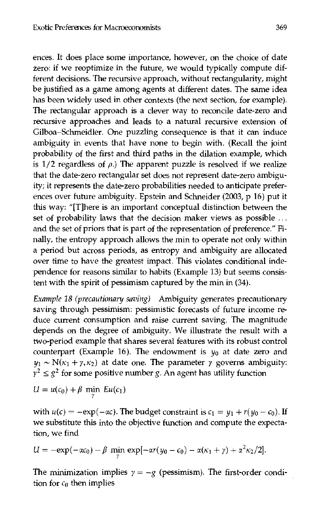ences. It does place some importance, however, on the choice of date zero: if we reoptimize in the future, we would typically compute different decisions. The recursive approach, without rectangularity, might be justified as a game among agents at different dates. The same idea has been widely used in other contexts (the next section, for example). The rectangular approach is a clever way to reconcile date-zero and recursive approaches and leads to a natural recursive extension of Gilboa-Schmeidler. One puzzling consequence is that it can induce ambiguity in events that have none to begin with. (Recall the joint probability of the first and third paths in the dilation example, which is  $1/2$  regardless of  $\rho$ .) The apparent puzzle is resolved if we realize that the date-zero rectangular set does not represent date-zero ambiguity; it represents the date-zero probabilities needed to anticipate preferences over future ambiguity. Epstein and Schneider (2003, p 16) put it this way: "[T]here is an important conceptual distinction between the set of probability laws that the decision maker views as possible ... and the set of priors that is part of the representation of preference." Finally, the entropy approach allows the min to operate not only within a period but across periods, as entropy and ambiguity are allocated over time to have the greatest impact. This violates conditional independence for reasons similar to habits (Example 13) but seems consistent with the spirit of pessimism captured by the min in (34).

*Example 18 (precautionary saving)* Ambiguity generates precautionary saving through pessimism: pessimistic forecasts of future income reduce current consumption and raise current saving. The magnitude depends on the degree of ambiguity. We illustrate the result with a two-period example that shares several features with its robust control counterpart (Example 16). The endowment is  $y_0$  at date zero and  $y_1 \sim N(\kappa_1 + \gamma, \kappa_2)$  at date one. The parameter  $\gamma$  governs ambiguity:  $\gamma^2 \leq g^2$  for some positive number *g*. An agent has utility function

$$
U = u(c_0) + \beta \min_{\gamma} Eu(c_1)
$$

with  $u(c) = -e^{(\alpha c)}$ . The budget constraint is  $c_1 = y_1 + r(y_0 - c_0)$ . If we substitute this into the objective function and compute the expectation, we find

$$
U=-\exp(-\alpha c_0)-\beta \min_{y}\exp[-\alpha r(y_0-c_0)-\alpha(\kappa_1+y)+\alpha^2\kappa_2/2].
$$

The minimization implies  $y = -g$  (pessimism). The first-order condition for  $c_0$  then implies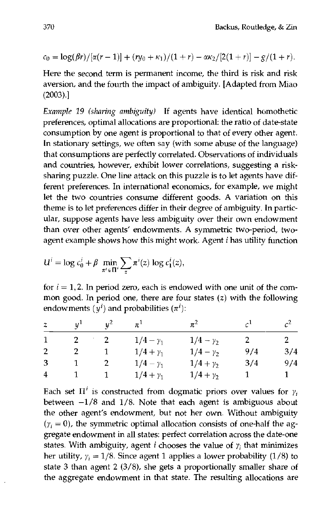$$
c_0 = \log(\beta r)/[\alpha(r-1)] + (ry_0 + \kappa_1)/(1+r) - \alpha \kappa_2/[2(1+r)] - g/(1+r).
$$

Here the second term is permanent income, the third is risk and risk aversion, and the fourth the impact of ambiguity. [Adapted from Miao (2003).]

*Example 19 (sharing ambiguity)* If agents have identical homothetic preferences, optimal allocations are proportional: the ratio of date-state consumption by one agent is proportional to that of every other agent. In stationary settings, we often say (with some abuse of the language) that consumptions are perfectly correlated. Observations of individuals and countries, however, exhibit lower correlations, suggesting a risksharing puzzle. One line attack on this puzzle is to let agents have different preferences. In international economics, for example, we might let the two countries consume different goods. A variation on this theme is to let preferences differ in their degree of ambiguity. In particular, suppose agents have less ambiguity over their own endowment than over other agents' endowments. A symmetric two-period, twoagent example shows how this might work. Agent *i* has utility function

$$
U^i = \log c_0^i + \beta \min_{\pi^i \in \Pi^i} \sum_z \pi^i(z) \log c_1^i(z),
$$

for  $i = 1, 2$ . In period zero, each is endowed with one unit of the common good. In period one, there are four states (z) with the following endowments  $(y^i)$  and probabilities  $(\pi^i)$ :

| $\bar{z}$    | $u^1$ | $y^2$ | $\pi^1$          | $\pi^2$          | $c^{1}$      | c <sup>2</sup> |
|--------------|-------|-------|------------------|------------------|--------------|----------------|
| $\mathbf{1}$ |       |       | $1/4 - \gamma_1$ | $1/4 - y_2$      |              | 2              |
| 2            |       |       | $1/4 + \gamma_1$ | $1/4 - \gamma_2$ | 9/4          | 3/4            |
| 3            |       |       | $1/4 - \gamma_1$ | $1/4 + \gamma_2$ | 3/4          | 9/4            |
| 4            |       |       | $1/4 + \gamma_1$ | $1/4 + \gamma_2$ | $\mathbf{1}$ | $1 \quad$      |

Each set  $\Pi^i$  is constructed from dogmatic priors over values for  $\gamma_i$ between  $-1/8$  and  $1/8$ . Note that each agent is ambiguous about the other agent's endowment, but not her own. Without ambiguity  $(y_i = 0)$ , the symmetric optimal allocation consists of one-half the aggregate endowment in all states: perfect correlation across the date-one states. With ambiguity, agent  $i$  chooses the value of  $\gamma_i$  that minimizes her utility,  $\gamma_i = 1/8$ . Since agent 1 applies a lower probability (1/8) to state 3 than agent 2 (3/8), she gets a proportionally smaller share of the aggregate endowment in that state. The resulting allocations are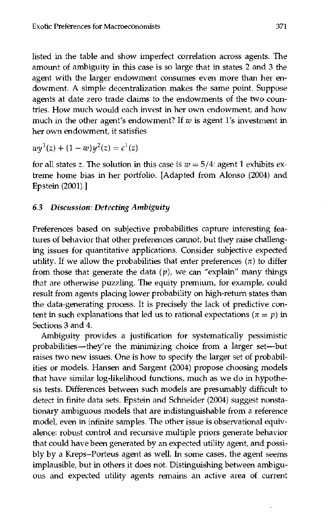listed in the table and show imperfect correlation across agents. The amount of ambiguity in this case is so large that in states 2 and 3 the agent with the larger endowment consumes even more than her endowment. A simple decentralization makes the same point. Suppose agents at date zero trade claims to the endowments of the two countries. How much would each invest in her own endowment, and how much in the other agent's endowment? If *w* is agent l's investment in her own endowment, it satisfies

 $wy^{1}(z) + (1 - w)y^{2}(z) = c^{1}(z)$ 

for all states z. The solution in this case is  $w = 5/4$ : agent 1 exhibits extreme home bias in her portfolio. [Adapted from Alonso (2004) and Epstein (2001).]

### *6.3 Discussion: Detecting Ambiguity*

Preferences based on subjective probabilities capture interesting features of behavior that other preferences cannot, but they raise challenging issues for quantitative applications. Consider subjective expected utility. If we allow the probabilities that enter preferences  $(\pi)$  to differ from those that generate the data *(p),* we can "explain" many things that are otherwise puzzling. The equity premium, for example, could result from agents placing lower probability on high-return states than the data-generating process. It is precisely the lack of predictive content in such explanations that led us to rational expectations  $(\pi = p)$  in Sections 3 and 4.

Ambiguity provides a justification for systematically pessimistic probabilities—they're the minimizing choice from a larger set—but raises two new issues. One is how to specify the larger set of probabilities or models. Hansen and Sargent (2004) propose choosing models that have similar log-likelihood functions, much as we do in hypothesis tests. Differences between such models are presumably difficult to detect in finite data sets. Epstein and Schneider (2004) suggest nonstationary ambiguous models that are indistinguishable from a reference model, even in infinite samples. The other issue is observational equivalence: robust control and recursive multiple priors generate behavior that could have been generated by an expected utility agent, and possibly by a Kreps-Porteus agent as well. In some cases, the agent seems implausible, but in others it does not. Distinguishing between ambiguous and expected utility agents remains an active area of current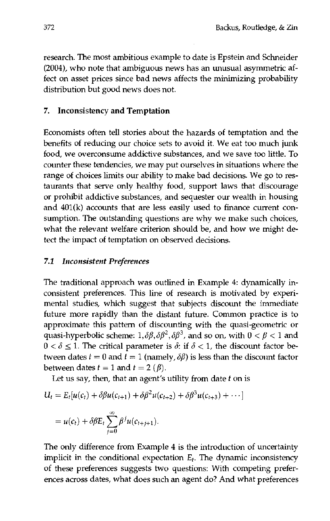research. The most ambitious example to date is Epstein and Schneider (2004), who note that ambiguous news has an unusual asymmetric affect on asset prices since bad news affects the minimizing probability distribution but good news does not.

### **7. Inconsistency and Temptation**

Economists often tell stories about the hazards of temptation and the benefits of reducing our choice sets to avoid it. We eat too much junk food, we overconsume addictive substances, and we save too little. To counter these tendencies, we may put ourselves in situations where the range of choices limits our ability to make bad decisions. We go to restaurants that serve only healthy food, support laws that discourage or prohibit addictive substances, and sequester our wealth in housing and  $401(k)$  accounts that are less easily used to finance current consumption. The outstanding questions are why we make such choices, what the relevant welfare criterion should be, and how we might detect the impact of temptation on observed decisions.

### *7.1 Inconsistent Preferences*

The traditional approach was outlined in Example 4: dynamically inconsistent preferences. This line of research is motivated by experimental studies, which suggest that subjects discount the immediate future more rapidly than the distant future. Common practice is to approximate this pattern of discounting with the quasi-geometric or quasi-hyperbolic scheme:  $1, \delta\beta, \delta\beta^2, \delta\beta^3$ , and so on, with  $0 < \beta < 1$  and  $0 < \delta \leq 1$ . The critical parameter is  $\delta$ : if  $\delta < 1$ , the discount factor between dates  $t = 0$  and  $t = 1$  (namely,  $\delta\beta$ ) is less than the discount factor between dates  $t = 1$  and  $t = 2 \, (\beta)$ .

Let us say, then, that an agent's utility from date *t* on is

$$
U_t = E_t[u(c_t) + \delta \beta u(c_{t+1}) + \delta \beta^2 u(c_{t+2}) + \delta \beta^3 u(c_{t+3}) + \cdots]
$$
  
=  $u(c_t) + \delta \beta E_t \sum_{j=0}^{\infty} \beta^j u(c_{t+j+1}).$ 

The only difference from Example 4 is the introduction of uncertainty implicit in the conditional expectation *E<sup>t</sup> .* The dynamic inconsistency of these preferences suggests two questions: With competing preferences across dates, what does such an agent do? And what preferences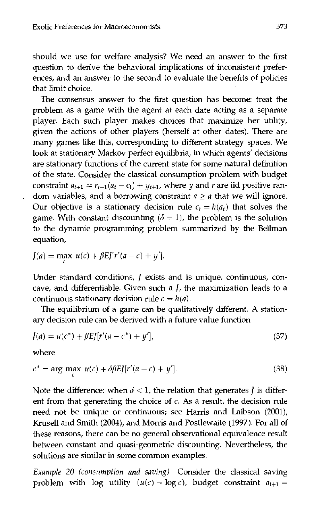should we use for welfare analysis? We need an answer to the first question to derive the behavioral implications of inconsistent preferences, and an answer to the second to evaluate the benefits of policies that limit choice.

The consensus answer to the first question has become: treat the problem as a game with the agent at each date acting as a separate player. Each such player makes choices that maximize her utility, given the actions of other players (herself at other dates). There are many games like this, corresponding to different strategy spaces. We look at stationary Markov perfect equilibria, in which agents' decisions are stationary functions of the current state for some natural definition of the state. Consider the classical consumption problem with budget constraint  $a_{t+1} = r_{t+1}(a_t - c_t) + y_{t+1}$ , where *y* and *r* are iid positive random variables, and a borrowing constraint  $a \ge a$  that we will ignore. Our objective is a stationary decision rule  $c_t = h(a_t)$  that solves the game. With constant discounting  $(\delta = 1)$ , the problem is the solution to the dynamic programming problem summarized by the Bellman equation,

$$
J(a) = \max u(c) + \beta E J[r'(a-c) + y'].
$$

Under standard conditions, *J* exists and is unique, continuous, concave, and differentiable. Given such a /, the maximization leads to a continuous stationary decision rule  $c = h(a)$ .

The equilibrium of a game can be qualitatively different. A stationary decision rule can be derived with a future value function

$$
J(a) = u(c^*) + \beta E J[r'(a - c^*) + y'],
$$
\n(37)

where

$$
c^* = \arg \max_{\alpha} u(c) + \delta \beta E J[r'(a - c) + y'].
$$
 (38)

Note the difference: when  $\delta < 1$ , the relation that generates *J* is different from that generating the choice of *c.* As a result, the decision rule need not be unique or continuous; see Harris and Laibson (2001), Krusell and Smith (2004), and Morris and Postlewaite (1997). For all of these reasons, there can be no general observational equivalence result between constant and quasi-geometric discounting. Nevertheless, the solutions are similar in some common examples.

*Example 20 (consumption and saving)* Consider the classical saving problem with log utility  $(u(c) = \log c)$ , budget constraint  $a_{t+1} =$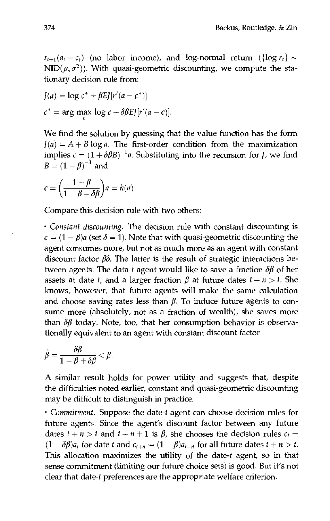$r_{t+1}(a_t - c_t)$  (no labor income), and log-normal return ( $\{\log r_t\} \sim$  $NID(\mu, \sigma^2)$ ). With quasi-geometric discounting, we compute the stationary decision rule from:

$$
J(a) = \log c^* + \beta E J[r'(a - c^*)]
$$
  

$$
c^* = \arg \max \log c + \delta \beta E J[r'(a - c)].
$$

We find the solution by guessing that the value function has the form  $J(a) = A + B \log a$ . The first-order condition from the maximization implies  $c = (1 + \delta \beta B)^{-1}a$ . Substituting into the recursion for *J*, we find  $B = (1 - \beta)^{-1}$  and

$$
c = \left(\frac{1-\beta}{1-\beta+\delta\beta}\right)a = h(a).
$$

Compare this decision rule with two others:

• *Constant discounting.* The decision rule with constant discounting is  $c = (1 - \beta)a$  (set  $\delta = 1$ ). Note that with quasi-geometric discounting the agent consumes more, but not as much more as an agent with constant discount factor  $\beta\delta$ . The latter is the result of strategic interactions between agents. The data-t agent would like to save a fraction  $\delta\beta$  of her assets at date *t*, and a larger fraction  $\beta$  at future dates  $t + n > t$ . She knows, however, that future agents will make the same calculation and choose saving rates less than  $\beta$ . To induce future agents to consume more (absolutely, not as a fraction of wealth), she saves more than  $\delta\beta$  today. Note, too, that her consumption behavior is observationally equivalent to an agent with constant discount factor

$$
\hat{\beta} = \frac{\delta \beta}{1 - \beta + \delta \beta} < \beta.
$$

A similar result holds for power utility and suggests that, despite the difficulties noted earlier, constant and quasi-geometric discounting may be difficult to distinguish in practice.

• *Commitment.* Suppose the *date-t* agent can choose decision rules for future agents. Since the agent's discount factor between any future dates  $t + n > t$  and  $t + n + 1$  is  $\beta$ , she chooses the decision rules  $c_t =$  $(1 - \delta \beta) a_t$  for date *t* and  $c_{t+n} = (1 - \beta) a_{t+n}$  for all future dates  $t + n > t$ . This allocation maximizes the utility of the date-f agent, so in that sense commitment (limiting our future choice sets) is good. But it's not clear that *date-t* preferences are the appropriate welfare criterion.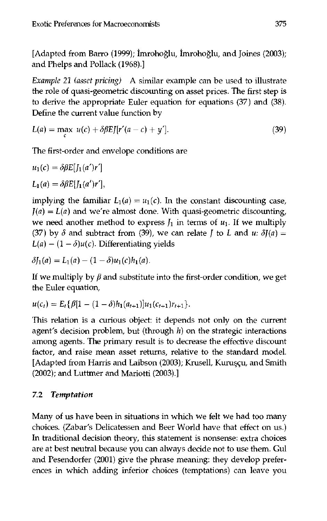[Adapted from Barro (1999); imrohoglu, imrohoglu, and Joines (2003); and Phelps and Pollack (1968).]

*Example 21 (asset pricing) A* similar example can be used to illustrate the role of quasi-geometric discounting on asset prices. The first step is to derive the appropriate Euler equation for equations (37) and (38). Define the current value function by

$$
L(a) = \max_{c} u(c) + \delta \beta E J[r'(a-c) + y'].
$$
 (39)

The first-order and envelope conditions are

$$
u_1(c) = \delta \beta E[I_1(a')r']
$$
  

$$
L_1(a) = \delta \beta E[I_1(a')r'],
$$

implying the familiar  $L_1(a) = u_1(c)$ . In the constant discounting case,  $J(a) = L(a)$  and we're almost done. With quasi-geometric discounting, we need another method to express  $J_1$  in terms of  $u_1$ . If we multiply (37) by  $\delta$  and subtract from (39), we can relate *J* to *L* and *u*:  $\delta J(a)$  =  $L(a) - (1 - \delta)u(c)$ . Differentiating yields

$$
\delta J_1(a) = L_1(a) - (1 - \delta)u_1(c)h_1(a).
$$

If we multiply by  $\beta$  and substitute into the first-order condition, we get the Euler equation,

$$
u(c_t) = E_t \{ \beta [1 - (1 - \delta)h_1(a_{t+1})]u_1(c_{t+1})r_{t+1} \}.
$$

This relation is a curious object: it depends not only on the current agent's decision problem, but (through *h)* on the strategic interactions among agents. The primary result is to decrease the effective discount factor, and raise mean asset returns, relative to the standard model. [Adapted from Harris and Laibson (2003); Krusell, Kuruşçu, and Smith (2002); and Luttmer and Mariotti (2003).]

## *7.2 Temptation*

Many of us have been in situations in which we felt we had too many choices. (Zabar's Delicatessen and Beer World have that effect on us.) In traditional decision theory, this statement is nonsense: extra choices are at best neutral because you can always decide not to use them. Gul and Pesendorfer (2001) give the phrase meaning: they develop preferences in which adding inferior choices (temptations) can leave you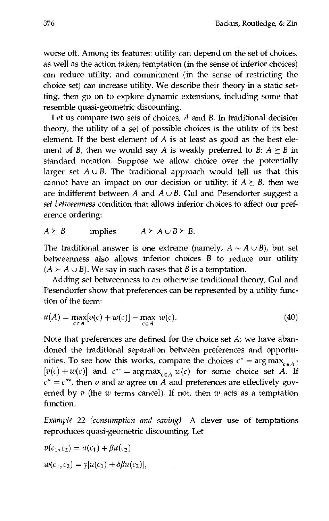worse off. Among its features: utility can depend on the set of choices, as well as the action taken; temptation (in the sense of inferior choices) can reduce utility; and commitment (in the sense of restricting the choice set) can increase utility. We describe their theory in a static setting, then go on to explore dynamic extensions, including some that resemble quasi-geometric discounting.

Let us compare two sets of choices, *A* and B. In traditional decision theory, the utility of a set of possible choices is the utility of its best element. If the best element of *A* is at least as good as the best element of *B*, then we would say *A* is weakly preferred to *B*:  $A \succeq B$  in standard notation. Suppose we allow choice over the potentially larger set  $A \cup B$ . The traditional approach would tell us that this cannot have an impact on our decision or utility: if  $A \succeq B$ , then we are indifferent between  $A$  and  $A \cup B$ . Gul and Pesendorfer suggest a *set betweenness* condition that allows inferior choices to affect our preference ordering:

$$
A \succeq B \qquad \text{implies} \qquad A \succeq A \cup B \succeq B.
$$

The traditional answer is one extreme (namely,  $A \sim A \cup B$ ), but set betweenness also allows inferior choices *B* to reduce our utility  $(A \succ A \cup B)$ . We say in such cases that *B* is a temptation.

Adding set betweenness to an otherwise traditional theory, Gul and Pesendorfer show that preferences can be represented by a utility function of the form:

$$
u(A) = \max_{c \in A} [v(c) + w(c)] - \max_{c \in A} w(c). \tag{40}
$$

Note that preferences are defined for the choice set *A;* we have abandoned the traditional separation between preferences and opportunities. To see how this works, compare the choices  $c^* = \arg \max_{c \in A} c$  $[v(c) + w(c)]$  and  $c^{**} = \arg \max_{c \in A} w(c)$  for some choice set *A*. If  $c^* = c^{**}$ , then *v* and *w* agree on *A* and preferences are effectively governed by *v* (the *w* terms cancel). If not, then *w* acts as a temptation function.

*Example 22 (consumption and saving) A* clever use of temptations reproduces quasi-geometric discounting. Let

$$
v(c_1, c_2) = u(c_1) + \beta u(c_2)
$$
  

$$
w(c_1, c_2) = \gamma[u(c_1) + \delta \beta u(c_2)],
$$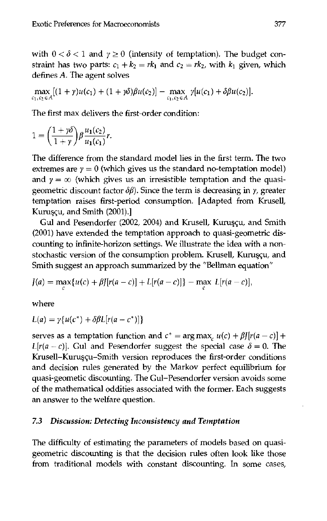with  $0 < \delta < 1$  and  $\gamma \ge 0$  (intensity of temptation). The budget constraint has two parts:  $c_1 + k_2 = rk_1$  and  $c_2 = rk_2$ , with  $k_1$  given, which defines *A.* The agent solves

$$
\max_{c_1, c_2 \in A} [(1 + \gamma)u(c_1) + (1 + \gamma \delta)\beta u(c_2)] - \max_{c_1, c_2 \in A} \gamma[u(c_1) + \delta \beta u(c_2)].
$$

The first max delivers the first-order condition:

$$
1=\bigg(\frac{1+\gamma\delta}{1+\gamma}\bigg)\beta\frac{u_1(c_2)}{u_1(c_1)}r.
$$

The difference from the standard model lies in the first term. The two extremes are  $y = 0$  (which gives us the standard no-temptation model) and  $y = \infty$  (which gives us an irresistible temptation and the quasigeometric discount factor *dfJ).* Since the term is decreasing in *y,* greater temptation raises first-period consumption. [Adapted from Krusell, Kuru§cu, and Smith (2001).]

Gul and Pesendorfer (2002, 2004) and Krusell, Kuru§cu, and Smith (2001) have extended the temptation approach to quasi-geometric discounting to infinite-horizon settings. We illustrate the idea with a nonstochastic version of the consumption problem. Krusell, Kuruşçu, and Smith suggest an approach summarized by the "Bellman equation"

$$
J(a) = \max_{c} \{u(c) + \beta J[r(a-c)] + L[r(a-c)]\} - \max_{c} L[r(a-c)],
$$

where

$$
L(a) = \gamma \{ u(c^*) + \delta \beta L[r(a-c^*)] \}
$$

serves as a temptation function and  $c^* = \arg \max_c u(c) + \beta J[r(a-c)] +$  $L[r(a-c)]$ . Gul and Pesendorfer suggest the special case  $\delta = 0$ . The Krusell–Kurusçu–Smith version reproduces the first-order conditions and decision rules generated by the Markov perfect equilibrium for quasi-geometic discounting. The Gul-Pesendorfer version avoids some quasi-geometic discounting. The Gul-Pesendorfer version avoids some of the mathematical oddities associated with the former. Each suggests an answer to the welfare question.

### *7.3 Discussion: Detecting Inconsistency and Temptation*

The difficulty of estimating the parameters of models based on quasigeometric discounting is that the decision rules often look like those from traditional models with constant discounting. In some cases,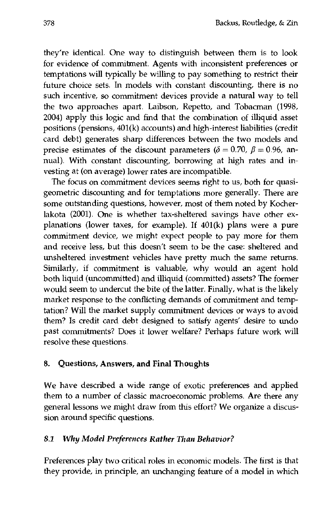they're identical. One way to distinguish between them is to look for evidence of commitment. Agents with inconsistent preferences or temptations will typically be willing to pay something to restrict their future choice sets. In models with constant discounting, there is no such incentive, so commitment devices provide a natural way to tell the two approaches apart. Laibson, Repetto, and Tobacman (1998, 2004) apply this logic and find that the combination of illiquid asset positions (pensions,  $401(k)$  accounts) and high-interest liabilities (credit card debt) generates sharp differences between the two models and precise estimates of the discount parameters ( $\delta = 0.70$ ,  $\beta = 0.96$ , annual). With constant discounting, borrowing at high rates and investing at (on average) lower rates are incompatible.

The focus on commitment devices seems right to us, both for quasigeometric discounting and for temptations more generally. There are some outstanding questions, however, most of them noted by Kocherlakota (2001). One is whether tax-sheltered savings have other explanations (lower taxes, for example). If 401(k) plans were a pure commitment device, we might expect people to pay more for them and receive less, but this doesn't seem to be the case: sheltered and unsheltered investment vehicles have pretty much the same returns. Similarly, if commitment is valuable, why would an agent hold both liquid (uncommitted) and illiquid (committed) assets? The former would seem to undercut the bite of the latter. Finally, what is the likely market response to the conflicting demands of commitment and temptation? Will the market supply commitment devices or ways to avoid them? Is credit card debt designed to satisfy agents' desire to undo past commitments? Does it lower welfare? Perhaps future work will resolve these questions.

## **8. Questions, Answers, and Final Thoughts**

We have described a wide range of exotic preferences and applied them to a number of classic macroeconomic problems. Are there any general lessons we might draw from this effort? We organize a discussion around specific questions.

### *8.1 Why Model Preferences Rather Than Behavior?*

Preferences play two critical roles in economic models. The first is that they provide, in principle, an unchanging feature of a model in which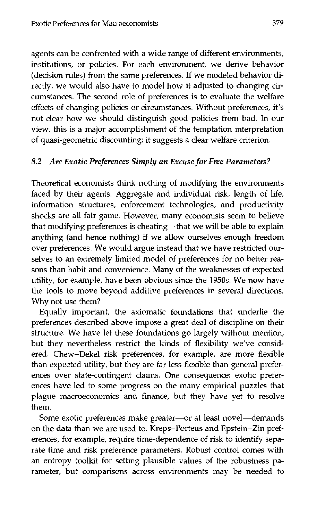agents can be confronted with a wide range of different environments, institutions, or policies. For each environment, we derive behavior (decision rules) from the same preferences. If we modeled behavior directly, we would also have to model how it adjusted to changing circumstances. The second role of preferences is to evaluate the welfare effects of changing policies or circumstances. Without preferences, it's not clear how we should distinguish good policies from bad. In our view, this is a major accomplishment of the temptation interpretation of quasi-geometric discounting: it suggests a clear welfare criterion.

### *8.2 Are Exotic Preferences Simply an Excuse for Free Parameters?*

Theoretical economists think nothing of modifying the environments faced by their agents. Aggregate and individual risk, length of life, information structures, enforcement technologies, and productivity shocks are all fair game. However, many economists seem to believe that modifying preferences is cheating—that we will be able to explain anything (and hence nothing) if we allow ourselves enough freedom over preferences. We would argue instead that we have restricted ourselves to an extremely limited model of preferences for no better reasons than habit and convenience. Many of the weaknesses of expected utility, for example, have been obvious since the 1950s. We now have the tools to move beyond additive preferences in several directions. Why not use them?

Equally important, the axiomatic foundations that underlie the preferences described above impose a great deal of discipline on their structure. We have let these foundations go largely without mention, but they nevertheless restrict the kinds of flexibility we've considered. Chew-Dekel risk preferences, for example, are more flexible than expected utility, but they are far less flexible than general preferences over state-contingent claims. One consequence: exotic preferences have led to some progress on the many empirical puzzles that plague macroeconomics and finance, but they have yet to resolve them.

Some exotic preferences make greater—or at least novel—demands on the data than we are used to. Kreps-Porteus and Epstein-Zin preferences, for example, require time-dependence of risk to identify separate time and risk preference parameters. Robust control comes with an entropy toolkit for setting plausible values of the robustness parameter, but comparisons across environments may be needed to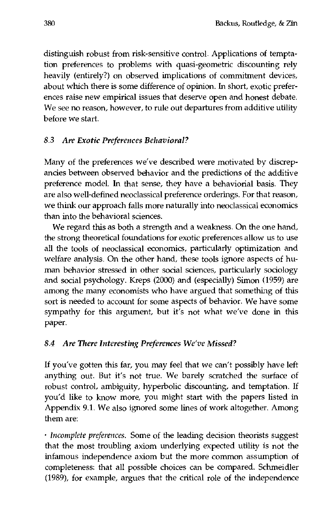distinguish robust from risk-sensitive control. Applications of temptation preferences to problems with quasi-geometric discounting rely heavily (entirely?) on observed implications of commitment devices, about which there is some difference of opinion. In short, exotic preferences raise new empirical issues that deserve open and honest debate. We see no reason, however, to rule out departures from additive utility before we start.

## 8.3 *Are Exotic Preferences Behavioral?*

Many of the preferences we've described were motivated by discrepancies between observed behavior and the predictions of the additive preference model. In that sense, they have a behaviorial basis. They are also well-defined neoclassical preference orderings. For that reason, we think our approach falls more naturally into neoclassical economics than into the behavioral sciences.

We regard this as both a strength and a weakness. On the one hand, the strong theoretical foundations for exotic preferences allow us to use all the tools of neoclassical economics, particularly optimization and welfare analysis. On the other hand, these tools ignore aspects of human behavior stressed in other social sciences, particularly sociology and social psychology. Kreps (2000) and (especially) Simon (1959) are among the many economists who have argued that something of this sort is needed to account for some aspects of behavior. We have some sympathy for this argument, but it's not what we've done in this paper.

### *8.4 Are There Interesting Preferences We've Missed?*

If you've gotten this far, you may feel that we can't possibly have left anything out. But it's not true. We barely scratched the surface of robust control, ambiguity, hyperbolic discounting, and temptation. If you'd like to know more, you might start with the papers listed in Appendix 9.1. We also ignored some lines of work altogether. Among them are:

• *Incomplete preferences.* Some of the leading decision theorists suggest that the most troubling axiom underlying expected utility is not the infamous independence axiom but the more common assumption of completeness: that all possible choices can be compared. Schmeidler (1989), for example, argues that the critical role of the independence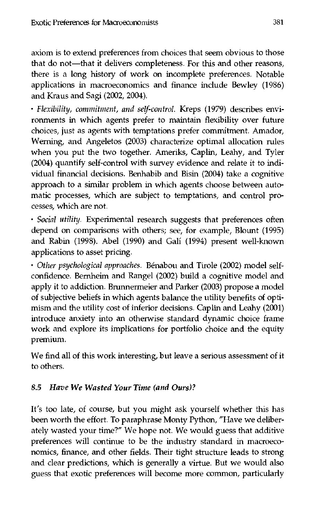axiom is to extend preferences from choices that seem obvious to those that do not—that it delivers completeness. For this and other reasons, there is a long history of work on incomplete preferences. Notable applications in macroeconomics and finance include Bewley (1986) and Kraus and Sagi (2002, 2004).

• *Flexibility, commitment, and self-control.* Kreps (1979) describes environments in which agents prefer to maintain flexibility over future choices, just as agents with temptations prefer commitment. Amador, Werning, and Angeletos (2003) characterize optimal allocation rules when you put the two together. Ameriks, Caplin, Leahy, and Tyler (2004) quantify self-control with survey evidence and relate it to individual financial decisions. Benhabib and Bisin (2004) take a cognitive approach to a similar problem in which agents choose between automatic processes, which are subject to temptations, and control processes, which are not.

• *Social utility.* Experimental research suggests that preferences often depend on comparisons with others; see, for example, Blount (1995) and Rabin (1998). Abel (1990) and Gali (1994) present well-known applications to asset pricing.

• Other psychological approaches. Bénabou and Tirole (2002) model selfconfidence. Bernheim and Rangel (2002) build a cognitive model and apply it to addiction. Brunnermeier and Parker (2003) propose a model of subjective beliefs in which agents balance the utility benefits of optimism and the utility cost of inferior decisions. Caplin and Leahy (2001) introduce anxiety into an otherwise standard dynamic choice frame work and explore its implications for portfolio choice and the equity premium.

We find all of this work interesting, but leave a serious assessment of it to others.

# *8.5 Have We Wasted Your Time (and Ours)?*

It's too late, of course, but you might ask yourself whether this has been worth the effort. To paraphrase Monty Python, "Have we deliberately wasted your time?" We hope not. We would guess that additive preferences will continue to be the industry standard in macroeconomics, finance, and other fields. Their tight structure leads to strong and clear predictions, which is generally a virtue. But we would also guess that exotic preferences will become more common, particularly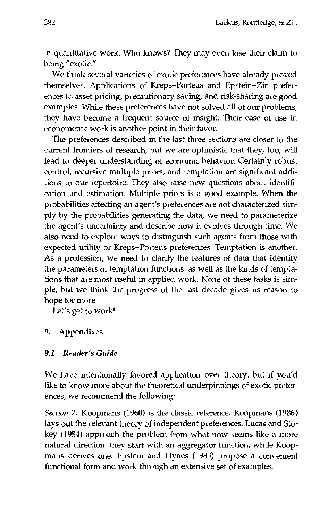in quantitative work. Who knows? They may even lose their claim to being "exotic."

We think several varieties of exotic preferences have already proved themselves. Applications of Kreps-Porteus and Epstein-Zin preferences to asset pricing, precautionary saving, and risk-sharing are good examples. While these preferences have not solved all of our problems, they have become a frequent source of insight. Their ease of use in econometric work is another point in their favor.

The preferences described in the last three sections are closer to the current frontiers of research, but we are optimistic that they, too, will lead to deeper understanding of economic behavior. Certainly robust control, recursive multiple priors, and temptation are significant additions to our repertoire. They also raise new questions about identification and estimation. Multiple priors is a good example. When the probabilities affecting an agent's preferences are not characterized simply by the probabilities generating the data, we need to parameterize the agent's uncertainty and describe how it evolves through time. We also need to explore ways to distinguish such agents from those with expected utility or Kreps-Porteus preferences. Temptation is another. As a profession, we need to clarify the features of data that identify the parameters of temptation functions, as well as the kinds of temptations that are most useful in applied work. None of these tasks is simple, but we think the progress of the last decade gives us reason to hope for more.

Let's get to work!

### 9. Appendixes

### *9.1 Reader's Guide*

We have intentionally favored application over theory, but if you'd like to know more about the theoretical underpinnings of exotic preferences, we recommend the following:

*Section 2.* Koopmans (1960) is the classic reference. Koopmans (1986) lays out the relevant theory of independent preferences. Lucas and Stokey (1984) approach the problem from what now seems like a more natural direction: they start with an aggregator function, while Koopmans derives one. Epstein and Hynes (1983) propose a convenient functional form and work through an extensive set of examples.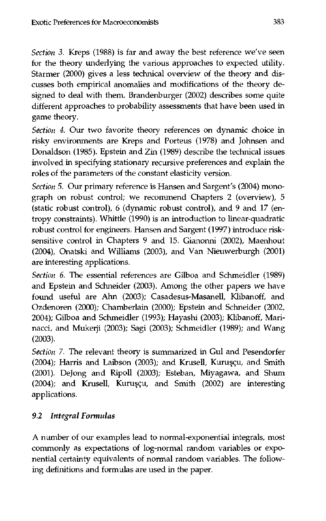*Section* 3. Kreps (1988) is far and away the best reference we've seen for the theory underlying the various approaches to expected utility. Starmer (2000) gives a less technical overview of the theory and discusses both empirical anomalies and modifications of the theory designed to deal with them. Brandenburger (2002) describes some quite different approaches to probability assessments that have been used in game theory.

*Section 4.* Our two favorite theory references on dynamic choice in risky environments are Kreps and Porteus (1978) and Johnsen and Donaldson (1985). Epstein and Zin (1989) describe the technical issues involved in specifying stationary recursive preferences and explain the roles of the parameters of the constant elasticity version.

*Section 5.* Our primary reference is Hansen and Sargent's (2004) monograph on robust control; we recommend Chapters 2 (overview), 5 (static robust control), 6 (dynamic robust control), and 9 and 17 (entropy constraints). Whittle (1990) is an introduction to linear-quadratic robust control for engineers. Hansen and Sargent (1997) introduce risksensitive control in Chapters 9 and 15. Gianonni (2002), Maenhout (2004), Onatski and Williams (2003), and Van Nieuwerburgh (2001) are interesting applications.

*Section 6.* The essential references are Gilboa and Schmeidler (1989) and Epstein and Schneider (2003). Among the other papers we have found useful are Ahn (2003); Casadesus-Masanell, Klibanoff, and Ozdenoren (2000); Chamberlain (2000); Epstein and Schneider (2002, 2004); Gilboa and Schmeidler (1993); Hayashi (2003); Klibanoff, Marinacci, and Mukerji (2003); Sagi (2003); Schmeidler (1989); and Wang (2003).

*Section 7.* The relevant theory is summarized in Gul and Pesendorfer (2004); Harris and Laibson (2003); and Krusell, Kuru§cu, and Smith (2001). Dejong and Ripoll (2003); Esteban, Miyagawa, and Shum (2004); and Krusell, Kuruşçu, and Smith (2002) are interesting applications.

# *9.2 Integral Formulas*

*A* number of our examples lead to normal-exponential integrals, most commonly as expectations of log-normal random variables or exponential certainty equivalents of normal random variables. The following definitions and formulas are used in the paper.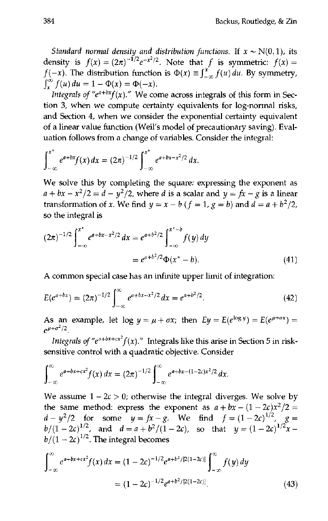*Standard normal density and distribution functions.* If  $x \sim N(0,1)$ , its density is  $f(x) = (2\pi)^{-1/2} e^{-x^2/2}$ . Note that f is symmetric:  $f(x) =$ *f*(-*x*). The distribution function is  $\Phi(x) \equiv \int_{-\infty}^{x} f(u) du$ . By symmetry,  $\int_{0}^{\infty} f(u) du = 1 - \Phi(x) = \Phi(-x)$ .

*Integrals of "e<sup>a+bx</sup>f(x)."* We come across integrals of this form in Section 3, when we compute certainty equivalents for log-normal risks, and Section 4, when we consider the exponential certainty equivalent of a linear value function (Weil's model of precautionary saving). Evaluation follows from a change of variables. Consider the integral:

$$
\int_{-\infty}^{x^*} e^{a+bx} f(x) \, dx = (2\pi)^{-1/2} \int_{-\infty}^{x^*} e^{a+bx-x^2/2} \, dx.
$$

We solve this by completing the square: expressing the exponent as  $a + bx - x^2/2 = d - y^2/2$ , where *d* is a scalar and  $y = fx - g$  is a linear transformation of *x*. We find  $y = x - b$  ( $f = 1$ ,  $g = b$ ) and  $d = a + b^2/2$ , so the integral is

$$
(2\pi)^{-1/2} \int_{-\infty}^{x^*} e^{a+bx-x^2/2} dx = e^{a+b^2/2} \int_{-\infty}^{x^*-b} f(y) dy
$$
  
=  $e^{a+b^2/2} \Phi(x^* - b).$  (41)

A common special case has an infinite upper limit of integration:

$$
E(e^{a+bx}) = (2\pi)^{-1/2} \int_{-\infty}^{\infty} e^{a+bx-x^2/2} dx = e^{a+b^2/2}.
$$
 (42)

As an example, let  $\log y = \mu + \sigma x$ ; then  $Ey = E(e^{\log y}) = E(e^{\mu + \sigma x}) =$  $\rho \mu + \sigma^2/2$ 

*Integrals of "* $e^{a + bx + cx^2} f(x)$ *."* Integrals like this arise in Section 5 in risksensitive control with a quadratic objective. Consider

$$
\int_{-\infty}^{\infty} e^{a+bx+cx^2} f(x) \, dx = (2\pi)^{-1/2} \int_{-\infty}^{\infty} e^{a+bx-(1-2c)x^2/2} \, dx
$$

We assume  $1 - 2c > 0$ ; otherwise the integral diverges. We solve by the same method: express the exponent as  $a + bx - (1 - 2c)x^2/2 =$ *d* –  $y^2/2$  for some  $y = fx - g$ . We find  $f = (1 - 2c)^{1/2}$ ,  $g =$  $b/(1-2c)^{1/2}$ , and  $d = a + b^2/(1-2c)$ , so that  $y = (1-2c)^{1/2}x$  $b/(1-2c)^{1/2}$ . The integral becomes

$$
\int_{-\infty}^{\infty} e^{a+bx+cx^2} f(x) dx = (1 - 2c)^{-1/2} e^{a+b^2/[2(1-2c)]} \int_{-\infty}^{\infty} f(y) dy
$$
  
=  $(1 - 2c)^{-1/2} e^{a+b^2/[2(1-2c)]}$ . (43)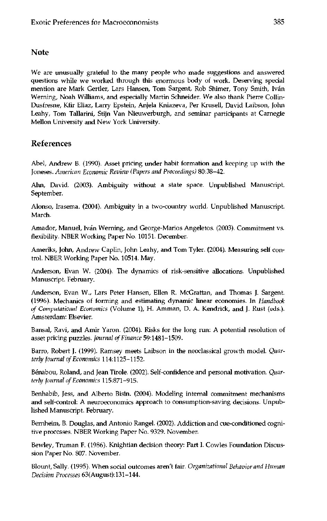#### **Note**

We are unusually grateful to the many people who made suggestions and answered questions while we worked through this enormous body of work. Deserving special mention are Mark Gertler, Lars Hansen, Tom Sargent, Rob Shimer, Tony Smith, Ivan Werning, Noah Williams, and especially Martin Schneider. We also thank Pierre Collin-Dusfresne, Kfir Eliaz, Larry Epstein, Anjela Kniazeva, Per Krusell, David Laibson, John Leahy, Tom Tallarini, Stijn Van Nieuwerburgh, and seminar participants at Carnegie Mellon University and New York University.

### **References**

Abel, Andrew B. (1990). Asset pricing under habit formation and keeping up with the Joneses. *American Economic Review (Papers and Proceedings)* 80:38-42.

Ahn, David. (2003). Ambiguity without a state space. Unpublished Manuscript. September.

Alonso, Irasema. (2004). Ambiguity in a two-country world. Unpublished Manuscript. March.

Amador, Manuel, Iván Werning, and George-Marios Angeletos. (2003). Commitment vs. flexibility. NBER Working Paper No. 10151. December.

Ameriks, John, Andrew Caplin, John Leahy, and Tom Tyler. (2004). Measuring self control. NBER Working Paper No. 10514. May.

Anderson, Evan W. (2004). The dynamics of risk-sensitive allocations. Unpublished Manuscript. February.

Anderson, Evan W., Lars Peter Hansen, Ellen R. McGrattan, and Thomas J. Sargent. (1996). Mechanics of forming and estimating dynamic linear economies. In *Handbook of Computational Economics* (Volume 1), H. Amman, D. A. Kendrick, and J. Rust (eds.). Amsterdam: Elsevier.

Bansal, Ravi, and Amir Yaron. (2004). Risks for the long run: A potential resolution of asset pricing puzzles. *Journal of Finance* 59:1481-1509.

Barro, Robert J. (1999). Ramsey meets Laibson in the neoclassical growth model. *Quarterly Journal of Economics* 114:1125-1152.

Benabou, Roland, and Jean Tirole. (2002). Self-confidence and personal motivation. *Quarterly Journal of Economics* 115:871-915.

Benhabib, Jess, and Alberto Bisin. (2004). Modeling internal commitment mechanisms and self-control: A neuroeconomics approach to consumption-saving decisions. Unpublished Manuscript. February.

Bernheim, B. Douglas, and Antonio Rangel. (2002). Addiction and cue-conditioned cognitive processes. NBER Working Paper No. 9329. November.

Bewley, Truman F. (1986). Knightian decision theory: Part I. Cowles Foundation Discussion Paper No. 807. November.

Blount, Sally. (1995). When social outcomes aren't fair. *Organizational Behavior and Human Decision Processes* 63(August):131-144.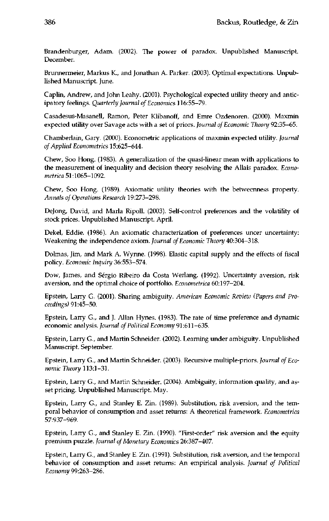Brandenburger, Adam. (2002). The power of paradox. Unpublished Manuscript. December.

Brunnermeier, Markus K., and Jonathan A. Parker. (2003). Optimal expectations. Unpublished Manuscript. June.

Caplin, Andrew, and John Leahy. (2001). Psychological expected utility theory and anticipatory feelings. *Quarterly Journal of Economics* 116:55-79.

Casadesus-Masanell, Ramon, Peter Klibanoff, and Emre Ozdenoren. (2000). Maxmin expected utility over Savage acts with a set of priors. *Journal of Economic Theory* 92:35-65.

Chamberlain, Gary. (2000). Econometric applications of maxmin expected utility. *Journal of Applied Econometrics* 15:625-644.

Chew, Soo Hong. (1983). A generalization of the quasi-linear mean with applications to the measurement of inequality and decision theory resolving the Allais paradox. *Econometrica* 51:1065-1092.

Chew, Soo Hong. (1989). Axiomatic utility theories with the betweenness property. *Annals of Operations Research* 19:273-298.

Dejong, David, and Maria Ripoll. (2003). Self-control preferences and the volatility of stock prices. Unpublished Manuscript. April.

Dekel, Eddie. (1986). An axiomatic characterization of preferences uncer uncertainty: Weakening the independence axiom. *Journal of Economic Theory* 40:304-318.

Dolmas, Jim, and Mark A. Wynne. (1998). Elastic capital supply and the effects of fiscal policy. *Economic Inquiry* 36:553-574.

Dow, James, and Sergio Ribeiro da Costa Werlang. (1992). Uncertainty aversion, risk aversion, and the optimal choice of portfolio. *Econometrica* 60:197-204.

Epstein, Larry G. (2001). Sharing ambiguity. *American Economic Review (Papers and Proceedings)* 91:45-50.

Epstein, Larry G., and J. Allan Hynes. (1983). The rate of time preference and dynamic economic analysis. *Journal of Political Economy* 91:611-635.

Epstein, Larry G., and Martin Schneider. (2002). Learning under ambiguity. LInpublished Manuscript. September.

Epstein, Larry G., and Martin Schneider. (2003). Recursive multiple-priors. *Journal of Economic Theory* 113:1-31.

Epstein, Larry G., and Martin Schneider. (2004). Ambiguity, information quality, and asset pricing. Unpublished Manuscript. May.

Epstein, Larry G., and Stanley E. Zin. (1989). Substitution, risk aversion, and the temporal behavior of consumption and asset returns: A theoretical framework. *Econometrica* 57:937-969.

Epstein, Larry G., and Stanley E. Zin. (1990). "First-order" risk aversion and the equity premium puzzle. *Journal of Monetary Economics* 26:387-407.

Epstein, Larry G., and Stanley E. Zin. (1991). Substitution, risk aversion, and the temporal behavior of consumption and asset returns: An empirical analysis. *Journal of Political Economy* 99:263-286.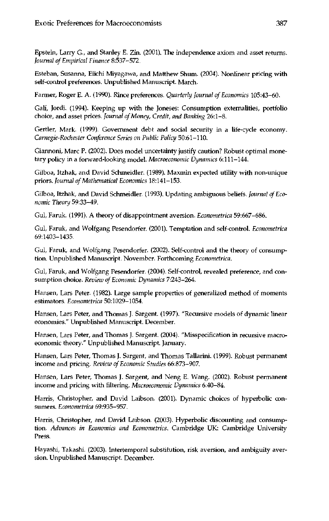Epstein, Larry G., and Stanley E. Zin. (2001). The independence axiom and asset returns. *Journal of Empirical Finance* 8:537-572.

Esteban, Susanna, Eiichi Miyagawa, and Matthew Shum. (2004). Nonlinear pricing with self-control preferences. Unpublished Manuscript. March.

Farmer, Roger E. A. (1990). Rince preferences. *Quarterly Journal of Economics* 105:43-60.

Gali, Jordi. (1994). Keeping up with the Joneses: Consumption externalities, portfolio choice, and asset prices. *Journal of Money, Credit, and Banking* 26:1-8.

Gertler, Mark. (1999). Government debt and social security in a life-cycle economy. *Carnegie-Rochester Conference Series on Public Policy* 50:61-110.

Giannoni, Marc P. (2002). Does model uncertainty justify caution? Robust optimal monetary policy in a forward-looking model. *Macroeconomic Dynamics* 6:111-144.

Gilboa, Itzhak, and David Schmeidler. (1989). Maxmin expected utility with non-unique priors. *Journal of Mathematical Economics* 18:141-153.

Gilboa, Itzhak, and David Schmeidler. (1993). Updating ambiguous beliefs. *Journal of Economic Theory* 59:33-49.

Gul, Faruk. (1991). A theory of disappointment aversion. *Econometrica* 59:667-686.

Gul, Faruk, and Wolfgang Pesendorfer. (2001). Temptation and self-control. *Econometrica* 69:1403-1435.

Gul, Faruk, and Wolfgang Pesendorfer. (2002). Self-control and the theory of consumption. Unpublished Manuscript. November. Forthcoming *Econometrica.*

Gul, Faruk, and Wolfgang Pesendorfer. (2004). Self-control, revealed preference, and consumption choice. *Review of Economic Dynamics* 7:243-264.

Hansen, Lars Peter. (1982). Large sample properties of generalized method of moments estimators. *Econometrica* 50:1029-1054.

Hansen, Lars Peter, and Thomas J. Sargent. (1997). "Recursive models of dynamic linear economies." Unpublished Manuscript. December.

Hansen, Lars Peter, and Thomas J. Sargent. (2004). "Misspecification in recursive macroeconomic theory." Unpublished Manuscript. January.

Hansen, Lars Peter, Thomas J. Sargent, and Thomas Tallarini. (1999). Robust permanent income and pricing. *Review of Economic Studies* 66:873-907.

Hansen, Lars Peter, Thomas J. Sargent, and Neng E. Wang. (2002). Robust permanent income and pricing with filtering. *Macroeconomic Dynamics* 6:40-84.

Harris, Christopher, and David Laibson. (2001). Dynamic choices of hyperbolic consumers. *Econometrica* 69:935-957.

Harris, Christopher, and David Laibson. (2003). Hyperbolic discounting and consumption. *Advances in Economics and Econometrics.* Cambridge UK: Cambridge University Press.

Hayashi, Takashi. (2003). Intertemporal substitution, risk aversion, and ambiguity aversion. Unpublished Manuscript. December.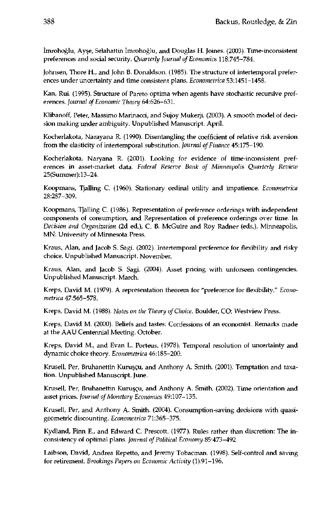Imrohoglu, Ay§e, Selahattin imrohoglu, and Douglas H. Joines. (2003). Time-inconsistent preferences and social security. *Quarterly Journal of Economics* 118:745-784.

Johnsen, Thore H., and John B. Donaldson. (1985). The structure of intertemporal preferences under uncertainty and time consistent plans. *Econometrica* 53:1451-1458.

Kan, Rui. (1995). Structure of Pareto optima when agents have stochastic recursive preferences. *Journal of Economic Theory* 64:626-631.

Klibanoff, Peter, Massimo Marinacci, and Sujoy Mukerji. (2003). A smooth model of decision making under ambiguity. Unpublished Manuscript. April.

Kocherlakota, Narayana R. (1990). Disentangling the coefficient of relative risk aversion from the elasticity of intertemporal substitution. *Journal of Finance* 45:175-190.

Kocherlakota, Naryana R. (2001). Looking for evidence of time-inconsistent preferences in asset-market data. *Federal Reserve Bank of Minneapolis Quarterly Review* 25(Summer): 13-24.

Koopmans, Tjalling C. (1960). Stationary ordinal utility and impatience. *Econometrica* 28:287-309.

Koopmans, Tjalling C. (1986). Representation of preference orderings with independent components of consumption, and Representation of preference orderings over time. In *Decision and Organization* (2d ed.), C. B. McGuire and Roy Radner (eds.). Minneapolis, MN: University of Minnesota Press.

Kraus, Alan, and Jacob S. Sagi. (2002). Intertemporal preference for flexibility and risky choice. Unpublished Manuscript. November.

Kraus, Alan, and Jacob S. Sagi. (2004). Asset pricing with unforseen contingencies. Unpublished Manuscript. March.

Kreps, David M. (1979). A representation theorem for "preference for flexibility." *Econometrica* 47:565-578.

Kreps, David M. (1988). *Notes on the Theory of Choice.* Boulder, CO: Westview Press.

Kreps, David M. (2000). Beliefs and tastes: Confessions of an economist. Remarks made at the AAU Centennial Meeting. October.

Kreps, David M., and Evan L. Porteus. (1978). Temporal resolution of uncertainty and dynamic choice theory. *Econometrica* 46:185-200.

Krusell, Per, Bruhanettin Kuruşçu, and Anthony A. Smith. (2001). Temptation and taxation. Unpublished Manuscript. June.

Krusell, Per, Bruhanettin Kuruşçu, and Anthony A. Smith. (2002). Time orientation and asset prices. *Journal of Monetary Economics* 49:107-135.

Krusell, Per, and Anthony A. Smith. (2004). Consumption-saving decisions with quasigeometric discounting. *Econometrica* 71:365-375.

Kydland, Finn E., and Edward C. Prescott. (1977). Rules rather than discretion: The inconsistency of optimal plans. *Journal of Political Economy* 85:473-492.

Laibson, David, Andrea Repetto, and Jeremy Tobacman. (1998). Self-control and saving for retirement. *Brookings Papers on Economic Activity* (1):91-196.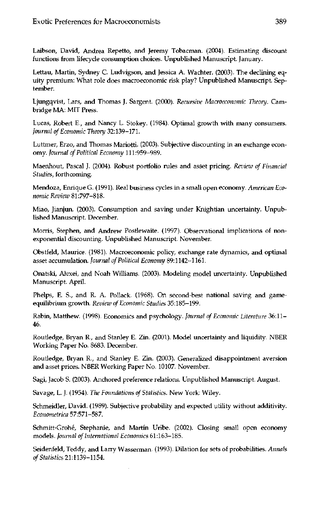Laibson, David, Andrea Repetto, and Jeremy Tobacman. (2004). Estimating discount functions from lifecycle consumption choices. Unpublished Manuscript. January.

Lettau, Martin, Sydney C. Ludvigson, and Jessica A. Wachter. (2003). The declining equity premium: What role does macroeconomic risk play? Unpublished Manuscript. September.

Ljungqvist, Lars, and Thomas J. Sargent. (2000). *Recursive Macroeconomic Theory.* Cambridge MA: MIT Press.

Lucas, Robert E., and Nancy L. Stokey. (1984). Optimal growth with many consumers. *Journal of Economic Theory* 32:139-171.

Luttmer, Erzo, and Thomas Mariotti. (2003). Subjective discounting in an exchange economy. *Journal of Political Economy* 111:959-989.

Maenhout, Pascal J. (2004). Robust portfolio rules and asset pricing. *Review of Financial Studies,* forthcoming.

Mendoza, Enrique G. (1991). Real business cycles in a small open economy. *American Economic Review* 81:797-818.

Miao, Jianjun. (2003). Consumption and saving under Knightian uncertainty. Unpublished Manuscript. December.

Morris, Stephen, and Andrew Postlewaite. (1997). Observational implications of nonexponential discounting. Unpublished Manuscript. November.

Obstfeld, Maurice. (1981). Macroeconomic policy, exchange rate dynamics, and optimal asset accumulation. *Journal of Political Economy* 89:1142-1161.

Onatski, Alexei, and Noah Williams. (2003). Modeling model uncertainty. Unpublished Manuscript. April.

Phelps, E. S., and R. A. Pollack. (1968). On second-best national saving and gameequilibrium growth. *Review of Economic Studies* 35:185-199.

Rabin, Matthew. (1998). Economics and psychology. *Journal of Economic Literature* 36:11- 46.

Routledge, Bryan R., and Stanley E. Zin. (2001). Model uncertainty and liquidity. NBER Working Paper No. 8683. December.

Routledge, Bryan R., and Stanley E. Zin. (2003). Generalized disappointment aversion and asset prices. NBER Working Paper No. 10107. November.

Sagi, Jacob S. (2003). Anchored preference relations. Unpublished Manuscript. August.

Savage, L. J. (1954). *The Foundations of Statistics.* New York: Wiley.

Schmeidler, David. (1989). Subjective probability and expected utility without additivity. *Econometrica* 57:571-587.

Schmitt-Grohe, Stephanie, and Martin Uribe. (2002). Closing small open economy models. *Journal of International Economics* 61:163-185.

Seidenfeld, Teddy, and Larry Wasserman. (1993). Dilation for sets of probabilities. *Annals of Statistics* 21:1139-1154.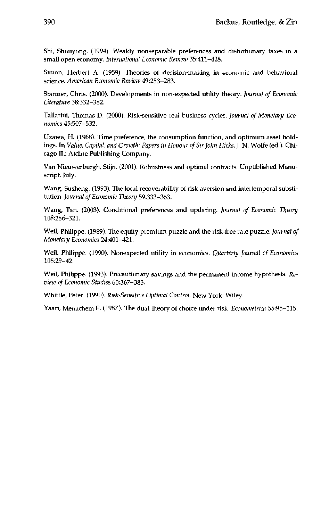Shi, Shouyong. (1994). Weakly nonseparable preferences and distortionary taxes in a small open economy. *International Economic Review* 35:411-428.

Simon, Herbert A. (1959). Theories of decision-making in economic and behavioral science. *American Economic Review* 49:253-283.

Starmer, Chris. (2000). Developments in non-expected utility theory. *Journal of Economic Literature* 38:332-382.

Tallarini, Thomas D. (2000). Risk-sensitive real business cycles. *Journal of Monetary Economics* 45:507-532.

Uzawa, H. (1968). Time preference, the consumption function, and optimum asset holdings. In *Value, Capital, and Growth: Papers in Honour of Sir John Hicks,* J. N. Wolfe (ed.). Chicago IL: Aldine Publishing Company.

Van Nieuwerburgh, Stijn. (2001). Robustness and optimal contracts. Unpublished Manuscript. July.

Wang, Susheng. (1993). The local recoverability of risk aversion and intertemporal substitution. *Journal of Economic Theory* 59:333-363.

Wang, Tan. (2003). Conditional preferences and updating. *Journal of Economic Theory* 108:286-321.

Weil, Philippe. (1989). The equity premium puzzle and the risk-free rate puzzle. *Journal of Monetary Economics* 24:401-421.

Weil, Philippe. (1990). Nonexpected utility in economics. *Quarterly Journal of Economics* 105:29-42.

Weil, Philippe. (1993). Precautionary savings and the permanent income hypothesis. *Review of Economic Studies* 60:367-383.

Whittle, Peter. (1990). *Risk-Sensitive Optimal Control.* New York: Wiley.

Yaari, Menachem E. (1987). The dual theory of choice under risk. *Econometrica* 55:95-115.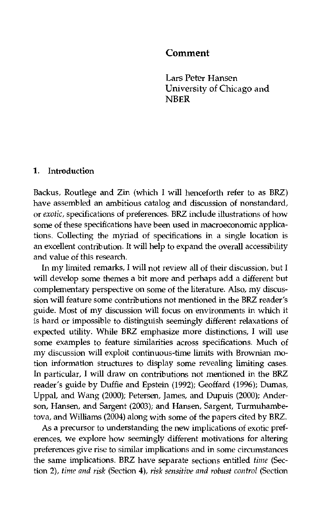### **Comment**

Lars Peter Hansen University of Chicago and NBER

#### **1. Introduction**

Backus, Routlege and Zin (which I will henceforth refer to as BRZ) have assembled an ambitious catalog and discussion of nonstandard, or *exotic,* specifications of preferences. BRZ include illustrations of how some of these specifications have been used in macroeconomic applications. Collecting the myriad of specifications in a single location is an excellent contribution. It will help to expand the overall accessibility and value of this research.

In my limited remarks, I will not review all of their discussion, but I will develop some themes a bit more and perhaps add a different but complementary perspective on some of the literature. Also, my discussion will feature some contributions not mentioned in the BRZ reader's guide. Most of my discussion will focus on environments in which it is hard or impossible to distinguish seemingly different relaxations of expected utility. While BRZ emphasize more distinctions, I will use some examples to feature similarities across specifications. Much of my discussion will exploit continuous-time limits with Brownian motion information structures to display some revealing limiting cases. In particular, I will draw on contributions not mentioned in the BRZ reader's guide by Duffie and Epstein (1992); Geoffard (1996); Dumas, Uppal, and Wang (2000); Petersen, James, and Dupuis (2000); Anderson, Hansen, and Sargent (2003); and Hansen, Sargent, Turmuhambetova, and Williams (2004) along with some of the papers cited by BRZ.

As a precursor to understanding the new implications of exotic preferences, we explore how seemingly different motivations for altering preferences give rise to similar implications and in some circumstances the same implications. BRZ have separate sections entitled *time* (Section 2), *time and risk* (Section 4), *risk sensitive and robust control* (Section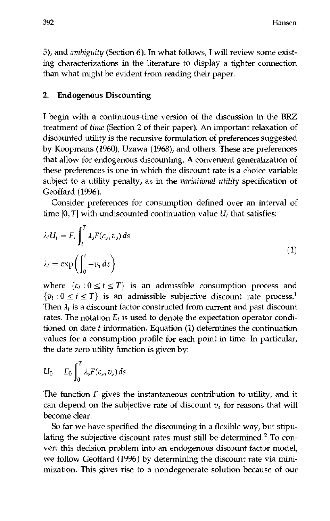5), and *ambiguity* (Section 6). In what follows, I will review some existing characterizations in the literature to display a tighter connection than what might be evident from reading their paper.

### **2. Endogenous Discounting**

I begin with a continuous-time version of the discussion in the BRZ treatment of *time* (Section 2 of their paper). An important relaxation of discounted utility is the recursive formulation of preferences suggested by Koopmans (I960), Uzawa (1968), and others. These are preferences that allow for endogenous discounting. A convenient generalization of these preferences is one in which the discount rate is a choice variable subject to a utility penalty, as in the *variational utility* specification of Geoffard (1996).

Consider preferences for consumption defined over an interval of time  $[0, T]$  with undiscounted continuation value  $U_t$  that satisfies:

$$
\lambda_t U_t = E_t \int_t^T \lambda_s F(c_s, v_s) ds
$$
  

$$
\lambda_t = \exp\left(\int_0^t -v_\tau d\tau\right)
$$
 (1)

where  $\{c_t : 0 \le t \le T\}$  is an admissible consumption process and  $\{v_t: 0 \le t \le T\}$  is an admissible subjective discount rate process.<sup>1</sup> Then  $\lambda_t$  is a discount factor constructed from current and past discount rates. The notation  $E_t$  is used to denote the expectation operator conditioned on date *t* information. Equation (1) determines the continuation values for a consumption profile for each point in time. In particular, the date zero utility function is given by:

$$
U_0 = E_0 \int_0^T \lambda_s F(c_s, v_s) ds
$$

The function *F* gives the instantaneous contribution to utility, and it can depend on the subjective rate of discount *v<sup>s</sup>* for reasons that will become clear.

So far we have specified the discounting in a flexible way, but stipulating the subjective discount rates must still be determined.<sup>2</sup> To convert this decision problem into an endogenous discount factor model, we follow Geoffard (1996) by determining the discount rate via minimization. This gives rise to a nondegenerate solution because of our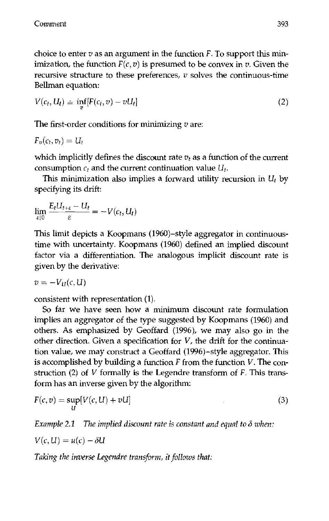choice to enter *v* as an argument in the function F. To support this minimization, the function  $F(c, v)$  is presumed to be convex in  $v$ . Given the recursive structure to these preferences, *v* solves the continuous-time Bellman equation:

$$
V(c_t, U_t) \doteq \inf \{ F(c_t, v) - v U_t \} \tag{2}
$$

The first-order conditions for minimizing *v* are:

 $F_v(c_t, v_t) = U_t$ 

which implicitly defines the discount rate  $v_t$  as a function of the current consumption  $c_t$  and the current continuation value  $U_t$ .

This minimization also implies a forward utility recursion in *U<sup>t</sup>* by specifying its drift:

$$
\lim_{\varepsilon\downarrow 0}\frac{E_tU_{t+\varepsilon}-U_t}{\varepsilon}=-V(c_t,U_t)
$$

This limit depicts a Koopmans (1960)-style aggregator in continuoustime with uncertainty. Koopmans (1960) defined an implied discount factor via a differentiation. The analogous implicit discount rate is given by the derivative:

$$
v = -V_{\mathcal{U}}(\mathfrak{c}, U)
$$

consistent with representation (1).

So far we have seen how a minimum discount rate formulation implies an aggregator of the type suggested by Koopmans (1960) and others. As emphasized by Geoffard (1996), we may also go in the other direction. Given a specification for *V,* the drift for the continuation value, we may construct a Geoffard (1996)-style aggregator. This is accomplished by building a function F from the function *V.* The construction (2) of *V* formally is the Legendre transform of F. This transform has an inverse given by the algorithm:

$$
F(c,v) = \sup_{U} [V(c, U) + vU]
$$
\n(3)

*Example 2.1 The implied discount rate is constant and equal to S when:*

 $V(c, U) = u(c) - \delta U$ 

*Taking the inverse Legendre transform, it follows that:*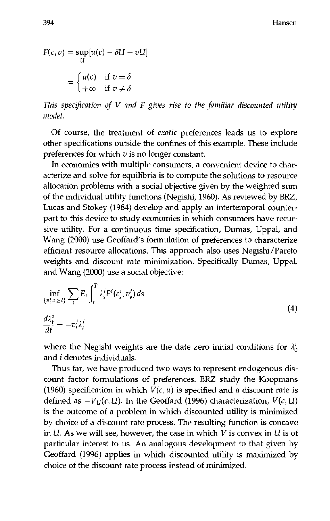$$
F(c, v) = \sup_{U} [u(c) - \delta U + vU]
$$

$$
= \begin{cases} u(c) & \text{if } v = \delta \\ +\infty & \text{if } v \neq \delta \end{cases}
$$

*This specification of V and F gives rise to the familiar discounted utility model.*

Of course, the treatment of *exotic* preferences leads us to explore other specifications outside the confines of this example. These include preferences for which *v* is no longer constant.

In economies with multiple consumers, a convenient device to characterize and solve for equilibria is to compute the solutions to resource allocation problems with a social objective given by the weighted sum of the individual utility functions (Negishi, 1960). As reviewed by BRZ, Lucas and Stokey (1984) develop and apply an intertemporal counterpart to this device to study economies in which consumers have recursive utility. For a continuous time specification, Dumas, Uppal, and Wang (2000) use Geoffard's formulation of preferences to characterize efficient resource allocations. This approach also uses Negishi/Pareto weights and discount rate minimization. Specifically Dumas, Uppal, and Wang (2000) use a social objective:

$$
\inf_{\{v_i^j : t \ge t\}} \sum_i E_t \int_t^T \lambda_s^i F^i(c_s^j, v_s^i) ds
$$
\n
$$
\frac{d\lambda_t^i}{dt} = -v_t^i \lambda_t^i
$$
\n(4)

where the Negishi weights are the date zero initial conditions for *X<sup>l</sup>* and *i* denotes individuals.

Thus far, we have produced two ways to represent endogenous discount factor formulations of preferences. BRZ study the Koopmans (1960) specification in which  $V(c, u)$  is specified and a discount rate is defined as  $-V<sub>U</sub>(c, U)$ . In the Geoffard (1996) characterization,  $V(c, U)$ is the outcome of a problem in which discounted utility is minimized by choice of a discount rate process. The resulting function is concave in 17. As we will see, however, the case in which *V* is convex in 17 is of particular interest to us. An analogous development to that given by Geoffard (1996) applies in which discounted utility is maximized by choice of the discount rate process instead of minimized.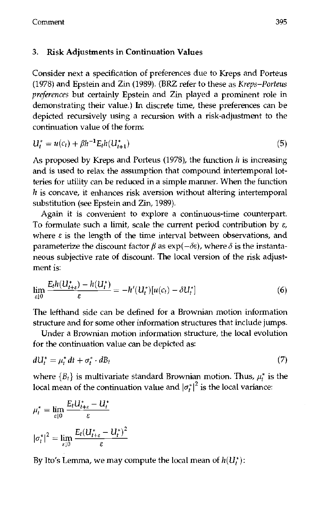### **3. Risk Adjustments in Continuation Values**

Consider next a specification of preferences due to Kreps and Porteus (1978) and Epstein and Zin (1989). (BRZ refer to these as *Kreps-Porteus preferences* but certainly Epstein and Zin played a prominent role in demonstrating their value.) In discrete time, these preferences can be depicted recursively using a recursion with a risk-adjustment to the continuation value of the form:

$$
U_t^* = u(c_t) + \beta h^{-1} E_t h(U_{t+1}^*)
$$
\n(5)

As proposed by Kreps and Porteus (1978), the function *h* is increasing and is used to relax the assumption that compound intertemporal lotteries for utility can be reduced in a simple manner. When the function *h* is concave, it enhances risk aversion without altering intertemporal substitution (see Epstein and Zin, 1989).

Again it is convenient to explore a continuous-time counterpart. To formulate such a limit, scale the current period contribution by  $\varepsilon$ , where  $\varepsilon$  is the length of the time interval between observations, and parameterize the discount factor  $\beta$  as  $\exp(-\delta \varepsilon)$ , where  $\delta$  is the instantaneous subjective rate of discount. The local version of the risk adjustment is:

$$
\lim_{\varepsilon \downarrow 0} \frac{E_t h(U_{t+\varepsilon}^*) - h(U_t^*)}{\varepsilon} = -h'(U_t^*)[u(c_t) - \delta U_t^*] \tag{6}
$$

The lefthand side can be defined for a Brownian motion information structure and for some other information structures that include jumps.

Under a Brownian motion information structure, the local evolution for the continuation value can be depicted as:

$$
dU_t^* = \mu_t^* dt + \sigma_t^* \cdot dB_t \tag{7}
$$

where  ${B_t}$  is multivariate standard Brownian motion. Thus,  $\mu_t^*$  is the local mean of the continuation value and  $|\sigma_t^*|^2$  is the local variance:

$$
\mu_t^* = \lim_{\varepsilon \downarrow 0} \frac{E_t U_{t+\varepsilon}^* - U_t^*}{\varepsilon}
$$

$$
|\sigma_t^*|^2 = \lim_{\varepsilon \downarrow 0} \frac{E_t (U_{t+\varepsilon}^* - U_t^*)^2}{\varepsilon}
$$

By Ito's Lemma, we may compute the local mean of  $h(U_r^*)$ :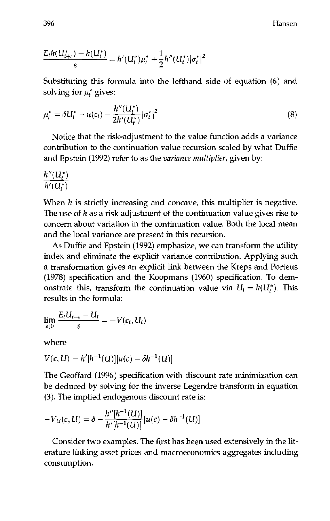$$
\frac{E_t h(U_{t+\varepsilon}^*) - h(U_t^*)}{\varepsilon} = h'(U_t^*) \mu_t^* + \frac{1}{2} h''(U_t^*) |\sigma_t^*|^2
$$

Substituting this formula into the lefthand side of equation (6) and solving for  $\mu^*$  gives:

$$
\mu_t^* = \delta U_t^* - u(c_t) - \frac{h''(U_t^*)}{2h'(U_t^*)} |\sigma_t^*|^2 \tag{8}
$$

Notice that the risk-adjustment to the value function adds a variance contribution to the continuation value recursion scaled by what Duffie and Epstein (1992) refer to as the *variance multiplier,* given by:

$$
\frac{h''(U_t^*)}{h'(U_t^*)}
$$

When *h* is strictly increasing and concave, this multiplier is negative. The use of *h* as a risk adjustment of the continuation value gives rise to concern about variation in the continuation value. Both the local mean and the local variance are present in this recursion.

As Duffie and Epstein (1992) emphasize, we can transform the utility index and eliminate the explicit variance contribution. Applying such a transformation gives an explicit link between the Kreps and Porteus (1978) specification and the Koopmans (1960) specification. To demonstrate this, transform the continuation value via  $U_t = h(U_t^*)$ . This results in the formula:

$$
\lim_{\varepsilon\downarrow 0}\frac{E_tU_{t+\varepsilon}-U_t}{\varepsilon}=-V(c_t,U_t)
$$

where

$$
V(c, U) = h'[h^{-1}(U)][u(c) - \delta h^{-1}(U)]
$$

The Geoffard (1996) specification with discount rate minimization can be deduced by solving for the inverse Legendre transform in equation (3). The implied endogenous discount rate is:

$$
-V_{U}(c, U) = \delta - \frac{h''[h^{-1}(U)]}{h'[h^{-1}(U)]} [u(c) - \delta h^{-1}(U)]
$$

Consider two examples. The first has been used extensively in the literature linking asset prices and macroeconomics aggregates including consumption.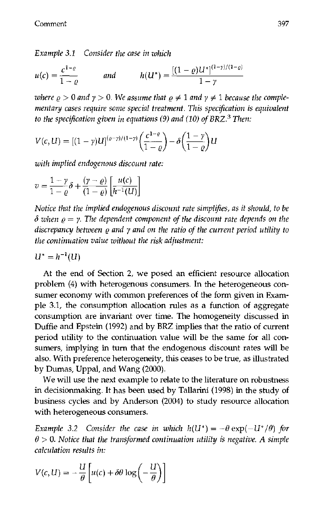*Example 3.1 Consider the case in which*

$$
u(c) = \frac{c^{1-\varrho}}{1-\varrho} \qquad \text{and} \qquad h(U^*) = \frac{[(1-\varrho)U^*]^{(1-\gamma)/(1-\varrho)}}{1-\gamma}
$$

*where*  $\rho > 0$  *and*  $\gamma > 0$ *. We assume that*  $\rho \neq 1$  *and*  $\gamma \neq 1$  *because the complementary cases require some special treatment. This specification is equivalent to the specification given in equations (9) and (10) ofBRZ.<sup>3</sup> Then:*

$$
V(c, U) = \left[ (1 - \gamma)U \right]^{(e - \gamma)/(1 - \gamma)} \left( \frac{c^{1 - e}}{1 - e} \right) - \delta \left( \frac{1 - \gamma}{1 - e} \right)U
$$

 $with$  implied endogenous discount rate:

$$
v = \frac{1-\gamma}{1-\varrho}\delta + \frac{(\gamma-\varrho)}{(1-\varrho)}\left[\frac{u(c)}{h^{-1}(U)}\right]
$$

*Notice that the implied endogenous discount rate simplifies, as it should, to be*  $\delta$  when  $\rho = \gamma$ . The dependent component of the discount rate depends on the *discrepancy between g and y and on the ratio of the current period utility to the continuation value without the risk adjustment:*

$$
U^* = h^{-1}(U)
$$

At the end of Section 2, we posed an efficient resource allocation problem (4) with heterogenous consumers. In the heterogeneous consumer economy with common preferences of the form given in Example 3.1, the consumption allocation rules as a function of aggregate consumption are invariant over time. The homogeneity discussed in Duffie and Epstein (1992) and by BRZ implies that the ratio of current period utility to the continuation value will be the same for all consumers, implying in turn that the endogenous discount rates will be also. With preference heterogeneity, this ceases to be true, as illustrated by Dumas, Uppal, and Wang (2000).

We will use the next example to relate to the literature on robustness in decisionmaking. It has been used by Tallarini (1998) in the study of business cycles and by Anderson (2004) to study resource allocation with heterogeneous consumers.

*Example 3.2 Consider the case in which*  $h(U^*) = -\theta \exp(-U^*/\theta)$  *for 9 >* 0. *Notice that the transformed continuation utility is negative. A simple calculation results in:*

$$
V(c, U) = -\frac{U}{\theta} \left[ u(c) + \delta \theta \log \left( -\frac{U}{\theta} \right) \right]
$$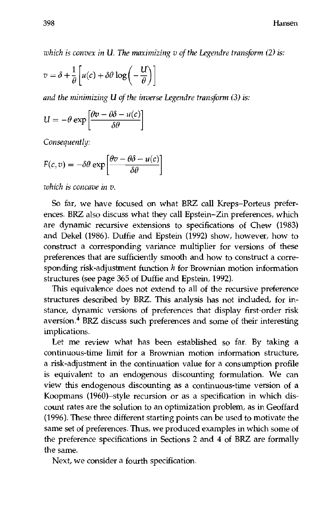*which is convex in U. The maximizing v of the Legendre transform (2) is:*

$$
v = \delta + \frac{1}{\theta} \left[ u(c) + \delta \theta \log \left( -\frac{U}{\theta} \right) \right]
$$

*and the minimizing U of the inverse Legendre transform (3) is:*

$$
U = -\theta \exp \left[\frac{\theta v - \theta \delta - u(c)}{\delta \theta}\right]
$$

*Consequently:*

$$
F(c, v) = -\delta\theta \exp\left[\frac{\theta v - \theta \delta - u(c)}{\delta \theta}\right]
$$

*which is concave in v.*

So far, we have focused on what BRZ call Kreps-Porteus preferences. BRZ also discuss what they call Epstein-Zin preferences, which are dynamic recursive extensions to specifications of Chew (1983) and Dekel (1986). Duffie and Epstein (1992) show, however, how to construct a corresponding variance multiplier for versions of these preferences that are sufficiently smooth and how to construct a corresponding risk-adjustment function *h* for Brownian motion information structures (see page 365 of Duffie and Epstein, 1992).

This equivalence does not extend to all of the recursive preference structures described by BRZ. This analysis has not included, for instance, dynamic versions of preferences that display first-order risk aversion.<sup>4</sup> BRZ discuss such preferences and some of their interesting implications.

Let me review what has been established so far. By taking a continuous-time limit for a Brownian motion information structure, a risk-adjustment in the continuation value for a consumption profile is equivalent to an endogenous discounting formulation. We can view this endogenous discounting as a continuous-time version of a Koopmans (1960)-style recursion or as a specification in which discount rates are the solution to an optimization problem, as in Geoffard (1996). These three different starting points can be used to motivate the same set of preferences. Thus, we produced examples in which some of the preference specifications in Sections 2 and 4 of BRZ are formally the same.

Next, we consider a fourth specification.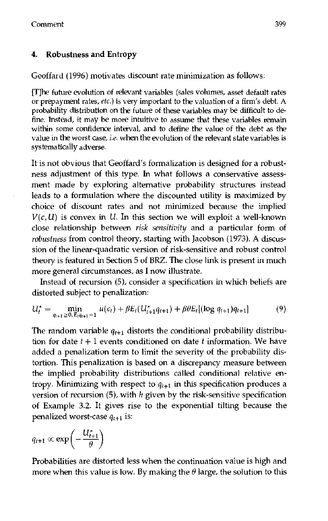## **4. Robustness and Entropy**

Geoffard (1996) motivates discount rate minimization as follows:

[T]he future evolution of relevant variables (sales volumes, asset default rates or prepayment rates, *etc.)* is very important to the valuation of a firm's debt. A probability distribution on the future of these variables may be difficult to define. Instead, it may be more intuitive to assume that these variables remain within some confidence interval, and to define the value of the debt as the value in the worst case, *i.e.* when the evolution of the relevant state variables is systematically adverse.

It is not obvious that Geoffard's formalization is designed for a robustness adjustment of this type. In what follows a conservative assessment made by exploring alternative probability structures instead leads to a formulation where the discounted utility is maximized by choice of discount rates and not minimized because the implied  $V(c, U)$  is convex in  $U$ . In this section we will exploit a well-known close relationship between *risk sensitivity* and a particular form of *robustness* from control theory, starting with Jacobson (1973). A discussion of the linear-quadratic version of risk-sensitive and robust control theory is featured in Section 5 of BRZ. The close link is present in much more general circumstances, as I now illustrate.

Instead of recursion (5), consider a specification in which beliefs are distorted subject to penalization:

$$
U_t^* = \min_{q_{t+1} \ge 0, E_t q_{t+1} = 1} u(c_t) + \beta E_t (U_{t+1}^* q_{t+1}) + \beta \theta E_t [(\log q_{t+1}) q_{t+1}] \tag{9}
$$

The random variable  $q_{t+1}$  distorts the conditional probability distribution for date *t* + 1 events conditioned on date *t* information. We have added a penalization term to limit the severity of the probability distortion. This penalization is based on a discrepancy measure between the implied probability distributions called conditional relative entropy. Minimizing with respect to  $q_{t+1}$  in this specification produces a version of recursion (5), with *h* given by the risk-sensitive specification of Example 3.2. It gives rise to the exponential tilting because the penalized worst-case  $q_{t+1}$  is:

$$
q_{t+1} \propto \exp\left(-\frac{U_{t+1}^*}{\theta}\right)
$$

Probabilities are distorted less when the continuation value is high and more when this value is low. By making the  $\theta$  large, the solution to this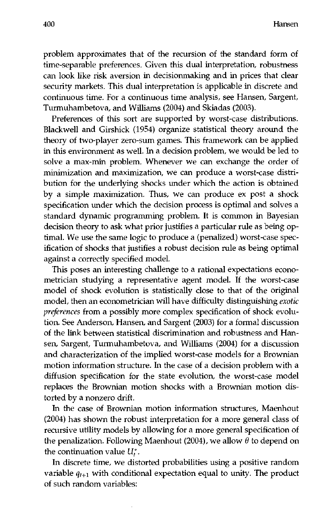problem approximates that of the recursion of the standard form of time-separable preferences. Given this dual interpretation, robustness can look like risk aversion in decisionmaking and in prices that clear security markets. This dual interpretation is applicable in discrete and continuous time. For a continuous time analysis, see Hansen, Sargent, Turmuhambetova, and Williams (2004) and Skiadas (2003).

Preferences of this sort are supported by worst-case distributions. Blackwell and Girshick (1954) organize statistical theory around the theory of two-player zero-sum games. This framework can be applied in this environment as well. In a decision problem, we would be led to solve a max-min problem. Whenever we can exchange the order of minimization and maximization, we can produce a worst-case distribution for the underlying shocks under which the action is obtained by a simple maximization. Thus, we can produce ex post a shock specification under which the decision process is optimal and solves a standard dynamic programming problem. It is common in Bayesian decision theory to ask what prior justifies a particular rule as being optimal. We use the same logic to produce a (penalized) worst-case specification of shocks that justifies a robust decision rule as being optimal against a correctly specified model.

This poses an interesting challenge to a rational expectations econometrician studying a representative agent model. If the worst-case model of shock evolution is statistically close to that of the original model, then an econometrician will have difficulty distinguishing *exotic preferences* from a possibly more complex specification of shock evolution. See Anderson, Hansen, and Sargent (2003) for a formal discussion of the link between statistical discrimination and robustness and Hansen, Sargent, Turmuhambetova, and Williams (2004) for a discussion and characterization of the implied worst-case models for a Brownian motion information structure. In the case of a decision problem with a diffusion specification for the state evolution, the worst-case model replaces the Brownian motion shocks with a Brownian motion distorted by a nonzero drift.

In the case of Brownian motion information structures, Maenhout (2004) has shown the robust interpretation for a more general class of recursive utility models by allowing for a more general specification of the penalization. Following Maenhout (2004), we allow  $\theta$  to depend on the continuation value  $U_t^*$ .

In discrete time, we distorted probabilities using a positive random variable  $q_{t+1}$  with conditional expectation equal to unity. The product of such random variables: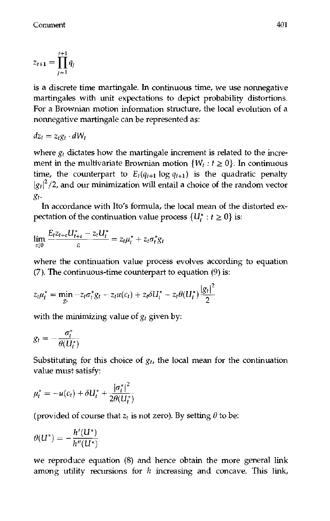$$
z_{t+1} = \prod_{j=1}^{t+1} q_j
$$

is a discrete time martingale. In continuous time, we use nonnegative martingales with unit expectations to depict probability distortions. For a Brownian motion information structure, the local evolution of a nonnegative martingale can be represented as:

$$
dz_t = z_t g_t \cdot dW_t
$$

where *g<sup>t</sup>* dictates how the martingale increment is related to the increment in the multivariate Brownian motion  $\{W_t : t \geq 0\}.$  In continuous time, the counterpart to  $E_t(q_{t+1} \log q_{t+1})$  is the quadratic penalty  $|g_t|^2/2$ , and our minimization will entail a choice of the random vector *gt-*

In accordance with Ito's formula, the local mean of the distorted expectation of the continuation value process  $\{U_t^*: t \geq 0\}$  is:

$$
\lim_{\varepsilon \downarrow 0} \frac{E_t z_{t+\varepsilon} U_{t+\varepsilon}^* - z_t U_t^*}{\varepsilon} = z_t \mu_t^* + z_t \sigma_t^* g_t
$$

where the continuation value process evolves according to equation (7). The continuous-time counterpart to equation (9) is:

$$
z_t \mu_t^* = \min_{g_t} -z_t \sigma_t^* g_t - z_t u(c_t) + z_t \delta U_t^* - z_t \theta (U_t^*) \frac{|g_t|^2}{2}
$$

with the minimizing value of  $g_t$  given by:

$$
g_t = -\frac{\sigma_t^*}{\theta(U_t^*)}
$$

Substituting for this choice of *gt,* the local mean for the continuation value must satisfy:

$$
\mu_t^* = -u(c_t) + \delta U_t^* + \frac{|\sigma_t^*|^2}{2\theta(U_t^*)}
$$

(provided of course that  $z_t$  is not zero). By setting  $\theta$  to be:

$$
\theta(U^*)=-\frac{h'(U^*)}{h''(U^*)}
$$

we reproduce equation (8) and hence obtain the more general link among utility recursions for *h* increasing and concave. This link,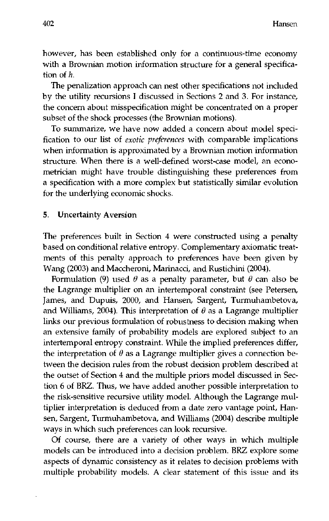The penalization approach can nest other specifications not included by the utility recursions I discussed in Sections 2 and 3. For instance, the concern about misspecification might be concentrated on a proper subset of the shock processes (the Brownian motions).

To summarize, we have now added a concern about model specification to our list of *exotic preferences* with comparable implications when information is approximated by a Brownian motion information structure. When there is a well-defined worst-case model, an econometrician might have trouble distinguishing these preferences from a specification with a more complex but statistically similar evolution for the underlying economic shocks.

#### **5. Uncertainty Aversion**

The preferences built in Section 4 were constructed using a penalty based on conditional relative entropy. Complementary axiomatic treatments of this penalty approach to preferences have been given by Wang (2003) and Maccheroni, Marinacci, and Rustichini (2004).

Formulation (9) used  $\theta$  as a penalty parameter, but  $\theta$  can also be the Lagrange multiplier on an intertemporal constraint (see Petersen, James, and Dupuis, 2000, and Hansen, Sargent, Turmuhambetova, and Williams, 2004). This interpretation of  $\theta$  as a Lagrange multiplier links our previous formulation of robustness to decision making when an extensive family of probability models are explored subject to an intertemporal entropy constraint. While the implied preferences differ, the interpretation of  $\theta$  as a Lagrange multiplier gives a connection between the decision rules from the robust decision problem described at the outset of Section 4 and the multiple priors model discussed in Section 6 of BRZ. Thus, we have added another possible interpretation to the risk-sensitive recursive utility model. Although the Lagrange multiplier interpretation is deduced from a date zero vantage point, Hansen, Sargent, Turmuhambetova, and Williams (2004) describe multiple ways in which such preferences can look recursive.

Of course, there are a variety of other ways in which multiple models can be introduced into a decision problem. BRZ explore some aspects of dynamic consistency as it relates to decision problems with multiple probability models. A clear statement of this issue and its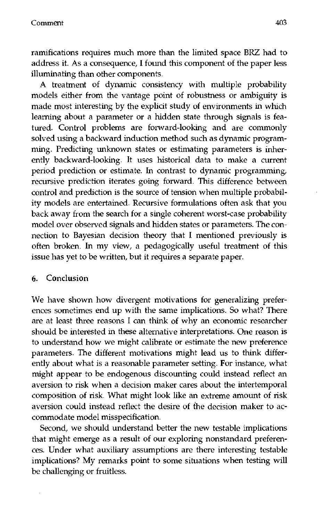ramifications requires much more than the limited space BRZ had to address it. As a consequence, I found this component of the paper less illuminating than other components.

A treatment of dynamic consistency with multiple probability models either from the vantage point of robustness or ambiguity is made most interesting by the explicit study of environments in which learning about a parameter or a hidden state through signals is featured. Control problems are forward-looking and are commonly solved using a backward induction method such as dynamic programming. Predicting unknown states or estimating parameters is inherently backward-looking. It uses historical data to make a current period prediction or estimate. In contrast to dynamic programming, recursive prediction iterates going forward. This difference between control and prediction is the source of tension when multiple probability models are entertained. Recursive formulations often ask that you back away from the search for a single coherent worst-case probability model over observed signals and hidden states or parameters. The connection to Bayesian decision theory that I mentioned previously is often broken. In my view, a pedagogically useful treatment of this issue has yet to be written, but it requires a separate paper.

### **6. Conclusion**

We have shown how divergent motivations for generalizing preferences sometimes end up with the same implications. So what? There are at least three reasons I can think of why an economic researcher should be interested in these alternative interpretations. One reason is to understand how we might calibrate or estimate the new preference parameters. The different motivations might lead us to think differently about what is a reasonable parameter setting. For instance, what might appear to be endogenous discounting could instead reflect an aversion to risk when a decision maker cares about the intertemporal composition of risk. What might look like an extreme amount of risk aversion could instead reflect the desire of the decision maker to accommodate model misspecification.

Second, we should understand better the new testable implications that might emerge as a result of our exploring nonstandard preferences. Under what auxiliary assumptions are there interesting testable implications? My remarks point to some situations when testing will be challenging or fruitless.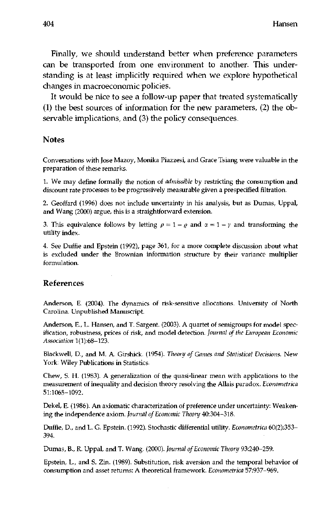Finally, we should understand better when preference parameters can be transported from one environment to another. This understanding is at least implicitly required when we explore hypothetical changes in macroeconomic policies.

It would be nice to see a follow-up paper that treated systematically (1) the best sources of information for the new parameters, (2) the observable implications, and (3) the policy consequences.

#### **Notes**

Conversations with Jose Mazoy, Monika Piazzesi, and Grace Tsiang were valuable in the preparation of these remarks.

1. We may define formally the notion of *admissible* by restricting the consumption and discount rate processes to be progressively measurable given a prespecified filtration.

2. Geoffard (1996) does not include uncertainty in his analysis, but as Dumas, Uppal, and Wang (2000) argue, this is a straightforward extension.

3. This equivalence follows by letting  $p = 1 - \rho$  and  $\alpha = 1 - \gamma$  and transforming the utility index.

4. See Duffie and Epstein (1992), page 361, for a more complete discussion about what is excluded under the Brownian information structure by their variance' multiplier formulation.

#### **References**

Anderson, E. (2004). The dynamics of risk-sensitive allocations. University of North Carolina. Unpublished Manuscript.

Anderson, E., L. Hansen, and T. Sargent. (2003). A quartet of semigroups for model specification, robustness, prices of risk, and model detection. *Journal of the European Economic Association* 1(1):68-123.

Blackwell, D., and M. A. Girshick. (1954). *Theory of Games and Statistical Decisions.* New York: Wiley Publications in Statistics.

Chew, S. H. (1983). A generalization of the quasi-linear mean with applications to the measurement of inequality and decision theory resolving the Allais paradox. *Econometrica* 51:1065-1092.

Dekel, E. (1986). An axiomatic characterization of preference under uncertainty: Weakening the independence axiom. *Journal of Economic Theory* 40:304-318.

Duffie, D., and L. G. Epstein. (1992). Stochastic differential utility. *Econometrica* 60(2):353- 394.

Dumas, B., R. Uppal, and T. Wang. (2000). *Journal of Economic Theory* 93:240-259.

Epstein, L., and S. Zin. (1989). Substitution, risk aversion and the temporal behavior of consumption and asset returns: A theoretical framework. *Econometrica* 57:937-969.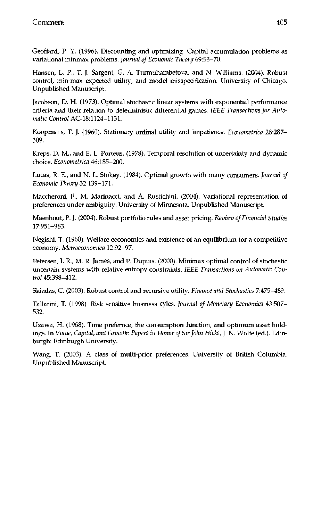Geoffard, P. Y. (1996). Discounting and optimizing: Capital accumulation problems as variational minmax problems. *Journal of Economic Theory* 69:53-70.

Hansen, L. P., T. J. Sargent, G. A. Turmuhambetova, and N. Williams. (2004). Robust control, min-max expected utility, and model misspecification. University of Chicago. Unpublished Manuscript.

Jacobson, D. H. (1973). Optimal stochastic linear systems with exponential performance criteria and their relation to deterministic differential games. *IEEE Transactions for Automatic Control* AC-18:1124-1131.

Koopmans, T. J. (1960). Stationary ordinal utility and impatience. *Econometrica* 28:287- 309.

Kreps, D. M., and E. L. Porteus. (1978). Temporal resolution of uncertainty and dynamic choice. *Econometrica* 46:185-200.

Lucas, R. E., and N. L. Stokey. (1984). Optimal growth with many consumers. *Journal of Economic Theory* 32:139-171.

Maccheroni, F., M. Marinacci, and A. Rustichini. (2004). Variational representation of preferences under ambiguity. University of Minnesota. Unpublished Manuscript.

Maenhout, P. J. (2004). Robust portfolio rules and asset pricing. *Review of Financial Studies* 17:951-983.

Negishi, T. (1960). Welfare eeconomics and existence of an equilibrium for a competitive economy. *Metroeconomica* 12:92-97.

Petersen, I. R., M. R. James, and P. Dupuis. (2000). Minimax optimal control of stochastic uncertain systems with relative entropy constraints. *IEEE Transactions on Automatic Control* 45:398-412.

Skiadas, C. (2003). Robust control and recursive utility. *Finance and Stochastics* 7:475-489.

Tallarini, T. (1998). Risk sensitive business cyles. *Journal of Monetary Economics* 43:507- 532.

Uzawa, H. (1968). Time prefernce, the consumption function, and optimum asset holdings. In *Value, Capital, and Growth: Papers in Honor of Sir John Hicks,* J. N. Wolfe (ed.). Edinburgh: Edinburgh University.

Wang, T. (2003). A class of multi-prior preferences. University of British Columbia. Unpublished Manuscript.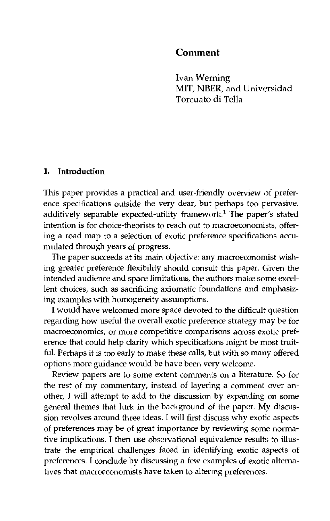### **Comment**

Ivan Werning MIT, NBER, and Universidad Torcuato di Telia

#### **1. Introduction**

This paper provides a practical and user-friendly overview of preference specifications outside the very dear, but perhaps too pervasive, additively separable expected-utility framework.<sup>1</sup> The paper's stated intention is for choice-theorists to reach out to macroeconomists, offering a road map to a selection of exotic preference specifications accumulated through years of progress.

The paper succeeds at its main objective: any macroeconomist wishing greater preference flexibility should consult this paper. Given the intended audience and space limitations, the authors make some excellent choices, such as sacrificing axiomatic foundations and emphasizing examples with homogeneity assumptions.

I would have welcomed more space devoted to the difficult question regarding how useful the overall exotic preference strategy may be for macroeconomics, or more competitive comparisons across exotic preference that could help clarify which specifications might be most fruitful. Perhaps it is too early to make these calls, but with so many offered options more guidance would be have been very welcome.

Review papers are to some extent comments on a literature. So for the rest of my commentary, instead of layering a comment over another, I will attempt to add to the discussion by expanding on some general themes that lurk in the background of the paper. My discussion revolves around three ideas. I will first discuss why exotic aspects of preferences may be of great importance by reviewing some normative implications. I then use observational equivalence results to illustrate the empirical challenges faced in identifying exotic aspects of preferences. I conclude by discussing a few examples of exotic alternatives that macroeconomists have taken to altering preferences.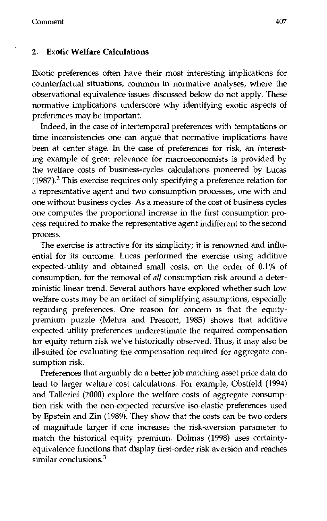### **2. Exotic Welfare Calculations**

Exotic preferences often have their most interesting implications for counterfactual situations, common in normative analyses, where the observational equivalence issues discussed below do not apply. These normative implications underscore why identifying exotic aspects of preferences may be important.

Indeed, in the case of intertemporal preferences with temptations or time inconsistencies one can argue that normative implications have been at center stage. In the case of preferences for risk, an interesting example of great relevance for macroeconomists is provided by the welfare costs of business-cycles calculations pioneered by Lucas (1987).<sup>2</sup> This exercise requires only specifying a preference relation for a representative agent and two consumption processes, one with and one without business cycles. As a measure of the cost of business cycles one computes the proportional increase in the first consumption process required to make the representative agent indifferent to the second process.

The exercise is attractive for its simplicity; it is renowned and influential for its outcome. Lucas performed the exercise using additive expected-utility and obtained small costs, on the order of 0.1% of consumption, for the removal of *all* consumption risk around a deterministic linear trend. Several authors have explored whether such low welfare costs may be an artifact of simplifying assumptions, especially regarding preferences. One reason for concern is that the equitypremium puzzle (Mehra and Prescott, 1985) shows that additive expected-utility preferences underestimate the required compensation for equity return risk we've historically observed. Thus, it may also be ill-suited for evaluating the compensation required for aggregate consumption risk.

Preferences that arguably do a better job matching asset price data do lead to larger welfare cost calculations. For example, Obstfeld (1994) and Tallerini (2000) explore the welfare costs of aggregate consumption risk with the non-expected recursive iso-elastic preferences used by Epstein and Zin (1989). They show that the costs can be two orders of magnitude larger if one increases the risk-aversion parameter to match the historical equity premium. Dolmas (1998) uses certaintyequivalence functions that display first-order risk aversion and reaches similar conclusions.<sup>3</sup>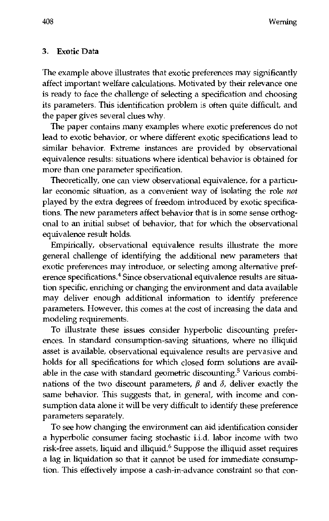### **3. Exotic Data**

The example above illustrates that exotic preferences may significantly affect important welfare calculations. Motivated by their relevance one is ready to face the challenge of selecting a specification and choosing its parameters. This identification problem is often quite difficult, and the paper gives several clues why.

The paper contains many examples where exotic preferences do not lead to exotic behavior, or where different exotic specifications lead to similar behavior. Extreme instances are provided by observational equivalence results: situations where identical behavior is obtained for more than one parameter specification.

Theoretically, one can view observational equivalence, for a particular economic situation, as a convenient way of isolating the role *not* played by the extra degrees of freedom introduced by exotic specifications. The new parameters affect behavior that is in some sense orthogonal to an initial subset of behavior, that for which the observational equivalence result holds.

Empirically, observational equivalence results illustrate the more general challenge of identifying the additional new parameters that exotic preferences may introduce, or selecting among alternative preference specifications.<sup>4</sup> Since observational equivalence results are situation specific, enriching or changing the environment and data available may deliver enough additional information to identify preference parameters. However, this comes at the cost of increasing the data and modeling requirements.

To illustrate these issues consider hyperbolic discounting preferences. In standard consumption-saving situations, where no illiquid asset is available, observational equivalence results are pervasive and holds for all specifications for which closed form solutions are available in the case with standard geometric discounting.<sup>5</sup> Various combinations of the two discount parameters,  $\beta$  and  $\delta$ , deliver exactly the same behavior. This suggests that, in general, with income and consumption data alone it will be very difficult to identify these preference parameters separately.

To see how changing the environment can aid identification consider a hyperbolic consumer facing stochastic i.i.d. labor income with two risk-free assets, liquid and illiquid.<sup>6</sup> Suppose the illiquid asset requires a lag in liquidation so that it cannot be used for immediate consumption. This effectively impose a cash-in-advance constraint so that con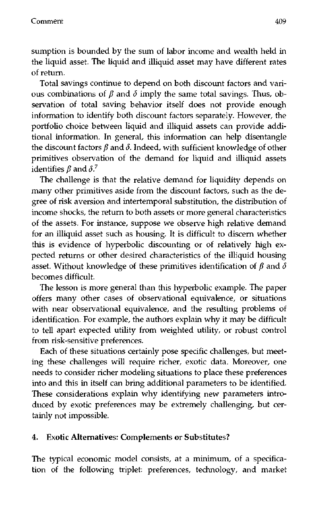sumption is bounded by the sum of labor income and wealth held in the liquid asset. The liquid and illiquid asset may have different rates of return.

Total savings continue to depend on both discount factors and various combinations of  $\beta$  and  $\delta$  imply the same total savings. Thus, observation of total saving behavior itself does not provide enough information to identify both discount factors separately. However, the portfolio choice between liquid and illiquid assets can provide additional information. In general, this information can help disentangle the discount factors  $\beta$  and  $\delta$ . Indeed, with sufficient knowledge of other primitives observation of the demand for liquid and illiquid assets identifies  $\beta$  and  $\delta$ <sup>7</sup>

The challenge is that the relative demand for liquidity depends on many other primitives aside from the discount factors, such as the degree of risk aversion and intertemporal substitution, the distribution of income shocks, the return to both assets or more general characteristics of the assets. For instance, suppose we observe high relative demand for an illiquid asset such as housing. It is difficult to discern whether this is evidence of hyperbolic discounting or of relatively high expected returns or other desired characteristics of the illiquid housing asset. Without knowledge of these primitives identification of  $\beta$  and  $\delta$ becomes difficult.

The lesson is more general than this hyperbolic example. The paper offers many other cases of observational equivalence, or situations with near observational equivalence, and the resulting problems of identification. For example, the authors explain why it may be difficult to tell apart expected utility from weighted utility, or robust control from risk-sensitive preferences.

Each of these situations certainly pose specific challenges, but meeting these challenges will require richer, exotic data. Moreover, one needs to consider richer modeling situations to place these preferences into and this in itself can bring additional parameters to be identified. These considerations explain why identifying new parameters introduced by exotic preferences may be extremely challenging, but certainly not impossible.

## **4. Exotic Alternatives: Complements or Substitutes?**

The typical economic model consists, at a minimum, of a specification of the following triplet: preferences, technology, and market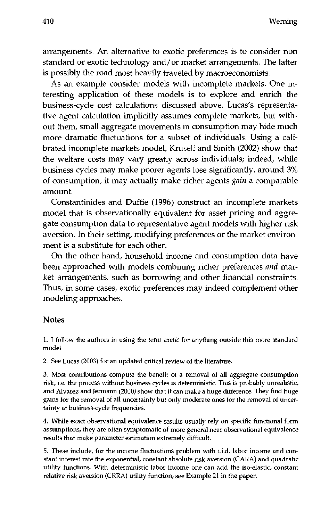arrangements. An alternative to exotic preferences is to consider non standard or exotic technology and/or market arrangements. The latter is possibly the road most heavily traveled by macroeconomists.

As an example consider models with incomplete markets. One interesting application of these models is to explore and enrich the business-cycle cost calculations discussed above. Lucas's representative agent calculation implicitly assumes complete markets, but without them, small aggregate movements in consumption may hide much more dramatic fluctuations for a subset of individuals. Using a calibrated incomplete markets model, Krusell and Smith (2002) show that the welfare costs may vary greatly across individuals; indeed, while business cycles may make poorer agents lose significantly, around 3% of consumption, it may actually make richer agents *gain* a comparable amount.

Constantinides and Duffie (1996) construct an incomplete markets model that is observationally equivalent for asset pricing and aggregate consumption data to representative agent models with higher risk aversion. In their setting, modifying preferences or the market environment is a substitute for each other.

On the other hand, household income and consumption data have been approached with models combining richer preferences *and* market arrangements, such as borrowing and other financial constraints. Thus, in some cases, exotic preferences may indeed complement other modeling approaches.

### **Notes**

1. I follow the authors in using the term *exotic* for anything outside this more standard model.

2. See Lucas (2003) for an updated critical review of the literature.

3. Most contributions compute the benefit of a removal of all aggregate consumption risk, i.e. the process without business cycles is deterministic. This is probably unrealistic, and Alvarez and Jermann (2000) show that it can make a huge difference. They find huge gains for the removal of all uncertainty but only moderate ones for the removal of uncertainty at business-cycle frequencies.

4. While exact observational equivalence results usually rely on specific functional form assumptions, they are often symptomatic of more general near observational equivalence results that make parameter estimation extremely difficult.

5. These include, for the income fluctuations problem with i.i.d. labor income and constant interest rate the exponential, constant absolute risk aversion (CARA) and quadratic utility functions. With deterministic labor income one can add the iso-elastic, constant relative risk aversion (CRRA) utility function, see Example 21 in the paper.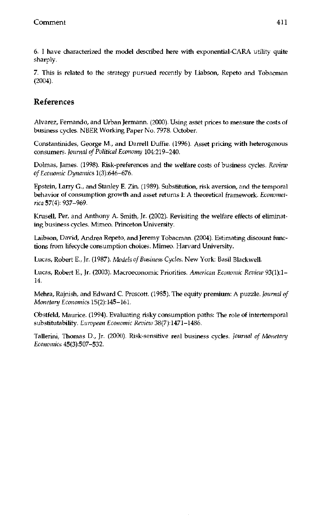6. I have characterized the model described here with exponential-CARA utility quite sharply.

7. This is related to the strategy pursued recently by Liabson, Repeto and Tobacman (2004).

# References

Alvarez, Fernando, and Urban Jermann. (2000). Using asset prices to measure the costs of business cycles. NBER Working Paper No. 7978. October.

Constantinides, George M., and Darrell Duffie. (1996). Asset pricing with heterogenous consumers. *Journal of Political Economy* 104:219-240.

Dolmas, James. (1998). Risk-preferences and the welfare costs of business cycles. *Review of Economic Dynamics* l(3):646-676.

Epstein, Larry G., and Stanley E. Zin. (1989). Substitution, risk aversion, and the temporal behavior of consumption growth and asset returns I: A theoretical framework. *Econometrica* 57(4): 937-969.

Krusell, Per, and Anthony A. Smith, Jr. (2002). Revisiting the welfare effects of eliminating business cycles. Mimeo. Princeton University.

Laibson, David, Andrea Repeto, and Jeremy Tobacman. (2004). Estimating discount functions from lifecycle consumption choices. Mimeo. Harvard University.

Lucas, Robert E., Jr. (1987). *Models of Business Cycles.* New York: Basil Blackwell.

Lucas, Robert E., Jr. (2003). Macroeconomic Priorities. *American Economic Review* 93(1):1- 14.

Mehra, Rajnish, and Edward C. Prescott. (1985). The equity premium: A puzzle. *Journal of Monetary Economics* 15(2):145-161.

Obstfeld, Maurice. (1994). Evaluating risky consumption paths: The role of intertemporal substitutability. *European Economic Review* 38(7):1471-1486.

Tallerini, Thomas D., Jr. (2000). Risk-sensitive real business cycles. *Journal of Monetary Economics* 45(3):507-532.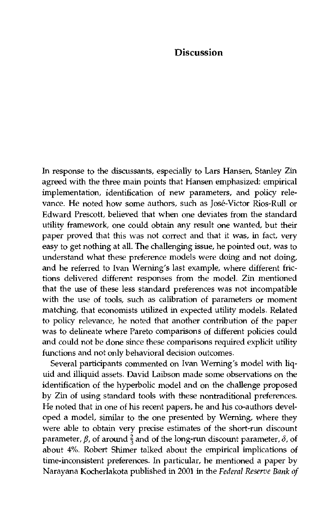### **Discussion**

In response to the discussants, especially to Lars Hansen, Stanley Zin agreed with the three main points that Hansen emphasized: empirical implementation, identification of new parameters, and policy relevance. He noted how some authors, such as Jose-Victor Rios-Rull or Edward Prescott, believed that when one deviates from the standard utility framework, one could obtain any result one wanted, but their paper proved that this was not correct and that it was, in fact, very easy to get nothing at all. The challenging issue, he pointed out, was to understand what these preference models were doing and not doing, and he referred to Ivan Werning's last example, where different frictions delivered different responses from the model. Zin mentioned that the use of these less standard preferences was not incompatible with the use of tools, such as calibration of parameters or moment matching, that economists utilized in expected utility models. Related to policy relevance, he noted that another contribution of the paper was to delineate where Pareto comparisons of different policies could and could not be done since these comparisons required explicit utility functions and not only behavioral decision outcomes.

Several participants commented on Ivan Werning's model with liquid and illiquid assets. David Laibson made some observations on the identification of the hyperbolic model and on the challenge proposed by Zin of using standard tools with these nontraditional preferences. He noted that in one of his recent papers, he and his co-authors developed a model, similar to the one presented by Werning, where they were able to obtain very precise estimates of the short-run discount parameter,  $\beta$ , of around  $\frac{2}{3}$  and of the long-run discount parameter,  $\delta$ , of about 4%. Robert Shimer talked about the empirical implications of time-inconsistent preferences. In particular, he mentioned a paper by Narayana Kocherlakota published in 2001 in the *Federal Reserve Bank of*